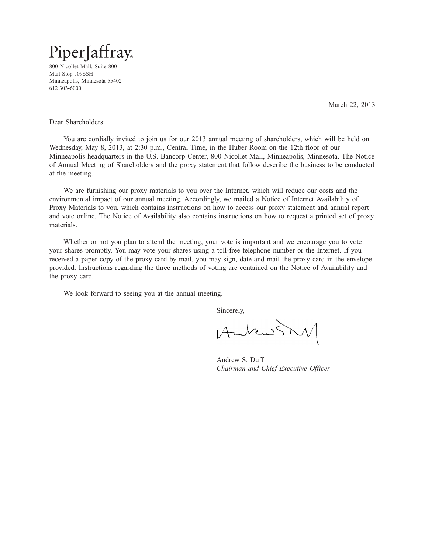

800 Nicollet Mall, Suite 800 Mail Stop J09SSH Minneapolis, Minnesota 55402 612 303-6000

March 22, 2013

Dear Shareholders:

You are cordially invited to join us for our 2013 annual meeting of shareholders, which will be held on Wednesday, May 8, 2013, at 2:30 p.m., Central Time, in the Huber Room on the 12th floor of our Minneapolis headquarters in the U.S. Bancorp Center, 800 Nicollet Mall, Minneapolis, Minnesota. The Notice of Annual Meeting of Shareholders and the proxy statement that follow describe the business to be conducted at the meeting.

We are furnishing our proxy materials to you over the Internet, which will reduce our costs and the environmental impact of our annual meeting. Accordingly, we mailed a Notice of Internet Availability of Proxy Materials to you, which contains instructions on how to access our proxy statement and annual report and vote online. The Notice of Availability also contains instructions on how to request a printed set of proxy materials.

Whether or not you plan to attend the meeting, your vote is important and we encourage you to vote your shares promptly. You may vote your shares using a toll-free telephone number or the Internet. If you received a paper copy of the proxy card by mail, you may sign, date and mail the proxy card in the envelope provided. Instructions regarding the three methods of voting are contained on the Notice of Availability and the proxy card.

We look forward to seeing you at the annual meeting.

Sincerely,

Aubenstry 15MAR201304275807

Andrew S. Duff *Chairman and Chief Executive Officer*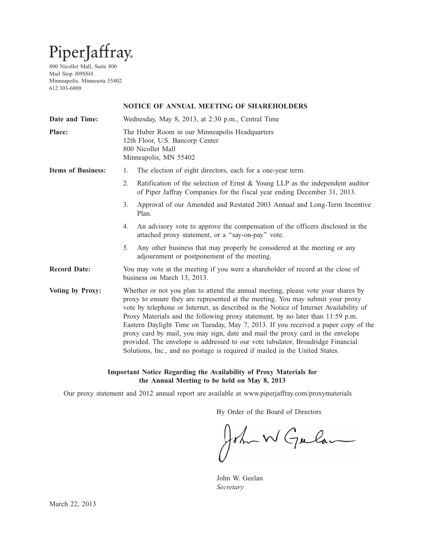# PiperJaffray

800 Nicollet Mall, Suite 800 Mail Stop J09SSH Minneapolis, Minnesota 55402 612 303-6000

# **NOTICE OF ANNUAL MEETING OF SHAREHOLDERS**

| Wednesday, May 8, 2013, at 2:30 p.m., Central Time                                                                                                                                                                                                                                                                                                                                                                                                                                                                                                                                                                                                                                      |  |  |  |  |  |
|-----------------------------------------------------------------------------------------------------------------------------------------------------------------------------------------------------------------------------------------------------------------------------------------------------------------------------------------------------------------------------------------------------------------------------------------------------------------------------------------------------------------------------------------------------------------------------------------------------------------------------------------------------------------------------------------|--|--|--|--|--|
| The Huber Room in our Minneapolis Headquarters<br>12th Floor, U.S. Bancorp Center<br>800 Nicollet Mall<br>Minneapolis, MN 55402                                                                                                                                                                                                                                                                                                                                                                                                                                                                                                                                                         |  |  |  |  |  |
| The election of eight directors, each for a one-year term.<br>1.                                                                                                                                                                                                                                                                                                                                                                                                                                                                                                                                                                                                                        |  |  |  |  |  |
| 2.<br>Ratification of the selection of Ernst & Young LLP as the independent auditor<br>of Piper Jaffray Companies for the fiscal year ending December 31, 2013.                                                                                                                                                                                                                                                                                                                                                                                                                                                                                                                         |  |  |  |  |  |
| 3.<br>Approval of our Amended and Restated 2003 Annual and Long-Term Incentive<br>Plan.                                                                                                                                                                                                                                                                                                                                                                                                                                                                                                                                                                                                 |  |  |  |  |  |
| An advisory vote to approve the compensation of the officers disclosed in the<br>4.<br>attached proxy statement, or a "say-on-pay" vote.                                                                                                                                                                                                                                                                                                                                                                                                                                                                                                                                                |  |  |  |  |  |
| 5.<br>Any other business that may properly be considered at the meeting or any<br>adjournment or postponement of the meeting.                                                                                                                                                                                                                                                                                                                                                                                                                                                                                                                                                           |  |  |  |  |  |
| You may vote at the meeting if you were a shareholder of record at the close of<br>business on March 13, 2013.                                                                                                                                                                                                                                                                                                                                                                                                                                                                                                                                                                          |  |  |  |  |  |
| Whether or not you plan to attend the annual meeting, please vote your shares by<br>proxy to ensure they are represented at the meeting. You may submit your proxy<br>vote by telephone or Internet, as described in the Notice of Internet Availability of<br>Proxy Materials and the following proxy statement, by no later than 11:59 p.m.<br>Eastern Daylight Time on Tuesday, May 7, 2013. If you received a paper copy of the<br>proxy card by mail, you may sign, date and mail the proxy card in the envelope<br>provided. The envelope is addressed to our vote tabulator, Broadridge Financial<br>Solutions, Inc., and no postage is required if mailed in the United States. |  |  |  |  |  |
|                                                                                                                                                                                                                                                                                                                                                                                                                                                                                                                                                                                                                                                                                         |  |  |  |  |  |

# **Important Notice Regarding the Availability of Proxy Materials for the Annual Meeting to be held on May 8, 2013**

Our proxy statement and 2012 annual report are available at www.piperjaffray.com/proxymaterials

By Order of the Board of Directors

John W Gulan

John W. Geelan *Secretary*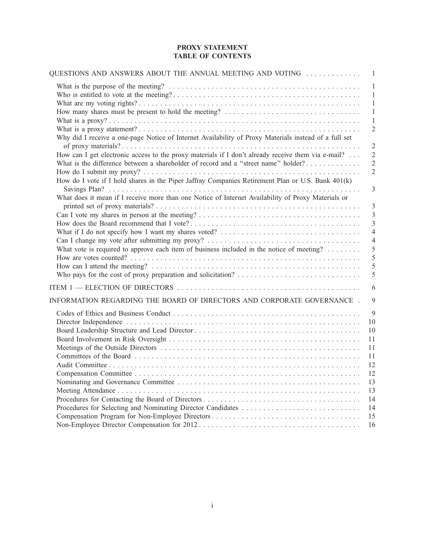# **PROXY STATEMENT TABLE OF CONTENTS**

| 1<br>1<br>1<br>How many shares must be present to hold the meeting?<br>1<br>1<br>$\overline{2}$<br>Why did I receive a one-page Notice of Internet Availability of Proxy Materials instead of a full set<br>$\overline{2}$<br>How can I get electronic access to the proxy materials if I don't already receive them via e-mail?<br>$\overline{2}$<br>What is the difference between a shareholder of record and a "street name" holder?<br>$\overline{2}$<br>$\overline{2}$<br>How do I vote if I hold shares in the Piper Jaffray Companies Retirement Plan or U.S. Bank 401(k)<br>3<br>What does it mean if I receive more than one Notice of Internet Availability of Proxy Materials or<br>3<br>3<br>3<br>$\overline{4}$<br>$\overline{4}$<br>What vote is required to approve each item of business included in the notice of meeting?<br>5<br>5<br>5<br>5<br>6<br>INFORMATION REGARDING THE BOARD OF DIRECTORS AND CORPORATE GOVERNANCE.<br>9<br>9<br>10 |
|-----------------------------------------------------------------------------------------------------------------------------------------------------------------------------------------------------------------------------------------------------------------------------------------------------------------------------------------------------------------------------------------------------------------------------------------------------------------------------------------------------------------------------------------------------------------------------------------------------------------------------------------------------------------------------------------------------------------------------------------------------------------------------------------------------------------------------------------------------------------------------------------------------------------------------------------------------------------|
|                                                                                                                                                                                                                                                                                                                                                                                                                                                                                                                                                                                                                                                                                                                                                                                                                                                                                                                                                                 |
|                                                                                                                                                                                                                                                                                                                                                                                                                                                                                                                                                                                                                                                                                                                                                                                                                                                                                                                                                                 |
|                                                                                                                                                                                                                                                                                                                                                                                                                                                                                                                                                                                                                                                                                                                                                                                                                                                                                                                                                                 |
|                                                                                                                                                                                                                                                                                                                                                                                                                                                                                                                                                                                                                                                                                                                                                                                                                                                                                                                                                                 |
|                                                                                                                                                                                                                                                                                                                                                                                                                                                                                                                                                                                                                                                                                                                                                                                                                                                                                                                                                                 |
|                                                                                                                                                                                                                                                                                                                                                                                                                                                                                                                                                                                                                                                                                                                                                                                                                                                                                                                                                                 |
|                                                                                                                                                                                                                                                                                                                                                                                                                                                                                                                                                                                                                                                                                                                                                                                                                                                                                                                                                                 |
|                                                                                                                                                                                                                                                                                                                                                                                                                                                                                                                                                                                                                                                                                                                                                                                                                                                                                                                                                                 |
|                                                                                                                                                                                                                                                                                                                                                                                                                                                                                                                                                                                                                                                                                                                                                                                                                                                                                                                                                                 |
|                                                                                                                                                                                                                                                                                                                                                                                                                                                                                                                                                                                                                                                                                                                                                                                                                                                                                                                                                                 |
|                                                                                                                                                                                                                                                                                                                                                                                                                                                                                                                                                                                                                                                                                                                                                                                                                                                                                                                                                                 |
|                                                                                                                                                                                                                                                                                                                                                                                                                                                                                                                                                                                                                                                                                                                                                                                                                                                                                                                                                                 |
|                                                                                                                                                                                                                                                                                                                                                                                                                                                                                                                                                                                                                                                                                                                                                                                                                                                                                                                                                                 |
|                                                                                                                                                                                                                                                                                                                                                                                                                                                                                                                                                                                                                                                                                                                                                                                                                                                                                                                                                                 |
|                                                                                                                                                                                                                                                                                                                                                                                                                                                                                                                                                                                                                                                                                                                                                                                                                                                                                                                                                                 |
|                                                                                                                                                                                                                                                                                                                                                                                                                                                                                                                                                                                                                                                                                                                                                                                                                                                                                                                                                                 |
|                                                                                                                                                                                                                                                                                                                                                                                                                                                                                                                                                                                                                                                                                                                                                                                                                                                                                                                                                                 |
|                                                                                                                                                                                                                                                                                                                                                                                                                                                                                                                                                                                                                                                                                                                                                                                                                                                                                                                                                                 |
|                                                                                                                                                                                                                                                                                                                                                                                                                                                                                                                                                                                                                                                                                                                                                                                                                                                                                                                                                                 |
| 10                                                                                                                                                                                                                                                                                                                                                                                                                                                                                                                                                                                                                                                                                                                                                                                                                                                                                                                                                              |
| 11                                                                                                                                                                                                                                                                                                                                                                                                                                                                                                                                                                                                                                                                                                                                                                                                                                                                                                                                                              |
| 11                                                                                                                                                                                                                                                                                                                                                                                                                                                                                                                                                                                                                                                                                                                                                                                                                                                                                                                                                              |
| 11                                                                                                                                                                                                                                                                                                                                                                                                                                                                                                                                                                                                                                                                                                                                                                                                                                                                                                                                                              |
| 12                                                                                                                                                                                                                                                                                                                                                                                                                                                                                                                                                                                                                                                                                                                                                                                                                                                                                                                                                              |
| 12                                                                                                                                                                                                                                                                                                                                                                                                                                                                                                                                                                                                                                                                                                                                                                                                                                                                                                                                                              |
| 13                                                                                                                                                                                                                                                                                                                                                                                                                                                                                                                                                                                                                                                                                                                                                                                                                                                                                                                                                              |
| 13<br>14                                                                                                                                                                                                                                                                                                                                                                                                                                                                                                                                                                                                                                                                                                                                                                                                                                                                                                                                                        |
| Procedures for Selecting and Nominating Director Candidates<br>14                                                                                                                                                                                                                                                                                                                                                                                                                                                                                                                                                                                                                                                                                                                                                                                                                                                                                               |
| 15                                                                                                                                                                                                                                                                                                                                                                                                                                                                                                                                                                                                                                                                                                                                                                                                                                                                                                                                                              |
| 16                                                                                                                                                                                                                                                                                                                                                                                                                                                                                                                                                                                                                                                                                                                                                                                                                                                                                                                                                              |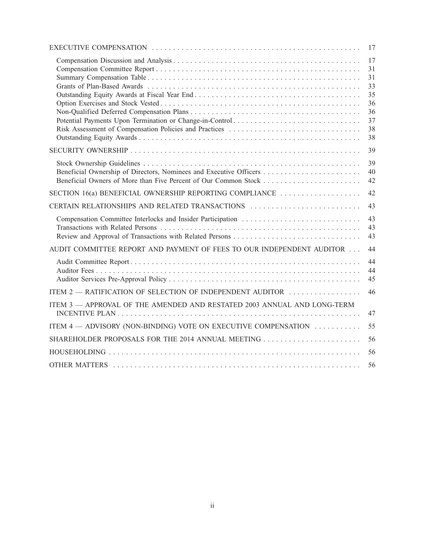|                                                                         | 17                                                       |
|-------------------------------------------------------------------------|----------------------------------------------------------|
| Potential Payments Upon Termination or Change-in-Control                | 17<br>31<br>31<br>33<br>35<br>36<br>36<br>37<br>38<br>38 |
|                                                                         | 39                                                       |
| Beneficial Ownership of Directors, Nominees and Executive Officers      | 39<br>40<br>42                                           |
| SECTION 16(a) BENEFICIAL OWNERSHIP REPORTING COMPLIANCE                 | 42                                                       |
| CERTAIN RELATIONSHIPS AND RELATED TRANSACTIONS                          | 43                                                       |
|                                                                         | 43<br>43<br>43                                           |
| AUDIT COMMITTEE REPORT AND PAYMENT OF FEES TO OUR INDEPENDENT AUDITOR   | 44                                                       |
|                                                                         | 44<br>44<br>45                                           |
| ITEM 2 — RATIFICATION OF SELECTION OF INDEPENDENT AUDITOR               | 46                                                       |
| ITEM 3 - APPROVAL OF THE AMENDED AND RESTATED 2003 ANNUAL AND LONG-TERM | 47                                                       |
| ITEM 4 — ADVISORY (NON-BINDING) VOTE ON EXECUTIVE COMPENSATION          | 55                                                       |
|                                                                         | 56                                                       |
|                                                                         | 56                                                       |
|                                                                         | 56                                                       |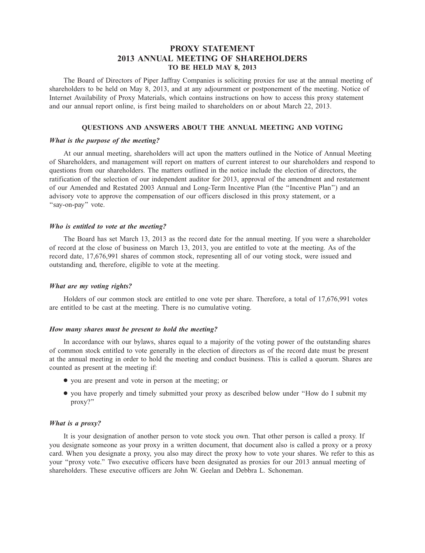# **PROXY STATEMENT 2013 ANNUAL MEETING OF SHAREHOLDERS TO BE HELD MAY 8, 2013**

The Board of Directors of Piper Jaffray Companies is soliciting proxies for use at the annual meeting of shareholders to be held on May 8, 2013, and at any adjournment or postponement of the meeting. Notice of Internet Availability of Proxy Materials, which contains instructions on how to access this proxy statement and our annual report online, is first being mailed to shareholders on or about March 22, 2013.

#### **QUESTIONS AND ANSWERS ABOUT THE ANNUAL MEETING AND VOTING**

# *What is the purpose of the meeting?*

At our annual meeting, shareholders will act upon the matters outlined in the Notice of Annual Meeting of Shareholders, and management will report on matters of current interest to our shareholders and respond to questions from our shareholders. The matters outlined in the notice include the election of directors, the ratification of the selection of our independent auditor for 2013, approval of the amendment and restatement of our Amended and Restated 2003 Annual and Long-Term Incentive Plan (the ''Incentive Plan'') and an advisory vote to approve the compensation of our officers disclosed in this proxy statement, or a "say-on-pay" vote.

#### *Who is entitled to vote at the meeting?*

The Board has set March 13, 2013 as the record date for the annual meeting. If you were a shareholder of record at the close of business on March 13, 2013, you are entitled to vote at the meeting. As of the record date, 17,676,991 shares of common stock, representing all of our voting stock, were issued and outstanding and, therefore, eligible to vote at the meeting.

# *What are my voting rights?*

Holders of our common stock are entitled to one vote per share. Therefore, a total of 17,676,991 votes are entitled to be cast at the meeting. There is no cumulative voting.

## *How many shares must be present to hold the meeting?*

In accordance with our bylaws, shares equal to a majority of the voting power of the outstanding shares of common stock entitled to vote generally in the election of directors as of the record date must be present at the annual meeting in order to hold the meeting and conduct business. This is called a quorum. Shares are counted as present at the meeting if:

- you are present and vote in person at the meeting; or
- you have properly and timely submitted your proxy as described below under ''How do I submit my proxy?''

#### *What is a proxy?*

It is your designation of another person to vote stock you own. That other person is called a proxy. If you designate someone as your proxy in a written document, that document also is called a proxy or a proxy card. When you designate a proxy, you also may direct the proxy how to vote your shares. We refer to this as your ''proxy vote.'' Two executive officers have been designated as proxies for our 2013 annual meeting of shareholders. These executive officers are John W. Geelan and Debbra L. Schoneman.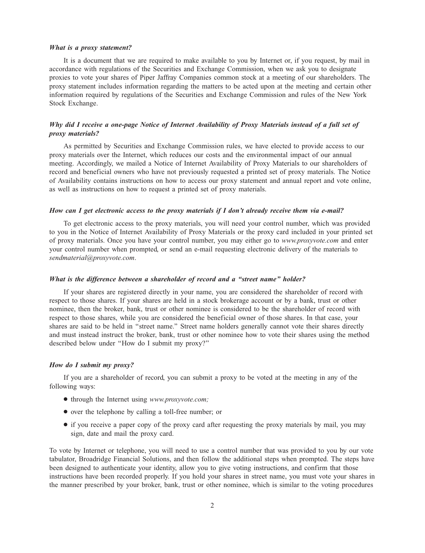#### *What is a proxy statement?*

It is a document that we are required to make available to you by Internet or, if you request, by mail in accordance with regulations of the Securities and Exchange Commission, when we ask you to designate proxies to vote your shares of Piper Jaffray Companies common stock at a meeting of our shareholders. The proxy statement includes information regarding the matters to be acted upon at the meeting and certain other information required by regulations of the Securities and Exchange Commission and rules of the New York Stock Exchange.

# *Why did I receive a one-page Notice of Internet Availability of Proxy Materials instead of a full set of proxy materials?*

As permitted by Securities and Exchange Commission rules, we have elected to provide access to our proxy materials over the Internet, which reduces our costs and the environmental impact of our annual meeting. Accordingly, we mailed a Notice of Internet Availability of Proxy Materials to our shareholders of record and beneficial owners who have not previously requested a printed set of proxy materials. The Notice of Availability contains instructions on how to access our proxy statement and annual report and vote online, as well as instructions on how to request a printed set of proxy materials.

## *How can I get electronic access to the proxy materials if I don't already receive them via e-mail?*

To get electronic access to the proxy materials, you will need your control number, which was provided to you in the Notice of Internet Availability of Proxy Materials or the proxy card included in your printed set of proxy materials. Once you have your control number, you may either go to *www.proxyvote.com* and enter your control number when prompted, or send an e-mail requesting electronic delivery of the materials to *sendmaterial@proxyvote.com*.

#### *What is the difference between a shareholder of record and a ''street name'' holder?*

If your shares are registered directly in your name, you are considered the shareholder of record with respect to those shares. If your shares are held in a stock brokerage account or by a bank, trust or other nominee, then the broker, bank, trust or other nominee is considered to be the shareholder of record with respect to those shares, while you are considered the beneficial owner of those shares. In that case, your shares are said to be held in ''street name.'' Street name holders generally cannot vote their shares directly and must instead instruct the broker, bank, trust or other nominee how to vote their shares using the method described below under ''How do I submit my proxy?''

#### *How do I submit my proxy?*

If you are a shareholder of record, you can submit a proxy to be voted at the meeting in any of the following ways:

- through the Internet using *www.proxyvote.com;*
- over the telephone by calling a toll-free number; or
- if you receive a paper copy of the proxy card after requesting the proxy materials by mail, you may sign, date and mail the proxy card.

To vote by Internet or telephone, you will need to use a control number that was provided to you by our vote tabulator, Broadridge Financial Solutions, and then follow the additional steps when prompted. The steps have been designed to authenticate your identity, allow you to give voting instructions, and confirm that those instructions have been recorded properly. If you hold your shares in street name, you must vote your shares in the manner prescribed by your broker, bank, trust or other nominee, which is similar to the voting procedures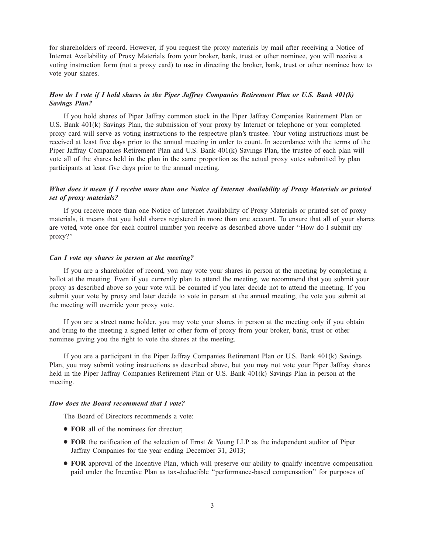for shareholders of record. However, if you request the proxy materials by mail after receiving a Notice of Internet Availability of Proxy Materials from your broker, bank, trust or other nominee, you will receive a voting instruction form (not a proxy card) to use in directing the broker, bank, trust or other nominee how to vote your shares.

# *How do I vote if I hold shares in the Piper Jaffray Companies Retirement Plan or U.S. Bank 401(k) Savings Plan?*

If you hold shares of Piper Jaffray common stock in the Piper Jaffray Companies Retirement Plan or U.S. Bank 401(k) Savings Plan, the submission of your proxy by Internet or telephone or your completed proxy card will serve as voting instructions to the respective plan's trustee. Your voting instructions must be received at least five days prior to the annual meeting in order to count. In accordance with the terms of the Piper Jaffray Companies Retirement Plan and U.S. Bank 401(k) Savings Plan, the trustee of each plan will vote all of the shares held in the plan in the same proportion as the actual proxy votes submitted by plan participants at least five days prior to the annual meeting.

# *What does it mean if I receive more than one Notice of Internet Availability of Proxy Materials or printed set of proxy materials?*

If you receive more than one Notice of Internet Availability of Proxy Materials or printed set of proxy materials, it means that you hold shares registered in more than one account. To ensure that all of your shares are voted, vote once for each control number you receive as described above under ''How do I submit my proxy?''

#### *Can I vote my shares in person at the meeting?*

If you are a shareholder of record, you may vote your shares in person at the meeting by completing a ballot at the meeting. Even if you currently plan to attend the meeting, we recommend that you submit your proxy as described above so your vote will be counted if you later decide not to attend the meeting. If you submit your vote by proxy and later decide to vote in person at the annual meeting, the vote you submit at the meeting will override your proxy vote.

If you are a street name holder, you may vote your shares in person at the meeting only if you obtain and bring to the meeting a signed letter or other form of proxy from your broker, bank, trust or other nominee giving you the right to vote the shares at the meeting.

If you are a participant in the Piper Jaffray Companies Retirement Plan or U.S. Bank 401(k) Savings Plan, you may submit voting instructions as described above, but you may not vote your Piper Jaffray shares held in the Piper Jaffray Companies Retirement Plan or U.S. Bank 401(k) Savings Plan in person at the meeting.

#### *How does the Board recommend that I vote?*

The Board of Directors recommends a vote:

- **FOR** all of the nominees for director;
- **FOR** the ratification of the selection of Ernst & Young LLP as the independent auditor of Piper Jaffray Companies for the year ending December 31, 2013;
- **FOR** approval of the Incentive Plan, which will preserve our ability to qualify incentive compensation paid under the Incentive Plan as tax-deductible ''performance-based compensation'' for purposes of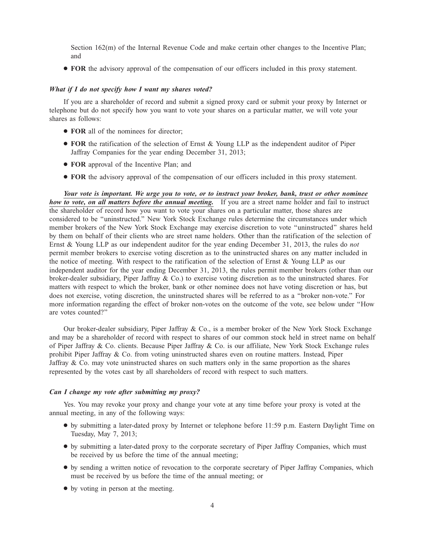Section 162(m) of the Internal Revenue Code and make certain other changes to the Incentive Plan; and

● **FOR** the advisory approval of the compensation of our officers included in this proxy statement.

## *What if I do not specify how I want my shares voted?*

If you are a shareholder of record and submit a signed proxy card or submit your proxy by Internet or telephone but do not specify how you want to vote your shares on a particular matter, we will vote your shares as follows:

- **FOR** all of the nominees for director;
- **FOR** the ratification of the selection of Ernst & Young LLP as the independent auditor of Piper Jaffray Companies for the year ending December 31, 2013;
- **FOR** approval of the Incentive Plan; and
- **FOR** the advisory approval of the compensation of our officers included in this proxy statement.

*Your vote is important. We urge you to vote, or to instruct your broker, bank, trust or other nominee how to vote, on all matters before the annual meeting.* If you are a street name holder and fail to instruct the shareholder of record how you want to vote your shares on a particular matter, those shares are considered to be ''uninstructed.'' New York Stock Exchange rules determine the circumstances under which member brokers of the New York Stock Exchange may exercise discretion to vote ''uninstructed'' shares held by them on behalf of their clients who are street name holders. Other than the ratification of the selection of Ernst & Young LLP as our independent auditor for the year ending December 31, 2013, the rules do *not* permit member brokers to exercise voting discretion as to the uninstructed shares on any matter included in the notice of meeting. With respect to the ratification of the selection of Ernst & Young LLP as our independent auditor for the year ending December 31, 2013, the rules permit member brokers (other than our broker-dealer subsidiary, Piper Jaffray & Co.) to exercise voting discretion as to the uninstructed shares. For matters with respect to which the broker, bank or other nominee does not have voting discretion or has, but does not exercise, voting discretion, the uninstructed shares will be referred to as a ''broker non-vote.'' For more information regarding the effect of broker non-votes on the outcome of the vote, see below under ''How are votes counted?''

Our broker-dealer subsidiary, Piper Jaffray & Co., is a member broker of the New York Stock Exchange and may be a shareholder of record with respect to shares of our common stock held in street name on behalf of Piper Jaffray & Co. clients. Because Piper Jaffray & Co. is our affiliate, New York Stock Exchange rules prohibit Piper Jaffray & Co. from voting uninstructed shares even on routine matters. Instead, Piper Jaffray  $\&$  Co. may vote uninstructed shares on such matters only in the same proportion as the shares represented by the votes cast by all shareholders of record with respect to such matters.

## *Can I change my vote after submitting my proxy?*

Yes. You may revoke your proxy and change your vote at any time before your proxy is voted at the annual meeting, in any of the following ways:

- by submitting a later-dated proxy by Internet or telephone before 11:59 p.m. Eastern Daylight Time on Tuesday, May 7, 2013;
- by submitting a later-dated proxy to the corporate secretary of Piper Jaffray Companies, which must be received by us before the time of the annual meeting;
- by sending a written notice of revocation to the corporate secretary of Piper Jaffray Companies, which must be received by us before the time of the annual meeting; or
- by voting in person at the meeting.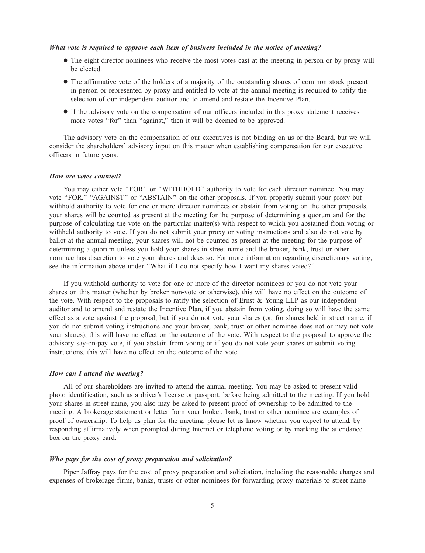#### *What vote is required to approve each item of business included in the notice of meeting?*

- The eight director nominees who receive the most votes cast at the meeting in person or by proxy will be elected.
- The affirmative vote of the holders of a majority of the outstanding shares of common stock present in person or represented by proxy and entitled to vote at the annual meeting is required to ratify the selection of our independent auditor and to amend and restate the Incentive Plan.
- If the advisory vote on the compensation of our officers included in this proxy statement receives more votes ''for'' than ''against,'' then it will be deemed to be approved.

The advisory vote on the compensation of our executives is not binding on us or the Board, but we will consider the shareholders' advisory input on this matter when establishing compensation for our executive officers in future years.

#### *How are votes counted?*

You may either vote "FOR" or "WITHHOLD" authority to vote for each director nominee. You may vote ''FOR,'' ''AGAINST'' or ''ABSTAIN'' on the other proposals. If you properly submit your proxy but withhold authority to vote for one or more director nominees or abstain from voting on the other proposals, your shares will be counted as present at the meeting for the purpose of determining a quorum and for the purpose of calculating the vote on the particular matter(s) with respect to which you abstained from voting or withheld authority to vote. If you do not submit your proxy or voting instructions and also do not vote by ballot at the annual meeting, your shares will not be counted as present at the meeting for the purpose of determining a quorum unless you hold your shares in street name and the broker, bank, trust or other nominee has discretion to vote your shares and does so. For more information regarding discretionary voting, see the information above under ''What if I do not specify how I want my shares voted?''

If you withhold authority to vote for one or more of the director nominees or you do not vote your shares on this matter (whether by broker non-vote or otherwise), this will have no effect on the outcome of the vote. With respect to the proposals to ratify the selection of Ernst  $\&$  Young LLP as our independent auditor and to amend and restate the Incentive Plan, if you abstain from voting, doing so will have the same effect as a vote against the proposal, but if you do not vote your shares (or, for shares held in street name, if you do not submit voting instructions and your broker, bank, trust or other nominee does not or may not vote your shares), this will have no effect on the outcome of the vote. With respect to the proposal to approve the advisory say-on-pay vote, if you abstain from voting or if you do not vote your shares or submit voting instructions, this will have no effect on the outcome of the vote.

#### *How can I attend the meeting?*

All of our shareholders are invited to attend the annual meeting. You may be asked to present valid photo identification, such as a driver's license or passport, before being admitted to the meeting. If you hold your shares in street name, you also may be asked to present proof of ownership to be admitted to the meeting. A brokerage statement or letter from your broker, bank, trust or other nominee are examples of proof of ownership. To help us plan for the meeting, please let us know whether you expect to attend, by responding affirmatively when prompted during Internet or telephone voting or by marking the attendance box on the proxy card.

## *Who pays for the cost of proxy preparation and solicitation?*

Piper Jaffray pays for the cost of proxy preparation and solicitation, including the reasonable charges and expenses of brokerage firms, banks, trusts or other nominees for forwarding proxy materials to street name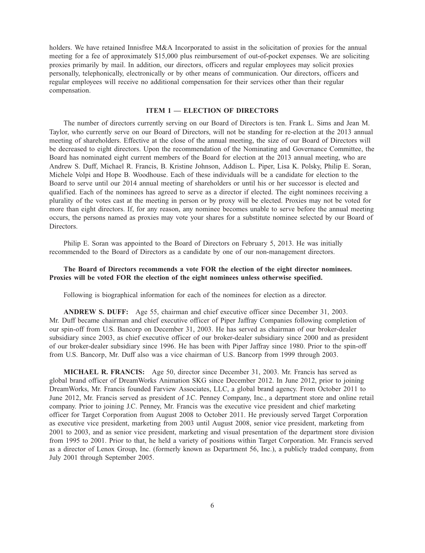holders. We have retained Innisfree M&A Incorporated to assist in the solicitation of proxies for the annual meeting for a fee of approximately \$15,000 plus reimbursement of out-of-pocket expenses. We are soliciting proxies primarily by mail. In addition, our directors, officers and regular employees may solicit proxies personally, telephonically, electronically or by other means of communication. Our directors, officers and regular employees will receive no additional compensation for their services other than their regular compensation.

#### **ITEM 1 — ELECTION OF DIRECTORS**

The number of directors currently serving on our Board of Directors is ten. Frank L. Sims and Jean M. Taylor, who currently serve on our Board of Directors, will not be standing for re-election at the 2013 annual meeting of shareholders. Effective at the close of the annual meeting, the size of our Board of Directors will be decreased to eight directors. Upon the recommendation of the Nominating and Governance Committee, the Board has nominated eight current members of the Board for election at the 2013 annual meeting, who are Andrew S. Duff, Michael R. Francis, B. Kristine Johnson, Addison L. Piper, Lisa K. Polsky, Philip E. Soran, Michele Volpi and Hope B. Woodhouse. Each of these individuals will be a candidate for election to the Board to serve until our 2014 annual meeting of shareholders or until his or her successor is elected and qualified. Each of the nominees has agreed to serve as a director if elected. The eight nominees receiving a plurality of the votes cast at the meeting in person or by proxy will be elected. Proxies may not be voted for more than eight directors. If, for any reason, any nominee becomes unable to serve before the annual meeting occurs, the persons named as proxies may vote your shares for a substitute nominee selected by our Board of Directors.

Philip E. Soran was appointed to the Board of Directors on February 5, 2013. He was initially recommended to the Board of Directors as a candidate by one of our non-management directors.

# **The Board of Directors recommends a vote FOR the election of the eight director nominees. Proxies will be voted FOR the election of the eight nominees unless otherwise specified.**

Following is biographical information for each of the nominees for election as a director.

**ANDREW S. DUFF:** Age 55, chairman and chief executive officer since December 31, 2003. Mr. Duff became chairman and chief executive officer of Piper Jaffray Companies following completion of our spin-off from U.S. Bancorp on December 31, 2003. He has served as chairman of our broker-dealer subsidiary since 2003, as chief executive officer of our broker-dealer subsidiary since 2000 and as president of our broker-dealer subsidiary since 1996. He has been with Piper Jaffray since 1980. Prior to the spin-off from U.S. Bancorp, Mr. Duff also was a vice chairman of U.S. Bancorp from 1999 through 2003.

**MICHAEL R. FRANCIS:** Age 50, director since December 31, 2003. Mr. Francis has served as global brand officer of DreamWorks Animation SKG since December 2012. In June 2012, prior to joining DreamWorks, Mr. Francis founded Farview Associates, LLC, a global brand agency. From October 2011 to June 2012, Mr. Francis served as president of J.C. Penney Company, Inc., a department store and online retail company. Prior to joining J.C. Penney, Mr. Francis was the executive vice president and chief marketing officer for Target Corporation from August 2008 to October 2011. He previously served Target Corporation as executive vice president, marketing from 2003 until August 2008, senior vice president, marketing from 2001 to 2003, and as senior vice president, marketing and visual presentation of the department store division from 1995 to 2001. Prior to that, he held a variety of positions within Target Corporation. Mr. Francis served as a director of Lenox Group, Inc. (formerly known as Department 56, Inc.), a publicly traded company, from July 2001 through September 2005.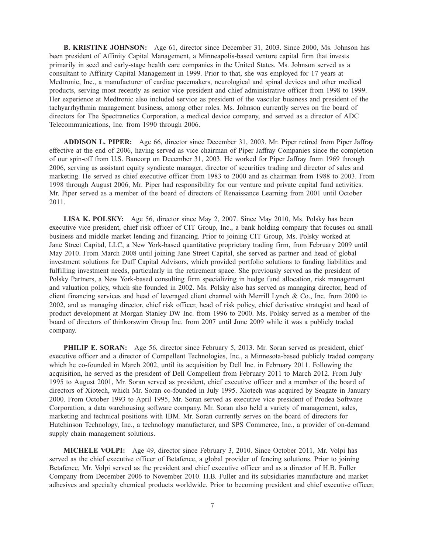**B. KRISTINE JOHNSON:** Age 61, director since December 31, 2003. Since 2000, Ms. Johnson has been president of Affinity Capital Management, a Minneapolis-based venture capital firm that invests primarily in seed and early-stage health care companies in the United States. Ms. Johnson served as a consultant to Affinity Capital Management in 1999. Prior to that, she was employed for 17 years at Medtronic, Inc., a manufacturer of cardiac pacemakers, neurological and spinal devices and other medical products, serving most recently as senior vice president and chief administrative officer from 1998 to 1999. Her experience at Medtronic also included service as president of the vascular business and president of the tachyarrhythmia management business, among other roles. Ms. Johnson currently serves on the board of directors for The Spectranetics Corporation, a medical device company, and served as a director of ADC Telecommunications, Inc. from 1990 through 2006.

**ADDISON L. PIPER:** Age 66, director since December 31, 2003. Mr. Piper retired from Piper Jaffray effective at the end of 2006, having served as vice chairman of Piper Jaffray Companies since the completion of our spin-off from U.S. Bancorp on December 31, 2003. He worked for Piper Jaffray from 1969 through 2006, serving as assistant equity syndicate manager, director of securities trading and director of sales and marketing. He served as chief executive officer from 1983 to 2000 and as chairman from 1988 to 2003. From 1998 through August 2006, Mr. Piper had responsibility for our venture and private capital fund activities. Mr. Piper served as a member of the board of directors of Renaissance Learning from 2001 until October 2011.

**LISA K. POLSKY:** Age 56, director since May 2, 2007. Since May 2010, Ms. Polsky has been executive vice president, chief risk officer of CIT Group, Inc., a bank holding company that focuses on small business and middle market lending and financing. Prior to joining CIT Group, Ms. Polsky worked at Jane Street Capital, LLC, a New York-based quantitative proprietary trading firm, from February 2009 until May 2010. From March 2008 until joining Jane Street Capital, she served as partner and head of global investment solutions for Duff Capital Advisors, which provided portfolio solutions to funding liabilities and fulfilling investment needs, particularly in the retirement space. She previously served as the president of Polsky Partners, a New York-based consulting firm specializing in hedge fund allocation, risk management and valuation policy, which she founded in 2002. Ms. Polsky also has served as managing director, head of client financing services and head of leveraged client channel with Merrill Lynch & Co., Inc. from 2000 to 2002, and as managing director, chief risk officer, head of risk policy, chief derivative strategist and head of product development at Morgan Stanley DW Inc. from 1996 to 2000. Ms. Polsky served as a member of the board of directors of thinkorswim Group Inc. from 2007 until June 2009 while it was a publicly traded company.

**PHILIP E. SORAN:** Age 56, director since February 5, 2013. Mr. Soran served as president, chief executive officer and a director of Compellent Technologies, Inc., a Minnesota-based publicly traded company which he co-founded in March 2002, until its acquisition by Dell Inc. in February 2011. Following the acquisition, he served as the president of Dell Compellent from February 2011 to March 2012. From July 1995 to August 2001, Mr. Soran served as president, chief executive officer and a member of the board of directors of Xiotech, which Mr. Soran co-founded in July 1995. Xiotech was acquired by Seagate in January 2000. From October 1993 to April 1995, Mr. Soran served as executive vice president of Prodea Software Corporation, a data warehousing software company. Mr. Soran also held a variety of management, sales, marketing and technical positions with IBM. Mr. Soran currently serves on the board of directors for Hutchinson Technology, Inc., a technology manufacturer, and SPS Commerce, Inc., a provider of on-demand supply chain management solutions.

**MICHELE VOLPI:** Age 49, director since February 3, 2010. Since October 2011, Mr. Volpi has served as the chief executive officer of Betafence, a global provider of fencing solutions. Prior to joining Betafence, Mr. Volpi served as the president and chief executive officer and as a director of H.B. Fuller Company from December 2006 to November 2010. H.B. Fuller and its subsidiaries manufacture and market adhesives and specialty chemical products worldwide. Prior to becoming president and chief executive officer,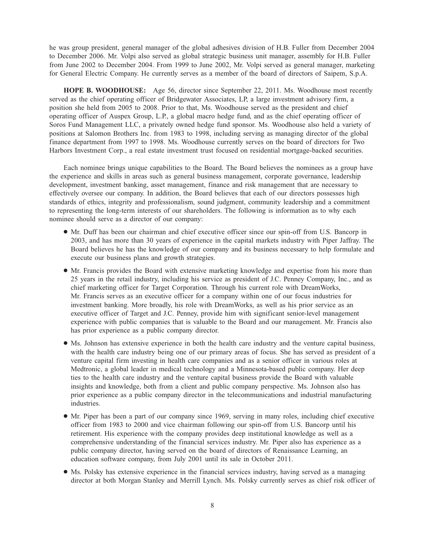he was group president, general manager of the global adhesives division of H.B. Fuller from December 2004 to December 2006. Mr. Volpi also served as global strategic business unit manager, assembly for H.B. Fuller from June 2002 to December 2004. From 1999 to June 2002, Mr. Volpi served as general manager, marketing for General Electric Company. He currently serves as a member of the board of directors of Saipem, S.p.A.

**HOPE B. WOODHOUSE:** Age 56, director since September 22, 2011. Ms. Woodhouse most recently served as the chief operating officer of Bridgewater Associates, LP, a large investment advisory firm, a position she held from 2005 to 2008. Prior to that, Ms. Woodhouse served as the president and chief operating officer of Auspex Group, L.P., a global macro hedge fund, and as the chief operating officer of Soros Fund Management LLC, a privately owned hedge fund sponsor. Ms. Woodhouse also held a variety of positions at Salomon Brothers Inc. from 1983 to 1998, including serving as managing director of the global finance department from 1997 to 1998. Ms. Woodhouse currently serves on the board of directors for Two Harbors Investment Corp., a real estate investment trust focused on residential mortgage-backed securities.

Each nominee brings unique capabilities to the Board. The Board believes the nominees as a group have the experience and skills in areas such as general business management, corporate governance, leadership development, investment banking, asset management, finance and risk management that are necessary to effectively oversee our company. In addition, the Board believes that each of our directors possesses high standards of ethics, integrity and professionalism, sound judgment, community leadership and a commitment to representing the long-term interests of our shareholders. The following is information as to why each nominee should serve as a director of our company:

- Mr. Duff has been our chairman and chief executive officer since our spin-off from U.S. Bancorp in 2003, and has more than 30 years of experience in the capital markets industry with Piper Jaffray. The Board believes he has the knowledge of our company and its business necessary to help formulate and execute our business plans and growth strategies.
- Mr. Francis provides the Board with extensive marketing knowledge and expertise from his more than 25 years in the retail industry, including his service as president of J.C. Penney Company, Inc., and as chief marketing officer for Target Corporation. Through his current role with DreamWorks, Mr. Francis serves as an executive officer for a company within one of our focus industries for investment banking. More broadly, his role with DreamWorks, as well as his prior service as an executive officer of Target and J.C. Penney, provide him with significant senior-level management experience with public companies that is valuable to the Board and our management. Mr. Francis also has prior experience as a public company director.
- Ms. Johnson has extensive experience in both the health care industry and the venture capital business, with the health care industry being one of our primary areas of focus. She has served as president of a venture capital firm investing in health care companies and as a senior officer in various roles at Medtronic, a global leader in medical technology and a Minnesota-based public company. Her deep ties to the health care industry and the venture capital business provide the Board with valuable insights and knowledge, both from a client and public company perspective. Ms. Johnson also has prior experience as a public company director in the telecommunications and industrial manufacturing industries.
- Mr. Piper has been a part of our company since 1969, serving in many roles, including chief executive officer from 1983 to 2000 and vice chairman following our spin-off from U.S. Bancorp until his retirement. His experience with the company provides deep institutional knowledge as well as a comprehensive understanding of the financial services industry. Mr. Piper also has experience as a public company director, having served on the board of directors of Renaissance Learning, an education software company, from July 2001 until its sale in October 2011.
- Ms. Polsky has extensive experience in the financial services industry, having served as a managing director at both Morgan Stanley and Merrill Lynch. Ms. Polsky currently serves as chief risk officer of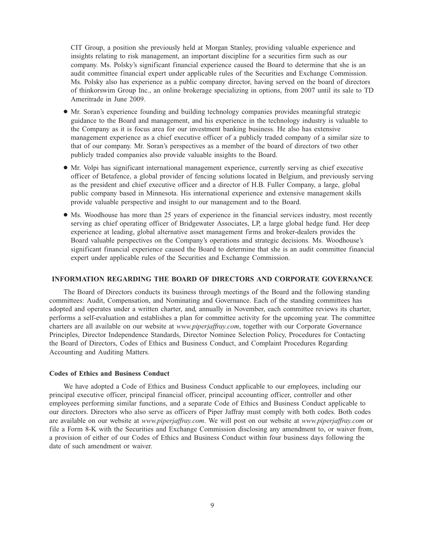CIT Group, a position she previously held at Morgan Stanley, providing valuable experience and insights relating to risk management, an important discipline for a securities firm such as our company. Ms. Polsky's significant financial experience caused the Board to determine that she is an audit committee financial expert under applicable rules of the Securities and Exchange Commission. Ms. Polsky also has experience as a public company director, having served on the board of directors of thinkorswim Group Inc., an online brokerage specializing in options, from 2007 until its sale to TD Ameritrade in June 2009.

- Mr. Soran's experience founding and building technology companies provides meaningful strategic guidance to the Board and management, and his experience in the technology industry is valuable to the Company as it is focus area for our investment banking business. He also has extensive management experience as a chief executive officer of a publicly traded company of a similar size to that of our company. Mr. Soran's perspectives as a member of the board of directors of two other publicly traded companies also provide valuable insights to the Board.
- Mr. Volpi has significant international management experience, currently serving as chief executive officer of Betafence, a global provider of fencing solutions located in Belgium, and previously serving as the president and chief executive officer and a director of H.B. Fuller Company, a large, global public company based in Minnesota. His international experience and extensive management skills provide valuable perspective and insight to our management and to the Board.
- Ms. Woodhouse has more than 25 years of experience in the financial services industry, most recently serving as chief operating officer of Bridgewater Associates, LP, a large global hedge fund. Her deep experience at leading, global alternative asset management firms and broker-dealers provides the Board valuable perspectives on the Company's operations and strategic decisions. Ms. Woodhouse's significant financial experience caused the Board to determine that she is an audit committee financial expert under applicable rules of the Securities and Exchange Commission.

## **INFORMATION REGARDING THE BOARD OF DIRECTORS AND CORPORATE GOVERNANCE**

The Board of Directors conducts its business through meetings of the Board and the following standing committees: Audit, Compensation, and Nominating and Governance. Each of the standing committees has adopted and operates under a written charter, and, annually in November, each committee reviews its charter, performs a self-evaluation and establishes a plan for committee activity for the upcoming year. The committee charters are all available on our website at *www.piperjaffray.com*, together with our Corporate Governance Principles, Director Independence Standards, Director Nominee Selection Policy, Procedures for Contacting the Board of Directors, Codes of Ethics and Business Conduct, and Complaint Procedures Regarding Accounting and Auditing Matters.

#### **Codes of Ethics and Business Conduct**

We have adopted a Code of Ethics and Business Conduct applicable to our employees, including our principal executive officer, principal financial officer, principal accounting officer, controller and other employees performing similar functions, and a separate Code of Ethics and Business Conduct applicable to our directors. Directors who also serve as officers of Piper Jaffray must comply with both codes. Both codes are available on our website at *www.piperjaffray.com*. We will post on our website at *www.piperjaffray.com* or file a Form 8-K with the Securities and Exchange Commission disclosing any amendment to, or waiver from, a provision of either of our Codes of Ethics and Business Conduct within four business days following the date of such amendment or waiver.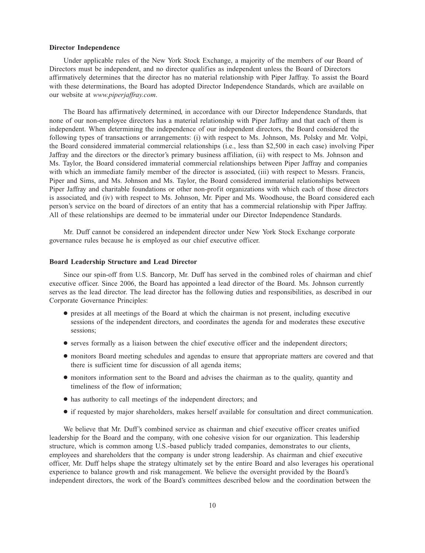#### **Director Independence**

Under applicable rules of the New York Stock Exchange, a majority of the members of our Board of Directors must be independent, and no director qualifies as independent unless the Board of Directors affirmatively determines that the director has no material relationship with Piper Jaffray. To assist the Board with these determinations, the Board has adopted Director Independence Standards, which are available on our website at *www.piperjaffray.com*.

The Board has affirmatively determined, in accordance with our Director Independence Standards, that none of our non-employee directors has a material relationship with Piper Jaffray and that each of them is independent. When determining the independence of our independent directors, the Board considered the following types of transactions or arrangements: (i) with respect to Ms. Johnson, Ms. Polsky and Mr. Volpi, the Board considered immaterial commercial relationships (i.e., less than \$2,500 in each case) involving Piper Jaffray and the directors or the director's primary business affiliation, (ii) with respect to Ms. Johnson and Ms. Taylor, the Board considered immaterial commercial relationships between Piper Jaffray and companies with which an immediate family member of the director is associated, (iii) with respect to Messrs. Francis, Piper and Sims, and Ms. Johnson and Ms. Taylor, the Board considered immaterial relationships between Piper Jaffray and charitable foundations or other non-profit organizations with which each of those directors is associated, and (iv) with respect to Ms. Johnson, Mr. Piper and Ms. Woodhouse, the Board considered each person's service on the board of directors of an entity that has a commercial relationship with Piper Jaffray. All of these relationships are deemed to be immaterial under our Director Independence Standards.

Mr. Duff cannot be considered an independent director under New York Stock Exchange corporate governance rules because he is employed as our chief executive officer.

#### **Board Leadership Structure and Lead Director**

Since our spin-off from U.S. Bancorp, Mr. Duff has served in the combined roles of chairman and chief executive officer. Since 2006, the Board has appointed a lead director of the Board. Ms. Johnson currently serves as the lead director. The lead director has the following duties and responsibilities, as described in our Corporate Governance Principles:

- presides at all meetings of the Board at which the chairman is not present, including executive sessions of the independent directors, and coordinates the agenda for and moderates these executive sessions;
- serves formally as a liaison between the chief executive officer and the independent directors;
- monitors Board meeting schedules and agendas to ensure that appropriate matters are covered and that there is sufficient time for discussion of all agenda items;
- monitors information sent to the Board and advises the chairman as to the quality, quantity and timeliness of the flow of information;
- has authority to call meetings of the independent directors; and
- if requested by major shareholders, makes herself available for consultation and direct communication.

We believe that Mr. Duff's combined service as chairman and chief executive officer creates unified leadership for the Board and the company, with one cohesive vision for our organization. This leadership structure, which is common among U.S.-based publicly traded companies, demonstrates to our clients, employees and shareholders that the company is under strong leadership. As chairman and chief executive officer, Mr. Duff helps shape the strategy ultimately set by the entire Board and also leverages his operational experience to balance growth and risk management. We believe the oversight provided by the Board's independent directors, the work of the Board's committees described below and the coordination between the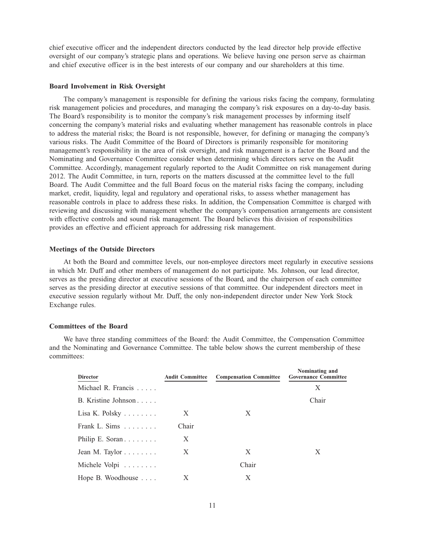chief executive officer and the independent directors conducted by the lead director help provide effective oversight of our company's strategic plans and operations. We believe having one person serve as chairman and chief executive officer is in the best interests of our company and our shareholders at this time.

#### **Board Involvement in Risk Oversight**

The company's management is responsible for defining the various risks facing the company, formulating risk management policies and procedures, and managing the company's risk exposures on a day-to-day basis. The Board's responsibility is to monitor the company's risk management processes by informing itself concerning the company's material risks and evaluating whether management has reasonable controls in place to address the material risks; the Board is not responsible, however, for defining or managing the company's various risks. The Audit Committee of the Board of Directors is primarily responsible for monitoring management's responsibility in the area of risk oversight, and risk management is a factor the Board and the Nominating and Governance Committee consider when determining which directors serve on the Audit Committee. Accordingly, management regularly reported to the Audit Committee on risk management during 2012. The Audit Committee, in turn, reports on the matters discussed at the committee level to the full Board. The Audit Committee and the full Board focus on the material risks facing the company, including market, credit, liquidity, legal and regulatory and operational risks, to assess whether management has reasonable controls in place to address these risks. In addition, the Compensation Committee is charged with reviewing and discussing with management whether the company's compensation arrangements are consistent with effective controls and sound risk management. The Board believes this division of responsibilities provides an effective and efficient approach for addressing risk management.

## **Meetings of the Outside Directors**

At both the Board and committee levels, our non-employee directors meet regularly in executive sessions in which Mr. Duff and other members of management do not participate. Ms. Johnson, our lead director, serves as the presiding director at executive sessions of the Board, and the chairperson of each committee serves as the presiding director at executive sessions of that committee. Our independent directors meet in executive session regularly without Mr. Duff, the only non-independent director under New York Stock Exchange rules.

#### **Committees of the Board**

We have three standing committees of the Board: the Audit Committee, the Compensation Committee and the Nominating and Governance Committee. The table below shows the current membership of these committees:

| <b>Director</b>               | <b>Audit Committee</b> | <b>Compensation Committee</b> | Nominating and<br><b>Governance Committee</b> |
|-------------------------------|------------------------|-------------------------------|-----------------------------------------------|
| Michael R. Francis            |                        |                               | X                                             |
| B. Kristine Johnson           |                        |                               | Chair                                         |
| Lisa K. Polsky $\dots \dots$  | X                      | X                             |                                               |
| Frank L. Sims $\ldots \ldots$ | Chair                  |                               |                                               |
| Philip E. Soran               | X                      |                               |                                               |
| Jean M. Taylor $\dots \dots$  | X                      | X                             | X                                             |
| Michele Volpi                 |                        | Chair                         |                                               |
| Hope B. Woodhouse             | X                      | X                             |                                               |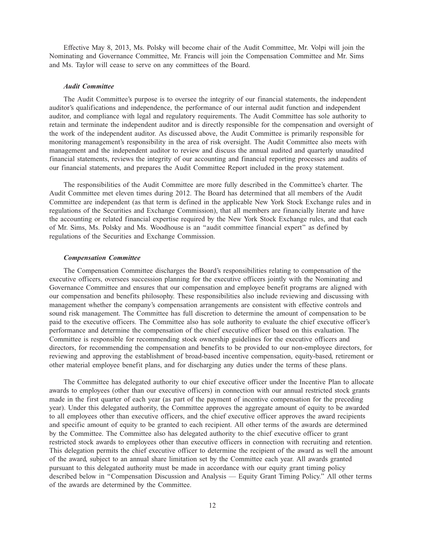Effective May 8, 2013, Ms. Polsky will become chair of the Audit Committee, Mr. Volpi will join the Nominating and Governance Committee, Mr. Francis will join the Compensation Committee and Mr. Sims and Ms. Taylor will cease to serve on any committees of the Board.

#### *Audit Committee*

The Audit Committee's purpose is to oversee the integrity of our financial statements, the independent auditor's qualifications and independence, the performance of our internal audit function and independent auditor, and compliance with legal and regulatory requirements. The Audit Committee has sole authority to retain and terminate the independent auditor and is directly responsible for the compensation and oversight of the work of the independent auditor. As discussed above, the Audit Committee is primarily responsible for monitoring management's responsibility in the area of risk oversight. The Audit Committee also meets with management and the independent auditor to review and discuss the annual audited and quarterly unaudited financial statements, reviews the integrity of our accounting and financial reporting processes and audits of our financial statements, and prepares the Audit Committee Report included in the proxy statement.

The responsibilities of the Audit Committee are more fully described in the Committee's charter. The Audit Committee met eleven times during 2012. The Board has determined that all members of the Audit Committee are independent (as that term is defined in the applicable New York Stock Exchange rules and in regulations of the Securities and Exchange Commission), that all members are financially literate and have the accounting or related financial expertise required by the New York Stock Exchange rules, and that each of Mr. Sims, Ms. Polsky and Ms. Woodhouse is an ''audit committee financial expert'' as defined by regulations of the Securities and Exchange Commission.

#### *Compensation Committee*

The Compensation Committee discharges the Board's responsibilities relating to compensation of the executive officers, oversees succession planning for the executive officers jointly with the Nominating and Governance Committee and ensures that our compensation and employee benefit programs are aligned with our compensation and benefits philosophy. These responsibilities also include reviewing and discussing with management whether the company's compensation arrangements are consistent with effective controls and sound risk management. The Committee has full discretion to determine the amount of compensation to be paid to the executive officers. The Committee also has sole authority to evaluate the chief executive officer's performance and determine the compensation of the chief executive officer based on this evaluation. The Committee is responsible for recommending stock ownership guidelines for the executive officers and directors, for recommending the compensation and benefits to be provided to our non-employee directors, for reviewing and approving the establishment of broad-based incentive compensation, equity-based, retirement or other material employee benefit plans, and for discharging any duties under the terms of these plans.

The Committee has delegated authority to our chief executive officer under the Incentive Plan to allocate awards to employees (other than our executive officers) in connection with our annual restricted stock grants made in the first quarter of each year (as part of the payment of incentive compensation for the preceding year). Under this delegated authority, the Committee approves the aggregate amount of equity to be awarded to all employees other than executive officers, and the chief executive officer approves the award recipients and specific amount of equity to be granted to each recipient. All other terms of the awards are determined by the Committee. The Committee also has delegated authority to the chief executive officer to grant restricted stock awards to employees other than executive officers in connection with recruiting and retention. This delegation permits the chief executive officer to determine the recipient of the award as well the amount of the award, subject to an annual share limitation set by the Committee each year. All awards granted pursuant to this delegated authority must be made in accordance with our equity grant timing policy described below in "Compensation Discussion and Analysis — Equity Grant Timing Policy." All other terms of the awards are determined by the Committee.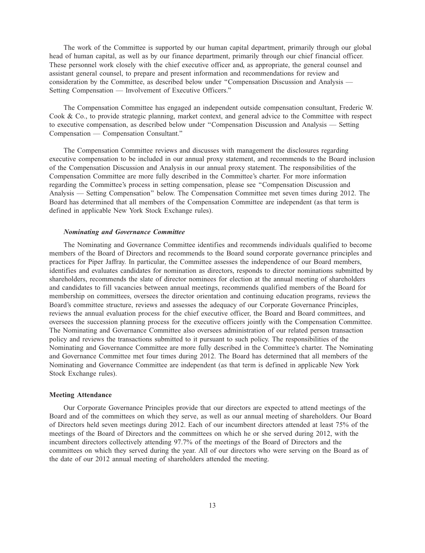The work of the Committee is supported by our human capital department, primarily through our global head of human capital, as well as by our finance department, primarily through our chief financial officer. These personnel work closely with the chief executive officer and, as appropriate, the general counsel and assistant general counsel, to prepare and present information and recommendations for review and consideration by the Committee, as described below under ''Compensation Discussion and Analysis — Setting Compensation — Involvement of Executive Officers.''

The Compensation Committee has engaged an independent outside compensation consultant, Frederic W. Cook & Co., to provide strategic planning, market context, and general advice to the Committee with respect to executive compensation, as described below under ''Compensation Discussion and Analysis — Setting Compensation — Compensation Consultant.''

The Compensation Committee reviews and discusses with management the disclosures regarding executive compensation to be included in our annual proxy statement, and recommends to the Board inclusion of the Compensation Discussion and Analysis in our annual proxy statement. The responsibilities of the Compensation Committee are more fully described in the Committee's charter. For more information regarding the Committee's process in setting compensation, please see ''Compensation Discussion and Analysis — Setting Compensation'' below. The Compensation Committee met seven times during 2012. The Board has determined that all members of the Compensation Committee are independent (as that term is defined in applicable New York Stock Exchange rules).

## *Nominating and Governance Committee*

The Nominating and Governance Committee identifies and recommends individuals qualified to become members of the Board of Directors and recommends to the Board sound corporate governance principles and practices for Piper Jaffray. In particular, the Committee assesses the independence of our Board members, identifies and evaluates candidates for nomination as directors, responds to director nominations submitted by shareholders, recommends the slate of director nominees for election at the annual meeting of shareholders and candidates to fill vacancies between annual meetings, recommends qualified members of the Board for membership on committees, oversees the director orientation and continuing education programs, reviews the Board's committee structure, reviews and assesses the adequacy of our Corporate Governance Principles, reviews the annual evaluation process for the chief executive officer, the Board and Board committees, and oversees the succession planning process for the executive officers jointly with the Compensation Committee. The Nominating and Governance Committee also oversees administration of our related person transaction policy and reviews the transactions submitted to it pursuant to such policy. The responsibilities of the Nominating and Governance Committee are more fully described in the Committee's charter. The Nominating and Governance Committee met four times during 2012. The Board has determined that all members of the Nominating and Governance Committee are independent (as that term is defined in applicable New York Stock Exchange rules).

## **Meeting Attendance**

Our Corporate Governance Principles provide that our directors are expected to attend meetings of the Board and of the committees on which they serve, as well as our annual meeting of shareholders. Our Board of Directors held seven meetings during 2012. Each of our incumbent directors attended at least 75% of the meetings of the Board of Directors and the committees on which he or she served during 2012, with the incumbent directors collectively attending 97.7% of the meetings of the Board of Directors and the committees on which they served during the year. All of our directors who were serving on the Board as of the date of our 2012 annual meeting of shareholders attended the meeting.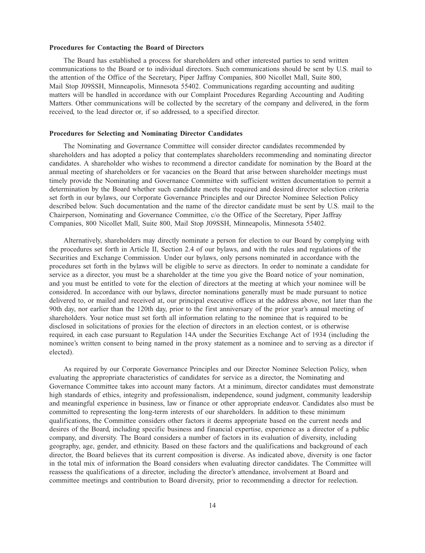#### **Procedures for Contacting the Board of Directors**

The Board has established a process for shareholders and other interested parties to send written communications to the Board or to individual directors. Such communications should be sent by U.S. mail to the attention of the Office of the Secretary, Piper Jaffray Companies, 800 Nicollet Mall, Suite 800, Mail Stop J09SSH, Minneapolis, Minnesota 55402. Communications regarding accounting and auditing matters will be handled in accordance with our Complaint Procedures Regarding Accounting and Auditing Matters. Other communications will be collected by the secretary of the company and delivered, in the form received, to the lead director or, if so addressed, to a specified director.

#### **Procedures for Selecting and Nominating Director Candidates**

The Nominating and Governance Committee will consider director candidates recommended by shareholders and has adopted a policy that contemplates shareholders recommending and nominating director candidates. A shareholder who wishes to recommend a director candidate for nomination by the Board at the annual meeting of shareholders or for vacancies on the Board that arise between shareholder meetings must timely provide the Nominating and Governance Committee with sufficient written documentation to permit a determination by the Board whether such candidate meets the required and desired director selection criteria set forth in our bylaws, our Corporate Governance Principles and our Director Nominee Selection Policy described below. Such documentation and the name of the director candidate must be sent by U.S. mail to the Chairperson, Nominating and Governance Committee, c/o the Office of the Secretary, Piper Jaffray Companies, 800 Nicollet Mall, Suite 800, Mail Stop J09SSH, Minneapolis, Minnesota 55402.

Alternatively, shareholders may directly nominate a person for election to our Board by complying with the procedures set forth in Article II, Section 2.4 of our bylaws, and with the rules and regulations of the Securities and Exchange Commission. Under our bylaws, only persons nominated in accordance with the procedures set forth in the bylaws will be eligible to serve as directors. In order to nominate a candidate for service as a director, you must be a shareholder at the time you give the Board notice of your nomination, and you must be entitled to vote for the election of directors at the meeting at which your nominee will be considered. In accordance with our bylaws, director nominations generally must be made pursuant to notice delivered to, or mailed and received at, our principal executive offices at the address above, not later than the 90th day, nor earlier than the 120th day, prior to the first anniversary of the prior year's annual meeting of shareholders. Your notice must set forth all information relating to the nominee that is required to be disclosed in solicitations of proxies for the election of directors in an election contest, or is otherwise required, in each case pursuant to Regulation 14A under the Securities Exchange Act of 1934 (including the nominee's written consent to being named in the proxy statement as a nominee and to serving as a director if elected).

As required by our Corporate Governance Principles and our Director Nominee Selection Policy, when evaluating the appropriate characteristics of candidates for service as a director, the Nominating and Governance Committee takes into account many factors. At a minimum, director candidates must demonstrate high standards of ethics, integrity and professionalism, independence, sound judgment, community leadership and meaningful experience in business, law or finance or other appropriate endeavor. Candidates also must be committed to representing the long-term interests of our shareholders. In addition to these minimum qualifications, the Committee considers other factors it deems appropriate based on the current needs and desires of the Board, including specific business and financial expertise, experience as a director of a public company, and diversity. The Board considers a number of factors in its evaluation of diversity, including geography, age, gender, and ethnicity. Based on these factors and the qualifications and background of each director, the Board believes that its current composition is diverse. As indicated above, diversity is one factor in the total mix of information the Board considers when evaluating director candidates. The Committee will reassess the qualifications of a director, including the director's attendance, involvement at Board and committee meetings and contribution to Board diversity, prior to recommending a director for reelection.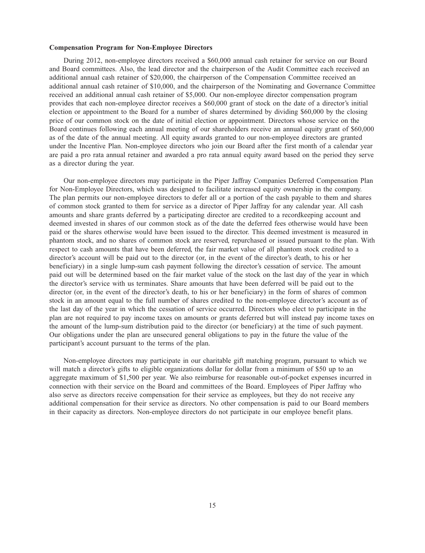#### **Compensation Program for Non-Employee Directors**

During 2012, non-employee directors received a \$60,000 annual cash retainer for service on our Board and Board committees. Also, the lead director and the chairperson of the Audit Committee each received an additional annual cash retainer of \$20,000, the chairperson of the Compensation Committee received an additional annual cash retainer of \$10,000, and the chairperson of the Nominating and Governance Committee received an additional annual cash retainer of \$5,000. Our non-employee director compensation program provides that each non-employee director receives a \$60,000 grant of stock on the date of a director's initial election or appointment to the Board for a number of shares determined by dividing \$60,000 by the closing price of our common stock on the date of initial election or appointment. Directors whose service on the Board continues following each annual meeting of our shareholders receive an annual equity grant of \$60,000 as of the date of the annual meeting. All equity awards granted to our non-employee directors are granted under the Incentive Plan. Non-employee directors who join our Board after the first month of a calendar year are paid a pro rata annual retainer and awarded a pro rata annual equity award based on the period they serve as a director during the year.

Our non-employee directors may participate in the Piper Jaffray Companies Deferred Compensation Plan for Non-Employee Directors, which was designed to facilitate increased equity ownership in the company. The plan permits our non-employee directors to defer all or a portion of the cash payable to them and shares of common stock granted to them for service as a director of Piper Jaffray for any calendar year. All cash amounts and share grants deferred by a participating director are credited to a recordkeeping account and deemed invested in shares of our common stock as of the date the deferred fees otherwise would have been paid or the shares otherwise would have been issued to the director. This deemed investment is measured in phantom stock, and no shares of common stock are reserved, repurchased or issued pursuant to the plan. With respect to cash amounts that have been deferred, the fair market value of all phantom stock credited to a director's account will be paid out to the director (or, in the event of the director's death, to his or her beneficiary) in a single lump-sum cash payment following the director's cessation of service. The amount paid out will be determined based on the fair market value of the stock on the last day of the year in which the director's service with us terminates. Share amounts that have been deferred will be paid out to the director (or, in the event of the director's death, to his or her beneficiary) in the form of shares of common stock in an amount equal to the full number of shares credited to the non-employee director's account as of the last day of the year in which the cessation of service occurred. Directors who elect to participate in the plan are not required to pay income taxes on amounts or grants deferred but will instead pay income taxes on the amount of the lump-sum distribution paid to the director (or beneficiary) at the time of such payment. Our obligations under the plan are unsecured general obligations to pay in the future the value of the participant's account pursuant to the terms of the plan.

Non-employee directors may participate in our charitable gift matching program, pursuant to which we will match a director's gifts to eligible organizations dollar for dollar from a minimum of \$50 up to an aggregate maximum of \$1,500 per year. We also reimburse for reasonable out-of-pocket expenses incurred in connection with their service on the Board and committees of the Board. Employees of Piper Jaffray who also serve as directors receive compensation for their service as employees, but they do not receive any additional compensation for their service as directors. No other compensation is paid to our Board members in their capacity as directors. Non-employee directors do not participate in our employee benefit plans.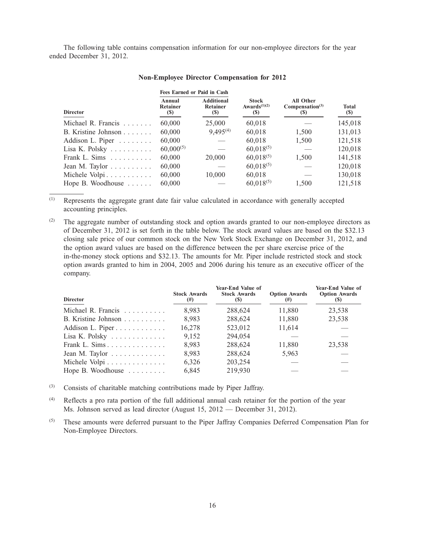The following table contains compensation information for our non-employee directors for the year ended December 31, 2012.

|                                      | <b>Fees Earned or Paid in Cash</b> |                                             |                                                                     |                                                                               |                     |  |
|--------------------------------------|------------------------------------|---------------------------------------------|---------------------------------------------------------------------|-------------------------------------------------------------------------------|---------------------|--|
| <b>Director</b>                      | Annual<br>Retainer<br><b>(S)</b>   | <b>Additional</b><br>Retainer<br><b>(S)</b> | <b>Stock</b><br>Awards <sup><math>(1)(2)</math></sup><br><b>(S)</b> | <b>All Other</b><br>Compensation <sup>(3)</sup><br>$\left( \mathbf{S}\right)$ | Total<br><b>(S)</b> |  |
| Michael R. Francis $\ldots$ .        | 60,000                             | 25,000                                      | 60,018                                                              |                                                                               | 145,018             |  |
| B. Kristine Johnson $\dots$          | 60,000                             | $9,495^{(4)}$                               | 60,018                                                              | 1,500                                                                         | 131,013             |  |
| Addison L. Piper $\dots \dots$       | 60,000                             |                                             | 60,018                                                              | 1,500                                                                         | 121,518             |  |
| Lisa K. Polsky $\dots \dots$         | $60,000^{(5)}$                     |                                             | $60,018^{(5)}$                                                      |                                                                               | 120,018             |  |
| Frank L. Sims $\ldots \ldots \ldots$ | 60,000                             | 20,000                                      | $60,018^{(5)}$                                                      | 1,500                                                                         | 141,518             |  |
| Jean M. Taylor $\dots \dots$         | 60,000                             |                                             | $60,018^{(5)}$                                                      |                                                                               | 120,018             |  |
| Michele Volpi                        | 60,000                             | 10,000                                      | 60,018                                                              |                                                                               | 130,018             |  |
| Hope B. Woodhouse $\ldots$           | 60,000                             |                                             | $60,018^{(5)}$                                                      | 1,500                                                                         | 121,518             |  |

## **Non-Employee Director Compensation for 2012**

(1) Represents the aggregate grant date fair value calculated in accordance with generally accepted accounting principles.

(2) The aggregate number of outstanding stock and option awards granted to our non-employee directors as of December 31, 2012 is set forth in the table below. The stock award values are based on the \$32.13 closing sale price of our common stock on the New York Stock Exchange on December 31, 2012, and the option award values are based on the difference between the per share exercise price of the in-the-money stock options and \$32.13. The amounts for Mr. Piper include restricted stock and stock option awards granted to him in 2004, 2005 and 2006 during his tenure as an executive officer of the company.

| <b>Director</b>                            | <b>Stock Awards</b><br>$^{(#)}$ | Year-End Value of<br><b>Stock Awards</b><br>(S) | <b>Option Awards</b><br>(#) | Year-End Value of<br><b>Option Awards</b><br>(S) |
|--------------------------------------------|---------------------------------|-------------------------------------------------|-----------------------------|--------------------------------------------------|
| Michael R. Francis $\ldots$ ,              | 8.983                           | 288,624                                         | 11,880                      | 23,538                                           |
| B. Kristine Johnson $\ldots \ldots \ldots$ | 8.983                           | 288,624                                         | 11,880                      | 23,538                                           |
| Addison L. Piper                           | 16,278                          | 523,012                                         | 11,614                      |                                                  |
| Lisa K. Polsky $\dots \dots \dots$         | 9.152                           | 294,054                                         |                             |                                                  |
| Frank L. Sims                              | 8.983                           | 288,624                                         | 11,880                      | 23.538                                           |
| Jean M. Taylor $\dots \dots \dots$         | 8.983                           | 288,624                                         | 5,963                       |                                                  |
| Michele Volpi                              | 6.326                           | 203,254                                         |                             |                                                  |
| Hope B. Woodhouse                          | 6.845                           | 219,930                                         |                             |                                                  |

(3) Consists of charitable matching contributions made by Piper Jaffray.

(4) Reflects a pro rata portion of the full additional annual cash retainer for the portion of the year Ms. Johnson served as lead director (August 15, 2012 — December 31, 2012).

(5) These amounts were deferred pursuant to the Piper Jaffray Companies Deferred Compensation Plan for Non-Employee Directors.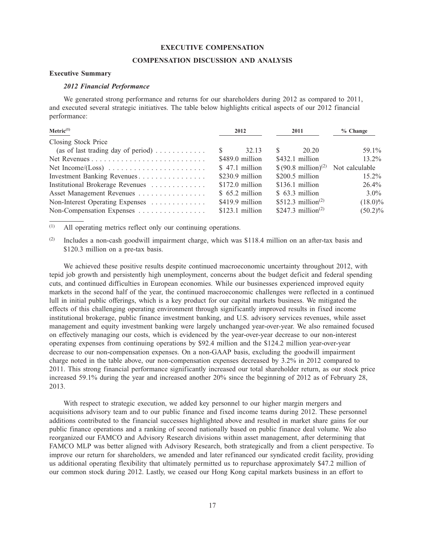#### **EXECUTIVE COMPENSATION**

#### **COMPENSATION DISCUSSION AND ANALYSIS**

# **Executive Summary**

# *2012 Financial Performance*

We generated strong performance and returns for our shareholders during 2012 as compared to 2011, and executed several strategic initiatives. The table below highlights critical aspects of our 2012 financial performance:

| Metric <sup>(1)</sup>                                  |   | 2012             |    | 2011                           | $%$ Change     |  |
|--------------------------------------------------------|---|------------------|----|--------------------------------|----------------|--|
| Closing Stock Price                                    |   |                  |    |                                |                |  |
| (as of last trading day of period) $\dots \dots \dots$ | S | 32.13            | S. | 20.20                          | 59.1%          |  |
|                                                        |   | \$489.0 million  |    | \$432.1 million                | $13.2\%$       |  |
|                                                        |   | \$47.1 million   |    | $$ (90.8 million)^{(2)}$$      | Not calculable |  |
| Investment Banking Revenues                            |   | $$230.9$ million |    | \$200.5 million                | $15.2\%$       |  |
| Institutional Brokerage Revenues                       |   | $$172.0$ million |    | $$136.1$ million               | 26.4%          |  |
| Asset Management Revenues                              |   | $$65.2$ million  |    | $$63.3$ million                | $3.0\%$        |  |
| Non-Interest Operating Expenses                        |   | \$419.9 million  |    | \$512.3 million <sup>(2)</sup> | $(18.0)\%$     |  |
| Non-Compensation Expenses                              |   | $$123.1$ million |    | \$247.3 million <sup>(2)</sup> | $(50.2)\%$     |  |

(1) All operating metrics reflect only our continuing operations.

 $(2)$  Includes a non-cash goodwill impairment charge, which was \$118.4 million on an after-tax basis and \$120.3 million on a pre-tax basis.

We achieved these positive results despite continued macroeconomic uncertainty throughout 2012, with tepid job growth and persistently high unemployment, concerns about the budget deficit and federal spending cuts, and continued difficulties in European economies. While our businesses experienced improved equity markets in the second half of the year, the continued macroeconomic challenges were reflected in a continued lull in initial public offerings, which is a key product for our capital markets business. We mitigated the effects of this challenging operating environment through significantly improved results in fixed income institutional brokerage, public finance investment banking, and U.S. advisory services revenues, while asset management and equity investment banking were largely unchanged year-over-year. We also remained focused on effectively managing our costs, which is evidenced by the year-over-year decrease to our non-interest operating expenses from continuing operations by \$92.4 million and the \$124.2 million year-over-year decrease to our non-compensation expenses. On a non-GAAP basis, excluding the goodwill impairment charge noted in the table above, our non-compensation expenses decreased by 3.2% in 2012 compared to 2011. This strong financial performance significantly increased our total shareholder return, as our stock price increased 59.1% during the year and increased another 20% since the beginning of 2012 as of February 28, 2013.

With respect to strategic execution, we added key personnel to our higher margin mergers and acquisitions advisory team and to our public finance and fixed income teams during 2012. These personnel additions contributed to the financial successes highlighted above and resulted in market share gains for our public finance operations and a ranking of second nationally based on public finance deal volume. We also reorganized our FAMCO and Advisory Research divisions within asset management, after determining that FAMCO MLP was better aligned with Advisory Research, both strategically and from a client perspective. To improve our return for shareholders, we amended and later refinanced our syndicated credit facility, providing us additional operating flexibility that ultimately permitted us to repurchase approximately \$47.2 million of our common stock during 2012. Lastly, we ceased our Hong Kong capital markets business in an effort to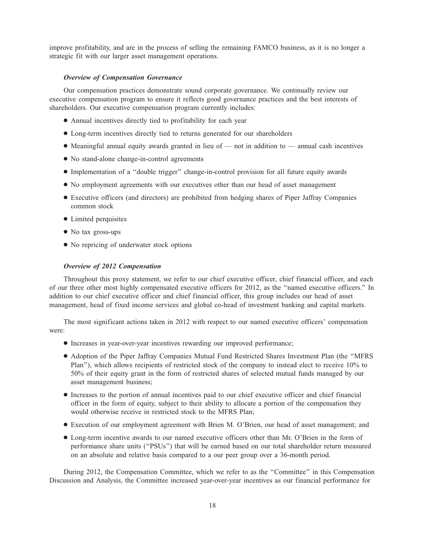improve profitability, and are in the process of selling the remaining FAMCO business, as it is no longer a strategic fit with our larger asset management operations.

#### *Overview of Compensation Governance*

Our compensation practices demonstrate sound corporate governance. We continually review our executive compensation program to ensure it reflects good governance practices and the best interests of shareholders. Our executive compensation program currently includes:

- Annual incentives directly tied to profitability for each year
- Long-term incentives directly tied to returns generated for our shareholders
- Meaningful annual equity awards granted in lieu of not in addition to annual cash incentives
- No stand-alone change-in-control agreements
- Implementation of a ''double trigger'' change-in-control provision for all future equity awards
- No employment agreements with our executives other than our head of asset management
- Executive officers (and directors) are prohibited from hedging shares of Piper Jaffray Companies common stock
- Limited perquisites
- No tax gross-ups
- No repricing of underwater stock options

## *Overview of 2012 Compensation*

Throughout this proxy statement, we refer to our chief executive officer, chief financial officer, and each of our three other most highly compensated executive officers for 2012, as the ''named executive officers.'' In addition to our chief executive officer and chief financial officer, this group includes our head of asset management, head of fixed income services and global co-head of investment banking and capital markets.

The most significant actions taken in 2012 with respect to our named executive officers' compensation were:

- Increases in year-over-year incentives rewarding our improved performance;
- Adoption of the Piper Jaffray Companies Mutual Fund Restricted Shares Investment Plan (the ''MFRS Plan''), which allows recipients of restricted stock of the company to instead elect to receive 10% to 50% of their equity grant in the form of restricted shares of selected mutual funds managed by our asset management business;
- Increases to the portion of annual incentives paid to our chief executive officer and chief financial officer in the form of equity, subject to their ability to allocate a portion of the compensation they would otherwise receive in restricted stock to the MFRS Plan;
- Execution of our employment agreement with Brien M. O'Brien, our head of asset management; and
- Long-term incentive awards to our named executive officers other than Mr. O'Brien in the form of performance share units (''PSUs'') that will be earned based on our total shareholder return measured on an absolute and relative basis compared to a our peer group over a 36-month period.

During 2012, the Compensation Committee, which we refer to as the ''Committee'' in this Compensation Discussion and Analysis, the Committee increased year-over-year incentives as our financial performance for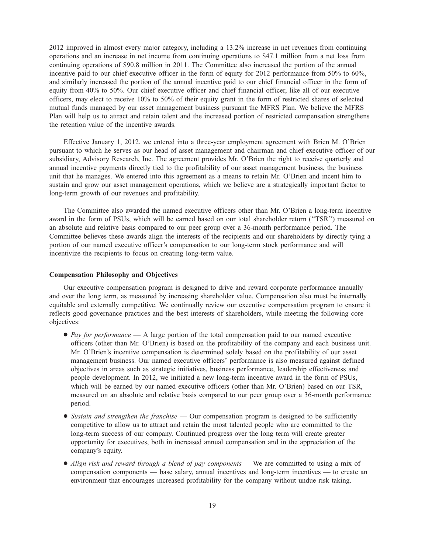2012 improved in almost every major category, including a 13.2% increase in net revenues from continuing operations and an increase in net income from continuing operations to \$47.1 million from a net loss from continuing operations of \$90.8 million in 2011. The Committee also increased the portion of the annual incentive paid to our chief executive officer in the form of equity for 2012 performance from 50% to 60%, and similarly increased the portion of the annual incentive paid to our chief financial officer in the form of equity from 40% to 50%. Our chief executive officer and chief financial officer, like all of our executive officers, may elect to receive 10% to 50% of their equity grant in the form of restricted shares of selected mutual funds managed by our asset management business pursuant the MFRS Plan. We believe the MFRS Plan will help us to attract and retain talent and the increased portion of restricted compensation strengthens the retention value of the incentive awards.

Effective January 1, 2012, we entered into a three-year employment agreement with Brien M. O'Brien pursuant to which he serves as our head of asset management and chairman and chief executive officer of our subsidiary, Advisory Research, Inc. The agreement provides Mr. O'Brien the right to receive quarterly and annual incentive payments directly tied to the profitability of our asset management business, the business unit that he manages. We entered into this agreement as a means to retain Mr. O'Brien and incent him to sustain and grow our asset management operations, which we believe are a strategically important factor to long-term growth of our revenues and profitability.

The Committee also awarded the named executive officers other than Mr. O'Brien a long-term incentive award in the form of PSUs, which will be earned based on our total shareholder return (''TSR'') measured on an absolute and relative basis compared to our peer group over a 36-month performance period. The Committee believes these awards align the interests of the recipients and our shareholders by directly tying a portion of our named executive officer's compensation to our long-term stock performance and will incentivize the recipients to focus on creating long-term value.

## **Compensation Philosophy and Objectives**

Our executive compensation program is designed to drive and reward corporate performance annually and over the long term, as measured by increasing shareholder value. Compensation also must be internally equitable and externally competitive. We continually review our executive compensation program to ensure it reflects good governance practices and the best interests of shareholders, while meeting the following core objectives:

- *Pay for performance* A large portion of the total compensation paid to our named executive officers (other than Mr. O'Brien) is based on the profitability of the company and each business unit. Mr. O'Brien's incentive compensation is determined solely based on the profitability of our asset management business. Our named executive officers' performance is also measured against defined objectives in areas such as strategic initiatives, business performance, leadership effectiveness and people development. In 2012, we initiated a new long-term incentive award in the form of PSUs, which will be earned by our named executive officers (other than Mr. O'Brien) based on our TSR, measured on an absolute and relative basis compared to our peer group over a 36-month performance period.
- *Sustain and strengthen the franchise* Our compensation program is designed to be sufficiently competitive to allow us to attract and retain the most talented people who are committed to the long-term success of our company. Continued progress over the long term will create greater opportunity for executives, both in increased annual compensation and in the appreciation of the company's equity.
- *Align risk and reward through a blend of pay components* We are committed to using a mix of compensation components — base salary, annual incentives and long-term incentives — to create an environment that encourages increased profitability for the company without undue risk taking.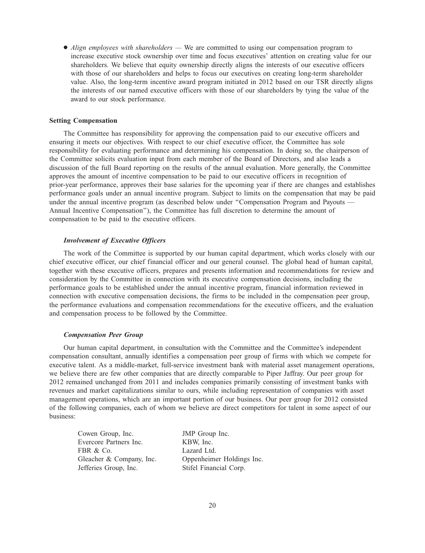● *Align employees with shareholders* — We are committed to using our compensation program to increase executive stock ownership over time and focus executives' attention on creating value for our shareholders. We believe that equity ownership directly aligns the interests of our executive officers with those of our shareholders and helps to focus our executives on creating long-term shareholder value. Also, the long-term incentive award program initiated in 2012 based on our TSR directly aligns the interests of our named executive officers with those of our shareholders by tying the value of the award to our stock performance.

#### **Setting Compensation**

The Committee has responsibility for approving the compensation paid to our executive officers and ensuring it meets our objectives. With respect to our chief executive officer, the Committee has sole responsibility for evaluating performance and determining his compensation. In doing so, the chairperson of the Committee solicits evaluation input from each member of the Board of Directors, and also leads a discussion of the full Board reporting on the results of the annual evaluation. More generally, the Committee approves the amount of incentive compensation to be paid to our executive officers in recognition of prior-year performance, approves their base salaries for the upcoming year if there are changes and establishes performance goals under an annual incentive program. Subject to limits on the compensation that may be paid under the annual incentive program (as described below under ''Compensation Program and Payouts — Annual Incentive Compensation''), the Committee has full discretion to determine the amount of compensation to be paid to the executive officers.

## *Involvement of Executive Officers*

The work of the Committee is supported by our human capital department, which works closely with our chief executive officer, our chief financial officer and our general counsel. The global head of human capital, together with these executive officers, prepares and presents information and recommendations for review and consideration by the Committee in connection with its executive compensation decisions, including the performance goals to be established under the annual incentive program, financial information reviewed in connection with executive compensation decisions, the firms to be included in the compensation peer group, the performance evaluations and compensation recommendations for the executive officers, and the evaluation and compensation process to be followed by the Committee.

#### *Compensation Peer Group*

Our human capital department, in consultation with the Committee and the Committee's independent compensation consultant, annually identifies a compensation peer group of firms with which we compete for executive talent. As a middle-market, full-service investment bank with material asset management operations, we believe there are few other companies that are directly comparable to Piper Jaffray. Our peer group for 2012 remained unchanged from 2011 and includes companies primarily consisting of investment banks with revenues and market capitalizations similar to ours, while including representation of companies with asset management operations, which are an important portion of our business. Our peer group for 2012 consisted of the following companies, each of whom we believe are direct competitors for talent in some aspect of our business:

| Cowen Group, Inc.        |
|--------------------------|
| Evercore Partners Inc.   |
| FBR & Co.                |
| Gleacher & Company, Inc. |
| Jefferies Group, Inc.    |

JMP Group Inc. KBW, Inc. Lazard Ltd. Oppenheimer Holdings Inc. Stifel Financial Corp.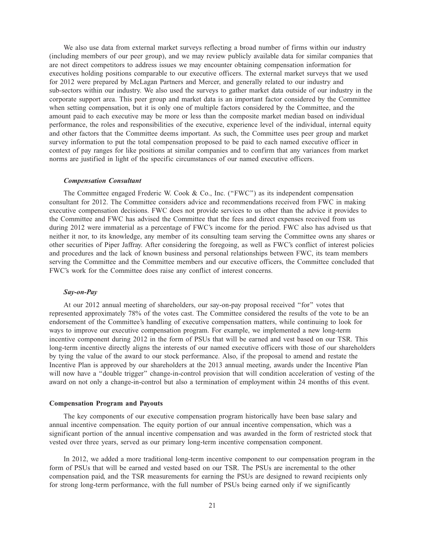We also use data from external market surveys reflecting a broad number of firms within our industry (including members of our peer group), and we may review publicly available data for similar companies that are not direct competitors to address issues we may encounter obtaining compensation information for executives holding positions comparable to our executive officers. The external market surveys that we used for 2012 were prepared by McLagan Partners and Mercer, and generally related to our industry and sub-sectors within our industry. We also used the surveys to gather market data outside of our industry in the corporate support area. This peer group and market data is an important factor considered by the Committee when setting compensation, but it is only one of multiple factors considered by the Committee, and the amount paid to each executive may be more or less than the composite market median based on individual performance, the roles and responsibilities of the executive, experience level of the individual, internal equity and other factors that the Committee deems important. As such, the Committee uses peer group and market survey information to put the total compensation proposed to be paid to each named executive officer in context of pay ranges for like positions at similar companies and to confirm that any variances from market norms are justified in light of the specific circumstances of our named executive officers.

#### *Compensation Consultant*

The Committee engaged Frederic W. Cook & Co., Inc. ("FWC") as its independent compensation consultant for 2012. The Committee considers advice and recommendations received from FWC in making executive compensation decisions. FWC does not provide services to us other than the advice it provides to the Committee and FWC has advised the Committee that the fees and direct expenses received from us during 2012 were immaterial as a percentage of FWC's income for the period. FWC also has advised us that neither it nor, to its knowledge, any member of its consulting team serving the Committee owns any shares or other securities of Piper Jaffray. After considering the foregoing, as well as FWC's conflict of interest policies and procedures and the lack of known business and personal relationships between FWC, its team members serving the Committee and the Committee members and our executive officers, the Committee concluded that FWC's work for the Committee does raise any conflict of interest concerns.

## *Say-on-Pay*

At our 2012 annual meeting of shareholders, our say-on-pay proposal received ''for'' votes that represented approximately 78% of the votes cast. The Committee considered the results of the vote to be an endorsement of the Committee's handling of executive compensation matters, while continuing to look for ways to improve our executive compensation program. For example, we implemented a new long-term incentive component during 2012 in the form of PSUs that will be earned and vest based on our TSR. This long-term incentive directly aligns the interests of our named executive officers with those of our shareholders by tying the value of the award to our stock performance. Also, if the proposal to amend and restate the Incentive Plan is approved by our shareholders at the 2013 annual meeting, awards under the Incentive Plan will now have a "double trigger" change-in-control provision that will condition acceleration of vesting of the award on not only a change-in-control but also a termination of employment within 24 months of this event.

#### **Compensation Program and Payouts**

The key components of our executive compensation program historically have been base salary and annual incentive compensation. The equity portion of our annual incentive compensation, which was a significant portion of the annual incentive compensation and was awarded in the form of restricted stock that vested over three years, served as our primary long-term incentive compensation component.

In 2012, we added a more traditional long-term incentive component to our compensation program in the form of PSUs that will be earned and vested based on our TSR. The PSUs are incremental to the other compensation paid, and the TSR measurements for earning the PSUs are designed to reward recipients only for strong long-term performance, with the full number of PSUs being earned only if we significantly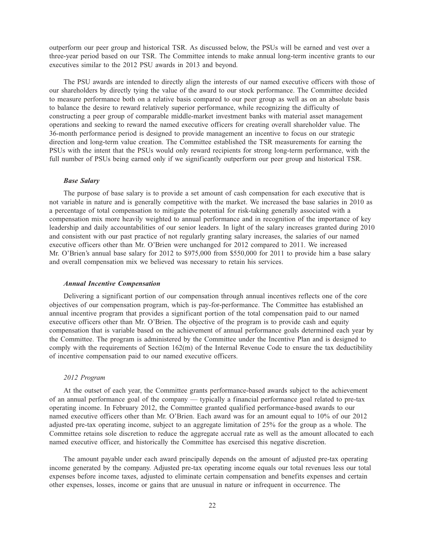outperform our peer group and historical TSR. As discussed below, the PSUs will be earned and vest over a three-year period based on our TSR. The Committee intends to make annual long-term incentive grants to our executives similar to the 2012 PSU awards in 2013 and beyond.

The PSU awards are intended to directly align the interests of our named executive officers with those of our shareholders by directly tying the value of the award to our stock performance. The Committee decided to measure performance both on a relative basis compared to our peer group as well as on an absolute basis to balance the desire to reward relatively superior performance, while recognizing the difficulty of constructing a peer group of comparable middle-market investment banks with material asset management operations and seeking to reward the named executive officers for creating overall shareholder value. The 36-month performance period is designed to provide management an incentive to focus on our strategic direction and long-term value creation. The Committee established the TSR measurements for earning the PSUs with the intent that the PSUs would only reward recipients for strong long-term performance, with the full number of PSUs being earned only if we significantly outperform our peer group and historical TSR.

## *Base Salary*

The purpose of base salary is to provide a set amount of cash compensation for each executive that is not variable in nature and is generally competitive with the market. We increased the base salaries in 2010 as a percentage of total compensation to mitigate the potential for risk-taking generally associated with a compensation mix more heavily weighted to annual performance and in recognition of the importance of key leadership and daily accountabilities of our senior leaders. In light of the salary increases granted during 2010 and consistent with our past practice of not regularly granting salary increases, the salaries of our named executive officers other than Mr. O'Brien were unchanged for 2012 compared to 2011. We increased Mr. O'Brien's annual base salary for 2012 to \$975,000 from \$550,000 for 2011 to provide him a base salary and overall compensation mix we believed was necessary to retain his services.

## *Annual Incentive Compensation*

Delivering a significant portion of our compensation through annual incentives reflects one of the core objectives of our compensation program, which is pay-for-performance. The Committee has established an annual incentive program that provides a significant portion of the total compensation paid to our named executive officers other than Mr. O'Brien. The objective of the program is to provide cash and equity compensation that is variable based on the achievement of annual performance goals determined each year by the Committee. The program is administered by the Committee under the Incentive Plan and is designed to comply with the requirements of Section  $162(m)$  of the Internal Revenue Code to ensure the tax deductibility of incentive compensation paid to our named executive officers.

#### *2012 Program*

At the outset of each year, the Committee grants performance-based awards subject to the achievement of an annual performance goal of the company — typically a financial performance goal related to pre-tax operating income. In February 2012, the Committee granted qualified performance-based awards to our named executive officers other than Mr. O'Brien. Each award was for an amount equal to 10% of our 2012 adjusted pre-tax operating income, subject to an aggregate limitation of 25% for the group as a whole. The Committee retains sole discretion to reduce the aggregate accrual rate as well as the amount allocated to each named executive officer, and historically the Committee has exercised this negative discretion.

The amount payable under each award principally depends on the amount of adjusted pre-tax operating income generated by the company. Adjusted pre-tax operating income equals our total revenues less our total expenses before income taxes, adjusted to eliminate certain compensation and benefits expenses and certain other expenses, losses, income or gains that are unusual in nature or infrequent in occurrence. The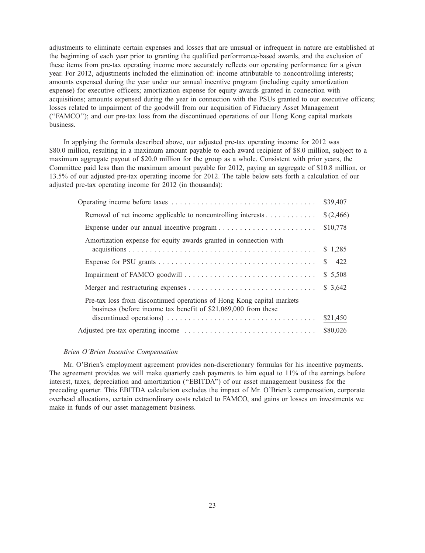adjustments to eliminate certain expenses and losses that are unusual or infrequent in nature are established at the beginning of each year prior to granting the qualified performance-based awards, and the exclusion of these items from pre-tax operating income more accurately reflects our operating performance for a given year. For 2012, adjustments included the elimination of: income attributable to noncontrolling interests; amounts expensed during the year under our annual incentive program (including equity amortization expense) for executive officers; amortization expense for equity awards granted in connection with acquisitions; amounts expensed during the year in connection with the PSUs granted to our executive officers; losses related to impairment of the goodwill from our acquisition of Fiduciary Asset Management (''FAMCO''); and our pre-tax loss from the discontinued operations of our Hong Kong capital markets business.

In applying the formula described above, our adjusted pre-tax operating income for 2012 was \$80.0 million, resulting in a maximum amount payable to each award recipient of \$8.0 million, subject to a maximum aggregate payout of \$20.0 million for the group as a whole. Consistent with prior years, the Committee paid less than the maximum amount payable for 2012, paying an aggregate of \$10.8 million, or 13.5% of our adjusted pre-tax operating income for 2012. The table below sets forth a calculation of our adjusted pre-tax operating income for 2012 (in thousands):

|                                                                                                                                          | \$39,407   |
|------------------------------------------------------------------------------------------------------------------------------------------|------------|
| Removal of net income applicable to noncontrolling interests $\dots \dots \dots$                                                         | \$(2,466)  |
|                                                                                                                                          | \$10,778   |
| Amortization expense for equity awards granted in connection with                                                                        | \$1,285    |
|                                                                                                                                          | 422<br>\$. |
|                                                                                                                                          | \$ 5,508   |
|                                                                                                                                          | \$3,642    |
| Pre-tax loss from discontinued operations of Hong Kong capital markets<br>business (before income tax benefit of \$21,069,000 from these |            |
| discontinued operations) $\dots \dots \dots \dots \dots \dots \dots \dots \dots \dots \dots \dots \dots$                                 | \$21,450   |
|                                                                                                                                          | \$80,026   |
|                                                                                                                                          |            |

## *Brien O'Brien Incentive Compensation*

Mr. O'Brien's employment agreement provides non-discretionary formulas for his incentive payments. The agreement provides we will make quarterly cash payments to him equal to 11% of the earnings before interest, taxes, depreciation and amortization (''EBITDA'') of our asset management business for the preceding quarter. This EBITDA calculation excludes the impact of Mr. O'Brien's compensation, corporate overhead allocations, certain extraordinary costs related to FAMCO, and gains or losses on investments we make in funds of our asset management business.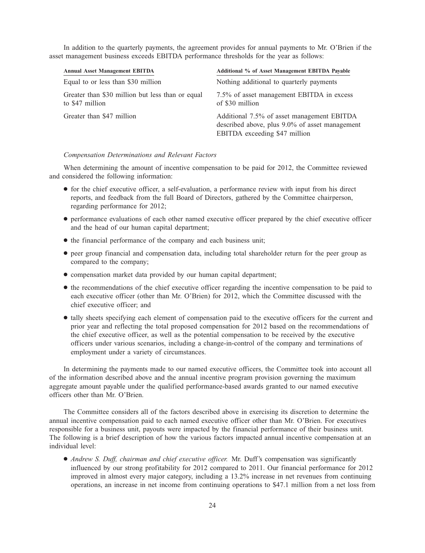In addition to the quarterly payments, the agreement provides for annual payments to Mr. O'Brien if the asset management business exceeds EBITDA performance thresholds for the year as follows:

| <b>Annual Asset Management EBITDA</b>                               | Additional % of Asset Management EBITDA Payable                                                                               |
|---------------------------------------------------------------------|-------------------------------------------------------------------------------------------------------------------------------|
| Equal to or less than \$30 million                                  | Nothing additional to quarterly payments                                                                                      |
| Greater than \$30 million but less than or equal<br>to \$47 million | 7.5% of asset management EBITDA in excess<br>of \$30 million                                                                  |
| Greater than \$47 million                                           | Additional 7.5% of asset management EBITDA<br>described above, plus 9.0% of asset management<br>EBITDA exceeding \$47 million |

## *Compensation Determinations and Relevant Factors*

When determining the amount of incentive compensation to be paid for 2012, the Committee reviewed and considered the following information:

- for the chief executive officer, a self-evaluation, a performance review with input from his direct reports, and feedback from the full Board of Directors, gathered by the Committee chairperson, regarding performance for 2012;
- performance evaluations of each other named executive officer prepared by the chief executive officer and the head of our human capital department;
- the financial performance of the company and each business unit;
- peer group financial and compensation data, including total shareholder return for the peer group as compared to the company;
- compensation market data provided by our human capital department;
- the recommendations of the chief executive officer regarding the incentive compensation to be paid to each executive officer (other than Mr. O'Brien) for 2012, which the Committee discussed with the chief executive officer; and
- tally sheets specifying each element of compensation paid to the executive officers for the current and prior year and reflecting the total proposed compensation for 2012 based on the recommendations of the chief executive officer, as well as the potential compensation to be received by the executive officers under various scenarios, including a change-in-control of the company and terminations of employment under a variety of circumstances.

In determining the payments made to our named executive officers, the Committee took into account all of the information described above and the annual incentive program provision governing the maximum aggregate amount payable under the qualified performance-based awards granted to our named executive officers other than Mr. O'Brien.

The Committee considers all of the factors described above in exercising its discretion to determine the annual incentive compensation paid to each named executive officer other than Mr. O'Brien. For executives responsible for a business unit, payouts were impacted by the financial performance of their business unit. The following is a brief description of how the various factors impacted annual incentive compensation at an individual level:

• *Andrew S. Duff, chairman and chief executive officer.* Mr. Duff's compensation was significantly influenced by our strong profitability for 2012 compared to 2011. Our financial performance for 2012 improved in almost every major category, including a 13.2% increase in net revenues from continuing operations, an increase in net income from continuing operations to \$47.1 million from a net loss from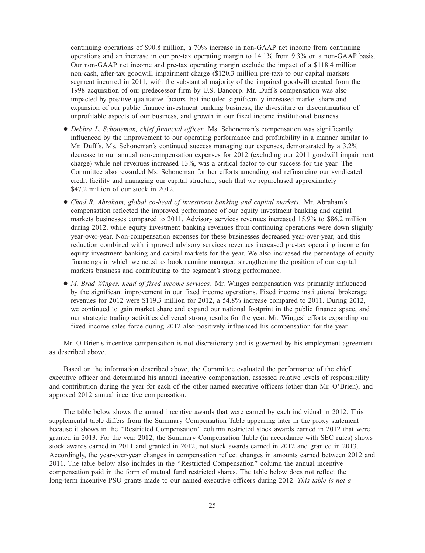continuing operations of \$90.8 million, a 70% increase in non-GAAP net income from continuing operations and an increase in our pre-tax operating margin to 14.1% from 9.3% on a non-GAAP basis. Our non-GAAP net income and pre-tax operating margin exclude the impact of a \$118.4 million non-cash, after-tax goodwill impairment charge (\$120.3 million pre-tax) to our capital markets segment incurred in 2011, with the substantial majority of the impaired goodwill created from the 1998 acquisition of our predecessor firm by U.S. Bancorp. Mr. Duff's compensation was also impacted by positive qualitative factors that included significantly increased market share and expansion of our public finance investment banking business, the divestiture or discontinuation of unprofitable aspects of our business, and growth in our fixed income institutional business.

- *Debbra L. Schoneman, chief financial officer.* Ms. Schoneman's compensation was significantly influenced by the improvement to our operating performance and profitability in a manner similar to Mr. Duff's. Ms. Schoneman's continued success managing our expenses, demonstrated by a 3.2% decrease to our annual non-compensation expenses for 2012 (excluding our 2011 goodwill impairment charge) while net revenues increased 13%, was a critical factor to our success for the year. The Committee also rewarded Ms. Schoneman for her efforts amending and refinancing our syndicated credit facility and managing our capital structure, such that we repurchased approximately \$47.2 million of our stock in 2012.
- *Chad R. Abraham, global co-head of investment banking and capital markets.* Mr. Abraham's compensation reflected the improved performance of our equity investment banking and capital markets businesses compared to 2011. Advisory services revenues increased 15.9% to \$86.2 million during 2012, while equity investment banking revenues from continuing operations were down slightly year-over-year. Non-compensation expenses for these businesses decreased year-over-year, and this reduction combined with improved advisory services revenues increased pre-tax operating income for equity investment banking and capital markets for the year. We also increased the percentage of equity financings in which we acted as book running manager, strengthening the position of our capital markets business and contributing to the segment's strong performance.
- *M. Brad Winges, head of fixed income services.* Mr. Winges compensation was primarily influenced by the significant improvement in our fixed income operations. Fixed income institutional brokerage revenues for 2012 were \$119.3 million for 2012, a 54.8% increase compared to 2011. During 2012, we continued to gain market share and expand our national footprint in the public finance space, and our strategic trading activities delivered strong results for the year. Mr. Winges' efforts expanding our fixed income sales force during 2012 also positively influenced his compensation for the year.

Mr. O'Brien's incentive compensation is not discretionary and is governed by his employment agreement as described above.

Based on the information described above, the Committee evaluated the performance of the chief executive officer and determined his annual incentive compensation, assessed relative levels of responsibility and contribution during the year for each of the other named executive officers (other than Mr. O'Brien), and approved 2012 annual incentive compensation.

The table below shows the annual incentive awards that were earned by each individual in 2012. This supplemental table differs from the Summary Compensation Table appearing later in the proxy statement because it shows in the ''Restricted Compensation'' column restricted stock awards earned in 2012 that were granted in 2013. For the year 2012, the Summary Compensation Table (in accordance with SEC rules) shows stock awards earned in 2011 and granted in 2012, not stock awards earned in 2012 and granted in 2013. Accordingly, the year-over-year changes in compensation reflect changes in amounts earned between 2012 and 2011. The table below also includes in the ''Restricted Compensation'' column the annual incentive compensation paid in the form of mutual fund restricted shares. The table below does not reflect the long-term incentive PSU grants made to our named executive officers during 2012. *This table is not a*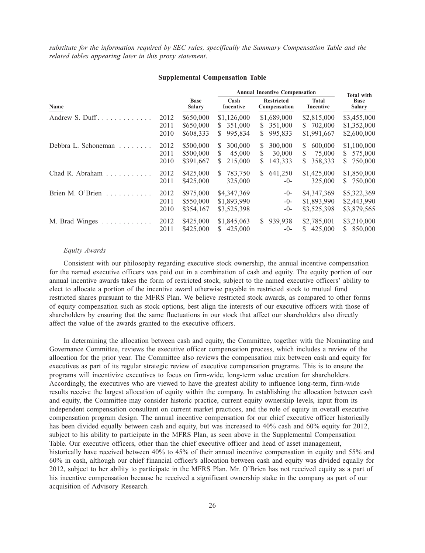*substitute for the information required by SEC rules, specifically the Summary Compensation Table and the related tables appearing later in this proxy statement*.

#### **Supplemental Compensation Table**

|                     |                      |                                     | <b>Annual Incentive Compensation</b>           |                                                |                                               | <b>Total with</b>                             |
|---------------------|----------------------|-------------------------------------|------------------------------------------------|------------------------------------------------|-----------------------------------------------|-----------------------------------------------|
| Name                |                      | <b>Base</b><br><b>Salary</b>        | Cash<br>Incentive                              | <b>Restricted</b><br>Compensation              | <b>Total</b><br>Incentive                     | <b>Base</b><br><b>Salary</b>                  |
|                     | 2012<br>2011<br>2010 | \$650,000<br>\$650,000<br>\$608,333 | \$1,126,000<br>351,000<br>S.<br>995.834<br>S.  | \$1,689,000<br>351,000<br>S.<br>995,833<br>S.  | \$2,815,000<br>\$ 702,000<br>\$1,991,667      | \$3,455,000<br>\$1,352,000<br>\$2,600,000     |
| Debbra L. Schoneman | 2012<br>2011<br>2010 | \$500,000<br>\$500,000<br>\$391,667 | 300,000<br>S.<br>45,000<br>S.<br>215,000<br>S. | 300,000<br>S.<br>30,000<br>S.<br>143,333<br>S. | 600,000<br>\$.<br>S<br>75,000<br>358,333<br>S | \$1,100,000<br>575,000<br>S.<br>750,000<br>S. |
| Chad R. Abraham     | 2012<br>2011         | \$425,000<br>\$425,000              | 783,750<br>S.<br>325,000                       | 641,250<br>S.<br>$-()$                         | \$1,425,000<br>325,000                        | \$1,850,000<br>\$ 750,000                     |
| Brien M. O'Brien    | 2012<br>2011<br>2010 | \$975,000<br>\$550,000<br>\$354,167 | \$4,347,369<br>\$1,893,990<br>\$3,525,398      | $-0-$<br>$-0-$<br>-0-                          | \$4,347,369<br>\$1,893,990<br>\$3,525,398     | \$5,322,369<br>\$2,443,990<br>\$3,879,565     |
| M. Brad Winges      | 2012<br>2011         | \$425,000<br>\$425,000              | \$1,845,063<br>425,000<br>S.                   | 939,938<br>S.<br>$-0-$                         | \$2,785,001<br>425,000<br>S.                  | \$3,210,000<br>850,000<br>S.                  |

#### *Equity Awards*

Consistent with our philosophy regarding executive stock ownership, the annual incentive compensation for the named executive officers was paid out in a combination of cash and equity. The equity portion of our annual incentive awards takes the form of restricted stock, subject to the named executive officers' ability to elect to allocate a portion of the incentive award otherwise payable in restricted stock to mutual fund restricted shares pursuant to the MFRS Plan. We believe restricted stock awards, as compared to other forms of equity compensation such as stock options, best align the interests of our executive officers with those of shareholders by ensuring that the same fluctuations in our stock that affect our shareholders also directly affect the value of the awards granted to the executive officers.

In determining the allocation between cash and equity, the Committee, together with the Nominating and Governance Committee, reviews the executive officer compensation process, which includes a review of the allocation for the prior year. The Committee also reviews the compensation mix between cash and equity for executives as part of its regular strategic review of executive compensation programs. This is to ensure the programs will incentivize executives to focus on firm-wide, long-term value creation for shareholders. Accordingly, the executives who are viewed to have the greatest ability to influence long-term, firm-wide results receive the largest allocation of equity within the company. In establishing the allocation between cash and equity, the Committee may consider historic practice, current equity ownership levels, input from its independent compensation consultant on current market practices, and the role of equity in overall executive compensation program design. The annual incentive compensation for our chief executive officer historically has been divided equally between cash and equity, but was increased to 40% cash and 60% equity for 2012, subject to his ability to participate in the MFRS Plan, as seen above in the Supplemental Compensation Table. Our executive officers, other than the chief executive officer and head of asset management, historically have received between 40% to 45% of their annual incentive compensation in equity and 55% and 60% in cash, although our chief financial officer's allocation between cash and equity was divided equally for 2012, subject to her ability to participate in the MFRS Plan. Mr. O'Brien has not received equity as a part of his incentive compensation because he received a significant ownership stake in the company as part of our acquisition of Advisory Research.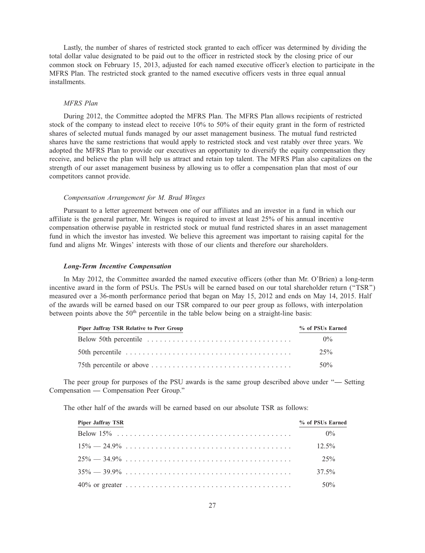Lastly, the number of shares of restricted stock granted to each officer was determined by dividing the total dollar value designated to be paid out to the officer in restricted stock by the closing price of our common stock on February 15, 2013, adjusted for each named executive officer's election to participate in the MFRS Plan. The restricted stock granted to the named executive officers vests in three equal annual installments.

#### *MFRS Plan*

During 2012, the Committee adopted the MFRS Plan. The MFRS Plan allows recipients of restricted stock of the company to instead elect to receive 10% to 50% of their equity grant in the form of restricted shares of selected mutual funds managed by our asset management business. The mutual fund restricted shares have the same restrictions that would apply to restricted stock and vest ratably over three years. We adopted the MFRS Plan to provide our executives an opportunity to diversify the equity compensation they receive, and believe the plan will help us attract and retain top talent. The MFRS Plan also capitalizes on the strength of our asset management business by allowing us to offer a compensation plan that most of our competitors cannot provide.

# *Compensation Arrangement for M. Brad Winges*

Pursuant to a letter agreement between one of our affiliates and an investor in a fund in which our affiliate is the general partner, Mr. Winges is required to invest at least 25% of his annual incentive compensation otherwise payable in restricted stock or mutual fund restricted shares in an asset management fund in which the investor has invested. We believe this agreement was important to raising capital for the fund and aligns Mr. Winges' interests with those of our clients and therefore our shareholders.

## *Long-Term Incentive Compensation*

In May 2012, the Committee awarded the named executive officers (other than Mr. O'Brien) a long-term incentive award in the form of PSUs. The PSUs will be earned based on our total shareholder return (''TSR'') measured over a 36-month performance period that began on May 15, 2012 and ends on May 14, 2015. Half of the awards will be earned based on our TSR compared to our peer group as follows, with interpolation between points above the  $50<sup>th</sup>$  percentile in the table below being on a straight-line basis:

| Piper Jaffray TSR Relative to Peer Group | % of PSUs Earned |
|------------------------------------------|------------------|
|                                          | $0\%$            |
|                                          | 2.5%             |
|                                          | $50\%$           |

The peer group for purposes of the PSU awards is the same group described above under ''**—** Setting Compensation **—** Compensation Peer Group.''

The other half of the awards will be earned based on our absolute TSR as follows:

| <b>Piper Jaffray TSR</b> | % of PSUs Earned |
|--------------------------|------------------|
|                          | $0\%$            |
|                          | $12.5\%$         |
|                          | $25\%$           |
|                          | $37.5\%$         |
|                          | $50\%$           |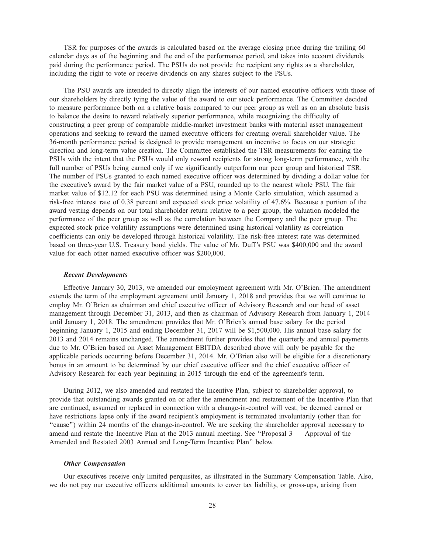TSR for purposes of the awards is calculated based on the average closing price during the trailing 60 calendar days as of the beginning and the end of the performance period, and takes into account dividends paid during the performance period. The PSUs do not provide the recipient any rights as a shareholder, including the right to vote or receive dividends on any shares subject to the PSUs.

The PSU awards are intended to directly align the interests of our named executive officers with those of our shareholders by directly tying the value of the award to our stock performance. The Committee decided to measure performance both on a relative basis compared to our peer group as well as on an absolute basis to balance the desire to reward relatively superior performance, while recognizing the difficulty of constructing a peer group of comparable middle-market investment banks with material asset management operations and seeking to reward the named executive officers for creating overall shareholder value. The 36-month performance period is designed to provide management an incentive to focus on our strategic direction and long-term value creation. The Committee established the TSR measurements for earning the PSUs with the intent that the PSUs would only reward recipients for strong long-term performance, with the full number of PSUs being earned only if we significantly outperform our peer group and historical TSR. The number of PSUs granted to each named executive officer was determined by dividing a dollar value for the executive's award by the fair market value of a PSU, rounded up to the nearest whole PSU. The fair market value of \$12.12 for each PSU was determined using a Monte Carlo simulation, which assumed a risk-free interest rate of 0.38 percent and expected stock price volatility of 47.6%. Because a portion of the award vesting depends on our total shareholder return relative to a peer group, the valuation modeled the performance of the peer group as well as the correlation between the Company and the peer group. The expected stock price volatility assumptions were determined using historical volatility as correlation coefficients can only be developed through historical volatility. The risk-free interest rate was determined based on three-year U.S. Treasury bond yields. The value of Mr. Duff's PSU was \$400,000 and the award value for each other named executive officer was \$200,000.

#### *Recent Developments*

Effective January 30, 2013, we amended our employment agreement with Mr. O'Brien. The amendment extends the term of the employment agreement until January 1, 2018 and provides that we will continue to employ Mr. O'Brien as chairman and chief executive officer of Advisory Research and our head of asset management through December 31, 2013, and then as chairman of Advisory Research from January 1, 2014 until January 1, 2018. The amendment provides that Mr. O'Brien's annual base salary for the period beginning January 1, 2015 and ending December 31, 2017 will be \$1,500,000. His annual base salary for 2013 and 2014 remains unchanged. The amendment further provides that the quarterly and annual payments due to Mr. O'Brien based on Asset Management EBITDA described above will only be payable for the applicable periods occurring before December 31, 2014. Mr. O'Brien also will be eligible for a discretionary bonus in an amount to be determined by our chief executive officer and the chief executive officer of Advisory Research for each year beginning in 2015 through the end of the agreement's term.

During 2012, we also amended and restated the Incentive Plan, subject to shareholder approval, to provide that outstanding awards granted on or after the amendment and restatement of the Incentive Plan that are continued, assumed or replaced in connection with a change-in-control will vest, be deemed earned or have restrictions lapse only if the award recipient's employment is terminated involuntarily (other than for ''cause'') within 24 months of the change-in-control. We are seeking the shareholder approval necessary to amend and restate the Incentive Plan at the 2013 annual meeting. See "Proposal 3 — Approval of the Amended and Restated 2003 Annual and Long-Term Incentive Plan'' below.

## *Other Compensation*

Our executives receive only limited perquisites, as illustrated in the Summary Compensation Table. Also, we do not pay our executive officers additional amounts to cover tax liability, or gross-ups, arising from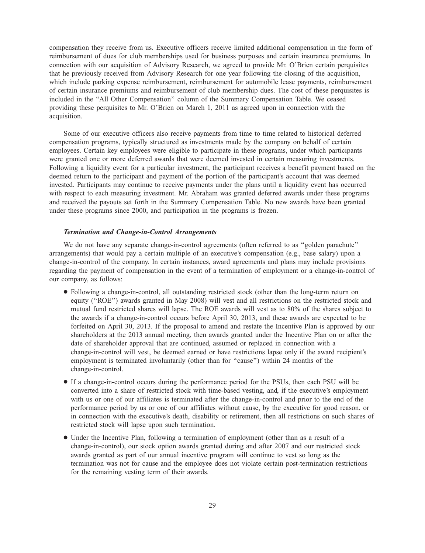compensation they receive from us. Executive officers receive limited additional compensation in the form of reimbursement of dues for club memberships used for business purposes and certain insurance premiums. In connection with our acquisition of Advisory Research, we agreed to provide Mr. O'Brien certain perquisites that he previously received from Advisory Research for one year following the closing of the acquisition, which include parking expense reimbursement, reimbursement for automobile lease payments, reimbursement of certain insurance premiums and reimbursement of club membership dues. The cost of these perquisites is included in the ''All Other Compensation'' column of the Summary Compensation Table. We ceased providing these perquisites to Mr. O'Brien on March 1, 2011 as agreed upon in connection with the acquisition.

Some of our executive officers also receive payments from time to time related to historical deferred compensation programs, typically structured as investments made by the company on behalf of certain employees. Certain key employees were eligible to participate in these programs, under which participants were granted one or more deferred awards that were deemed invested in certain measuring investments. Following a liquidity event for a particular investment, the participant receives a benefit payment based on the deemed return to the participant and payment of the portion of the participant's account that was deemed invested. Participants may continue to receive payments under the plans until a liquidity event has occurred with respect to each measuring investment. Mr. Abraham was granted deferred awards under these programs and received the payouts set forth in the Summary Compensation Table. No new awards have been granted under these programs since 2000, and participation in the programs is frozen.

## *Termination and Change-in-Control Arrangements*

We do not have any separate change-in-control agreements (often referred to as "golden parachute") arrangements) that would pay a certain multiple of an executive's compensation (e.g., base salary) upon a change-in-control of the company. In certain instances, award agreements and plans may include provisions regarding the payment of compensation in the event of a termination of employment or a change-in-control of our company, as follows:

- Following a change-in-control, all outstanding restricted stock (other than the long-term return on equity (''ROE'') awards granted in May 2008) will vest and all restrictions on the restricted stock and mutual fund restricted shares will lapse. The ROE awards will vest as to 80% of the shares subject to the awards if a change-in-control occurs before April 30, 2013, and these awards are expected to be forfeited on April 30, 2013. If the proposal to amend and restate the Incentive Plan is approved by our shareholders at the 2013 annual meeting, then awards granted under the Incentive Plan on or after the date of shareholder approval that are continued, assumed or replaced in connection with a change-in-control will vest, be deemed earned or have restrictions lapse only if the award recipient's employment is terminated involuntarily (other than for ''cause'') within 24 months of the change-in-control.
- If a change-in-control occurs during the performance period for the PSUs, then each PSU will be converted into a share of restricted stock with time-based vesting, and, if the executive's employment with us or one of our affiliates is terminated after the change-in-control and prior to the end of the performance period by us or one of our affiliates without cause, by the executive for good reason, or in connection with the executive's death, disability or retirement, then all restrictions on such shares of restricted stock will lapse upon such termination.
- Under the Incentive Plan, following a termination of employment (other than as a result of a change-in-control), our stock option awards granted during and after 2007 and our restricted stock awards granted as part of our annual incentive program will continue to vest so long as the termination was not for cause and the employee does not violate certain post-termination restrictions for the remaining vesting term of their awards.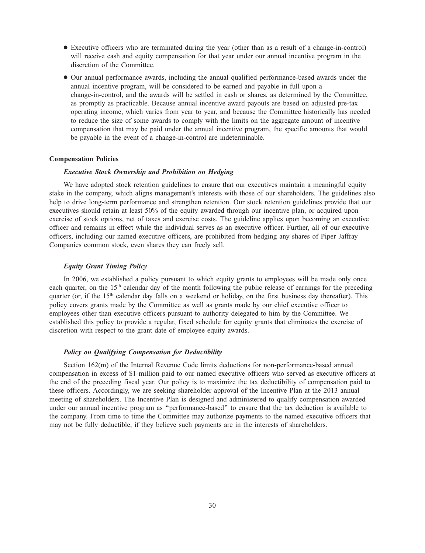- Executive officers who are terminated during the year (other than as a result of a change-in-control) will receive cash and equity compensation for that year under our annual incentive program in the discretion of the Committee.
- Our annual performance awards, including the annual qualified performance-based awards under the annual incentive program, will be considered to be earned and payable in full upon a change-in-control, and the awards will be settled in cash or shares, as determined by the Committee, as promptly as practicable. Because annual incentive award payouts are based on adjusted pre-tax operating income, which varies from year to year, and because the Committee historically has needed to reduce the size of some awards to comply with the limits on the aggregate amount of incentive compensation that may be paid under the annual incentive program, the specific amounts that would be payable in the event of a change-in-control are indeterminable.

#### **Compensation Policies**

## *Executive Stock Ownership and Prohibition on Hedging*

We have adopted stock retention guidelines to ensure that our executives maintain a meaningful equity stake in the company, which aligns management's interests with those of our shareholders. The guidelines also help to drive long-term performance and strengthen retention. Our stock retention guidelines provide that our executives should retain at least 50% of the equity awarded through our incentive plan, or acquired upon exercise of stock options, net of taxes and exercise costs. The guideline applies upon becoming an executive officer and remains in effect while the individual serves as an executive officer. Further, all of our executive officers, including our named executive officers, are prohibited from hedging any shares of Piper Jaffray Companies common stock, even shares they can freely sell.

## *Equity Grant Timing Policy*

In 2006, we established a policy pursuant to which equity grants to employees will be made only once each quarter, on the 15<sup>th</sup> calendar day of the month following the public release of earnings for the preceding quarter (or, if the 15<sup>th</sup> calendar day falls on a weekend or holiday, on the first business day thereafter). This policy covers grants made by the Committee as well as grants made by our chief executive officer to employees other than executive officers pursuant to authority delegated to him by the Committee. We established this policy to provide a regular, fixed schedule for equity grants that eliminates the exercise of discretion with respect to the grant date of employee equity awards.

## *Policy on Qualifying Compensation for Deductibility*

Section 162(m) of the Internal Revenue Code limits deductions for non-performance-based annual compensation in excess of \$1 million paid to our named executive officers who served as executive officers at the end of the preceding fiscal year. Our policy is to maximize the tax deductibility of compensation paid to these officers. Accordingly, we are seeking shareholder approval of the Incentive Plan at the 2013 annual meeting of shareholders. The Incentive Plan is designed and administered to qualify compensation awarded under our annual incentive program as ''performance-based'' to ensure that the tax deduction is available to the company. From time to time the Committee may authorize payments to the named executive officers that may not be fully deductible, if they believe such payments are in the interests of shareholders.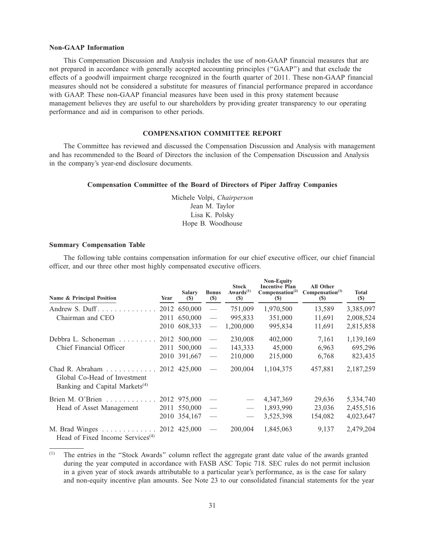#### **Non-GAAP Information**

This Compensation Discussion and Analysis includes the use of non-GAAP financial measures that are not prepared in accordance with generally accepted accounting principles (''GAAP'') and that exclude the effects of a goodwill impairment charge recognized in the fourth quarter of 2011. These non-GAAP financial measures should not be considered a substitute for measures of financial performance prepared in accordance with GAAP. These non-GAAP financial measures have been used in this proxy statement because management believes they are useful to our shareholders by providing greater transparency to our operating performance and aid in comparison to other periods.

# **COMPENSATION COMMITTEE REPORT**

The Committee has reviewed and discussed the Compensation Discussion and Analysis with management and has recommended to the Board of Directors the inclusion of the Compensation Discussion and Analysis in the company's year-end disclosure documents.

# **Compensation Committee of the Board of Directors of Piper Jaffray Companies**

Michele Volpi, *Chairperson* Jean M. Taylor Lisa K. Polsky Hope B. Woodhouse

#### **Summary Compensation Table**

The following table contains compensation information for our chief executive officer, our chief financial officer, and our three other most highly compensated executive officers.

| Name & Principal Position                                                                     | Year | <b>Salary</b><br>(S) | <b>Bonus</b><br>$\left( \mathbb{S}\right)$ | <b>Stock</b><br>Awards $(1)$<br>$(\$)$ | <b>Non-Equity</b><br><b>Incentive Plan</b><br>Compensation <sup>(2)</sup><br>$(\$)$ | <b>All Other</b><br>Compensation <sup>(3)</sup><br>$(\$)$ | <b>Total</b><br><b>(\$)</b> |
|-----------------------------------------------------------------------------------------------|------|----------------------|--------------------------------------------|----------------------------------------|-------------------------------------------------------------------------------------|-----------------------------------------------------------|-----------------------------|
| Andrew S. Duff                                                                                |      | 2012 650,000         |                                            | 751,009                                | 1,970,500                                                                           | 13,589                                                    | 3,385,097                   |
| Chairman and CEO                                                                              | 2011 | 650,000              |                                            | 995,833                                | 351,000                                                                             | 11,691                                                    | 2,008,524                   |
|                                                                                               |      | 2010 608,333         | $\overline{\phantom{m}}$                   | 1,200,000                              | 995,834                                                                             | 11,691                                                    | 2,815,858                   |
| Debbra L. Schoneman                                                                           |      | 2012 500,000         | $\overline{\phantom{m}}$                   | 230,008                                | 402,000                                                                             | 7,161                                                     | 1,139,169                   |
| Chief Financial Officer                                                                       | 2011 | 500,000              | $\overline{\phantom{m}}$                   | 143,333                                | 45,000                                                                              | 6,963                                                     | 695,296                     |
|                                                                                               |      | 2010 391,667         | $\overline{\phantom{m}}$                   | 210,000                                | 215,000                                                                             | 6,768                                                     | 823,435                     |
| Chad R. Abraham<br>Global Co-Head of Investment<br>Banking and Capital Markets <sup>(4)</sup> |      | 2012 425,000         | $\overline{\phantom{m}}$                   | 200,004                                | 1.104.375                                                                           | 457,881                                                   | 2,187,259                   |
| Brien M. O'Brien                                                                              |      | 2012 975,000         |                                            |                                        | 4,347,369                                                                           | 29,636                                                    | 5,334,740                   |
| Head of Asset Management                                                                      | 2011 | 550,000              | $\frac{1}{2}$                              |                                        | 1,893,990                                                                           | 23,036                                                    | 2,455,516                   |
|                                                                                               |      | 2010 354,167         |                                            |                                        | 3,525,398                                                                           | 154,082                                                   | 4,023,647                   |
| M. Brad Winges 2012 425,000<br>Head of Fixed Income Services <sup>(4)</sup>                   |      |                      |                                            | 200,004                                | 1,845,063                                                                           | 9,137                                                     | 2,479,204                   |

<sup>(1)</sup> The entries in the ''Stock Awards'' column reflect the aggregate grant date value of the awards granted during the year computed in accordance with FASB ASC Topic 718. SEC rules do not permit inclusion in a given year of stock awards attributable to a particular year's performance, as is the case for salary and non-equity incentive plan amounts. See Note 23 to our consolidated financial statements for the year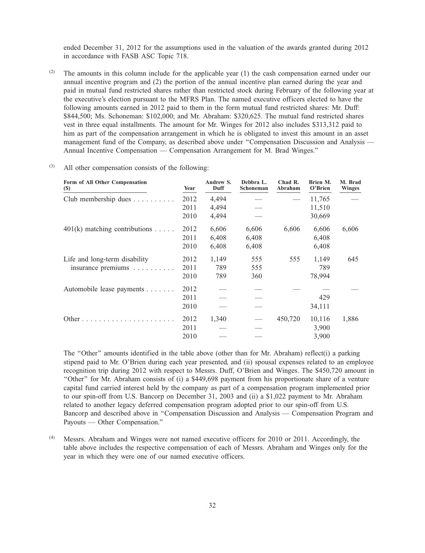ended December 31, 2012 for the assumptions used in the valuation of the awards granted during 2012 in accordance with FASB ASC Topic 718.

(2) The amounts in this column include for the applicable year (1) the cash compensation earned under our annual incentive program and (2) the portion of the annual incentive plan earned during the year and paid in mutual fund restricted shares rather than restricted stock during February of the following year at the executive's election pursuant to the MFRS Plan. The named executive officers elected to have the following amounts earned in 2012 paid to them in the form mutual fund restricted shares: Mr. Duff: \$844,500; Ms. Schoneman: \$102,000; and Mr. Abraham: \$320,625. The mutual fund restricted shares vest in three equal installments. The amount for Mr. Winges for 2012 also includes \$313,312 paid to him as part of the compensation arrangement in which he is obligated to invest this amount in an asset management fund of the Company, as described above under ''Compensation Discussion and Analysis — Annual Incentive Compensation — Compensation Arrangement for M. Brad Winges.''

| Form of All Other Compensation<br><b>(\$)</b> | Year | Andrew S.<br>Duff | Debbra L.<br>Schoneman | Chad R.<br>Abraham | Brien M.<br>O'Brien | M. Brad<br><b>Winges</b> |
|-----------------------------------------------|------|-------------------|------------------------|--------------------|---------------------|--------------------------|
| Club membership dues                          | 2012 | 4,494             |                        |                    | 11,765              |                          |
|                                               | 2011 | 4,494             |                        |                    | 11,510              |                          |
|                                               | 2010 | 4,494             |                        |                    | 30,669              |                          |
| $401(k)$ matching contributions               | 2012 | 6,606             | 6,606                  | 6,606              | 6,606               | 6,606                    |
|                                               | 2011 | 6,408             | 6,408                  |                    | 6,408               |                          |
|                                               | 2010 | 6,408             | 6,408                  |                    | 6,408               |                          |
| Life and long-term disability                 | 2012 | 1,149             | 555                    | 555                | 1,149               | 645                      |
| insurance premiums                            | 2011 | 789               | 555                    |                    | 789                 |                          |
|                                               | 2010 | 789               | 360                    |                    | 78,994              |                          |
| Automobile lease payments                     | 2012 |                   |                        |                    |                     |                          |
|                                               | 2011 |                   |                        |                    | 429                 |                          |
|                                               | 2010 |                   |                        |                    | 34,111              |                          |
|                                               | 2012 | 1,340             |                        | 450,720            | 10,116              | 1,886                    |
|                                               | 2011 |                   |                        |                    | 3,900               |                          |
|                                               | 2010 |                   |                        |                    | 3,900               |                          |

(3) All other compensation consists of the following:

The "Other" amounts identified in the table above (other than for Mr. Abraham) reflect(i) a parking stipend paid to Mr. O'Brien during each year presented, and (ii) spousal expenses related to an employee recognition trip during 2012 with respect to Messrs. Duff, O'Brien and Winges. The \$450,720 amount in ''Other'' for Mr. Abraham consists of (i) a \$449,698 payment from his proportionate share of a venture capital fund carried interest held by the company as part of a compensation program implemented prior to our spin-off from U.S. Bancorp on December 31, 2003 and (ii) a \$1,022 payment to Mr. Abraham related to another legacy deferred compensation program adopted prior to our spin-off from U.S. Bancorp and described above in ''Compensation Discussion and Analysis — Compensation Program and Payouts — Other Compensation.''

(4) Messrs. Abraham and Winges were not named executive officers for 2010 or 2011. Accordingly, the table above includes the respective compensation of each of Messrs. Abraham and Winges only for the year in which they were one of our named executive officers.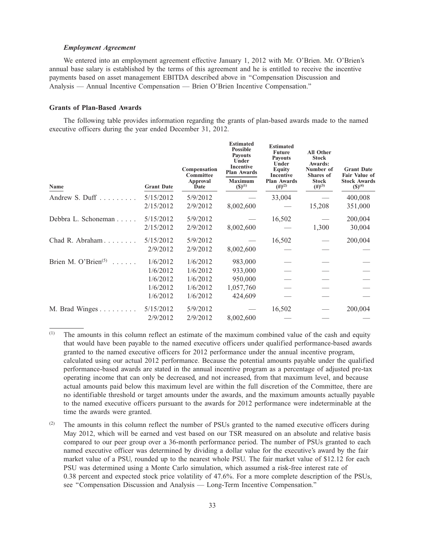### *Employment Agreement*

We entered into an employment agreement effective January 1, 2012 with Mr. O'Brien. Mr. O'Brien's annual base salary is established by the terms of this agreement and he is entitled to receive the incentive payments based on asset management EBITDA described above in ''Compensation Discussion and Analysis — Annual Incentive Compensation — Brien O'Brien Incentive Compensation.''

## **Grants of Plan-Based Awards**

The following table provides information regarding the grants of plan-based awards made to the named executive officers during the year ended December 31, 2012.

| Name                                | <b>Grant Date</b> | Compensation<br>Committee<br>Approval<br>Date | <b>Estimated</b><br><b>Possible</b><br><b>Payouts</b><br>Under<br><b>Incentive</b><br><b>Plan Awards</b><br><b>Maximum</b><br>$({\bf S})^{(1)}$ | <b>Estimated</b><br><b>Future</b><br><b>Payouts</b><br>Under<br><b>Equity</b><br><b>Incentive</b><br><b>Plan Awards</b><br>$(4)$ <sup>(2)</sup> | <b>All Other</b><br><b>Stock</b><br>Awards:<br>Number of<br>Shares of<br><b>Stock</b><br>$(\#)^{(3)}$ | <b>Grant Date</b><br><b>Fair Value of</b><br><b>Stock Awards</b><br>$({\mathbb{S}})^{(4)}$ |
|-------------------------------------|-------------------|-----------------------------------------------|-------------------------------------------------------------------------------------------------------------------------------------------------|-------------------------------------------------------------------------------------------------------------------------------------------------|-------------------------------------------------------------------------------------------------------|--------------------------------------------------------------------------------------------|
| Andrew S. Duff $\ldots$             | 5/15/2012         | 5/9/2012                                      |                                                                                                                                                 | 33,004                                                                                                                                          |                                                                                                       | 400,008                                                                                    |
|                                     | 2/15/2012         | 2/9/2012                                      | 8,002,600                                                                                                                                       |                                                                                                                                                 | 15,208                                                                                                | 351,000                                                                                    |
| Debbra L. Schoneman                 | 5/15/2012         | 5/9/2012                                      |                                                                                                                                                 | 16,502                                                                                                                                          |                                                                                                       | 200,004                                                                                    |
|                                     | 2/15/2012         | 2/9/2012                                      | 8,002,600                                                                                                                                       |                                                                                                                                                 | 1,300                                                                                                 | 30,004                                                                                     |
| Chad R. Abraham                     | 5/15/2012         | 5/9/2012                                      |                                                                                                                                                 | 16,502                                                                                                                                          |                                                                                                       | 200,004                                                                                    |
|                                     | 2/9/2012          | 2/9/2012                                      | 8,002,600                                                                                                                                       |                                                                                                                                                 |                                                                                                       |                                                                                            |
| Brien M. O'Brien $(5)$<br>a a anala | 1/6/2012          | 1/6/2012                                      | 983,000                                                                                                                                         |                                                                                                                                                 |                                                                                                       |                                                                                            |
|                                     | 1/6/2012          | 1/6/2012                                      | 933,000                                                                                                                                         |                                                                                                                                                 |                                                                                                       |                                                                                            |
|                                     | 1/6/2012          | 1/6/2012                                      | 950,000                                                                                                                                         |                                                                                                                                                 |                                                                                                       |                                                                                            |
|                                     | 1/6/2012          | 1/6/2012                                      | 1,057,760                                                                                                                                       |                                                                                                                                                 |                                                                                                       |                                                                                            |
|                                     | 1/6/2012          | 1/6/2012                                      | 424,609                                                                                                                                         |                                                                                                                                                 |                                                                                                       |                                                                                            |
| M. Brad Winges                      | 5/15/2012         | 5/9/2012                                      |                                                                                                                                                 | 16,502                                                                                                                                          |                                                                                                       | 200,004                                                                                    |
|                                     | 2/9/2012          | 2/9/2012                                      | 8,002,600                                                                                                                                       |                                                                                                                                                 |                                                                                                       |                                                                                            |
|                                     |                   |                                               |                                                                                                                                                 |                                                                                                                                                 |                                                                                                       |                                                                                            |

(1) The amounts in this column reflect an estimate of the maximum combined value of the cash and equity that would have been payable to the named executive officers under qualified performance-based awards granted to the named executive officers for 2012 performance under the annual incentive program, calculated using our actual 2012 performance. Because the potential amounts payable under the qualified performance-based awards are stated in the annual incentive program as a percentage of adjusted pre-tax operating income that can only be decreased, and not increased, from that maximum level, and because actual amounts paid below this maximum level are within the full discretion of the Committee, there are no identifiable threshold or target amounts under the awards, and the maximum amounts actually payable to the named executive officers pursuant to the awards for 2012 performance were indeterminable at the time the awards were granted.

The amounts in this column reflect the number of PSUs granted to the named executive officers during May 2012, which will be earned and vest based on our TSR measured on an absolute and relative basis compared to our peer group over a 36-month performance period. The number of PSUs granted to each named executive officer was determined by dividing a dollar value for the executive's award by the fair market value of a PSU, rounded up to the nearest whole PSU. The fair market value of \$12.12 for each PSU was determined using a Monte Carlo simulation, which assumed a risk-free interest rate of 0.38 percent and expected stock price volatility of 47.6%. For a more complete description of the PSUs, see ''Compensation Discussion and Analysis — Long-Term Incentive Compensation.''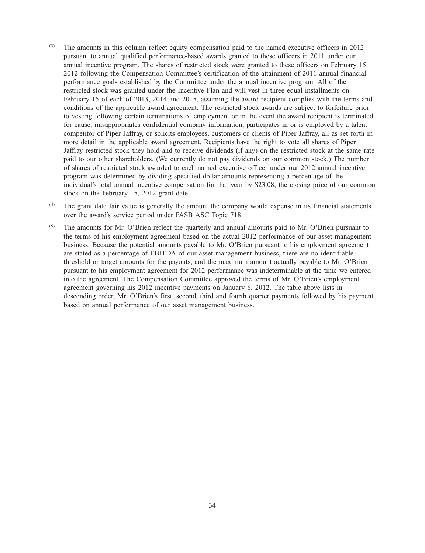- $(3)$  The amounts in this column reflect equity compensation paid to the named executive officers in 2012 pursuant to annual qualified performance-based awards granted to these officers in 2011 under our annual incentive program. The shares of restricted stock were granted to these officers on February 15, 2012 following the Compensation Committee's certification of the attainment of 2011 annual financial performance goals established by the Committee under the annual incentive program. All of the restricted stock was granted under the Incentive Plan and will vest in three equal installments on February 15 of each of 2013, 2014 and 2015, assuming the award recipient complies with the terms and conditions of the applicable award agreement. The restricted stock awards are subject to forfeiture prior to vesting following certain terminations of employment or in the event the award recipient is terminated for cause, misappropriates confidential company information, participates in or is employed by a talent competitor of Piper Jaffray, or solicits employees, customers or clients of Piper Jaffray, all as set forth in more detail in the applicable award agreement. Recipients have the right to vote all shares of Piper Jaffray restricted stock they hold and to receive dividends (if any) on the restricted stock at the same rate paid to our other shareholders. (We currently do not pay dividends on our common stock.) The number of shares of restricted stock awarded to each named executive officer under our 2012 annual incentive program was determined by dividing specified dollar amounts representing a percentage of the individual's total annual incentive compensation for that year by \$23.08, the closing price of our common stock on the February 15, 2012 grant date.
- (4) The grant date fair value is generally the amount the company would expense in its financial statements over the award's service period under FASB ASC Topic 718.
- (5) The amounts for Mr. O'Brien reflect the quarterly and annual amounts paid to Mr. O'Brien pursuant to the terms of his employment agreement based on the actual 2012 performance of our asset management business. Because the potential amounts payable to Mr. O'Brien pursuant to his employment agreement are stated as a percentage of EBITDA of our asset management business, there are no identifiable threshold or target amounts for the payouts, and the maximum amount actually payable to Mr. O'Brien pursuant to his employment agreement for 2012 performance was indeterminable at the time we entered into the agreement. The Compensation Committee approved the terms of Mr. O'Brien's employment agreement governing his 2012 incentive payments on January 6, 2012. The table above lists in descending order, Mr. O'Brien's first, second, third and fourth quarter payments followed by his payment based on annual performance of our asset management business.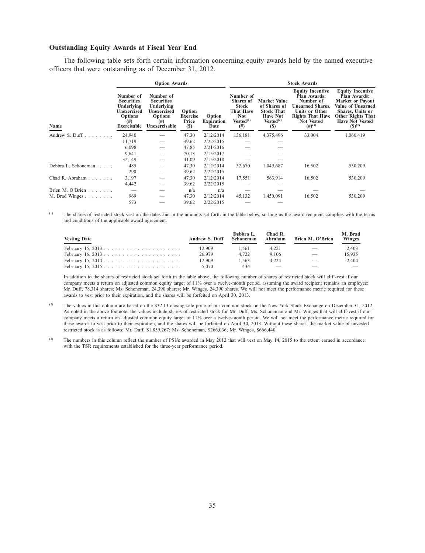## **Outstanding Equity Awards at Fiscal Year End**

The following table sets forth certain information concerning equity awards held by the named executive officers that were outstanding as of December 31, 2012.

| <b>Option Awards</b>               |                                                                                                          |                                                                                                            |                                    |                                     |                                                                                                               |                                                                                                             | <b>Stock Awards</b>                                                                                                                                                            |                                                                                                                                                                                         |  |  |
|------------------------------------|----------------------------------------------------------------------------------------------------------|------------------------------------------------------------------------------------------------------------|------------------------------------|-------------------------------------|---------------------------------------------------------------------------------------------------------------|-------------------------------------------------------------------------------------------------------------|--------------------------------------------------------------------------------------------------------------------------------------------------------------------------------|-----------------------------------------------------------------------------------------------------------------------------------------------------------------------------------------|--|--|
| Name                               | Number of<br><b>Securities</b><br>Underlying<br>Unexercised<br><b>Options</b><br>$^{(#)}$<br>Exercisable | Number of<br><b>Securities</b><br>Underlying<br>Unexercised<br><b>Options</b><br>$^{(#)}$<br>Unexercisable | Option<br>Exercise<br>Price<br>(S) | Option<br><b>Expiration</b><br>Date | Number of<br><b>Shares</b> of<br><b>Stock</b><br><b>That Have</b><br><b>Not</b><br>$Vested^{(1)}$<br>$^{(#)}$ | <b>Market Value</b><br>of Shares of<br><b>Stock That</b><br><b>Have Not</b><br>Vested <sup>(2)</sup><br>(S) | <b>Equity Incentive</b><br><b>Plan Awards:</b><br>Number of<br><b>Unearned Shares,</b><br><b>Units or Other</b><br><b>Rights That Have</b><br><b>Not Vested</b><br>$(#)^{(3)}$ | <b>Equity Incentive</b><br><b>Plan Awards:</b><br><b>Market or Payout</b><br>Value of Unearned<br>Shares, Units or<br><b>Other Rights That</b><br><b>Have Not Vested</b><br>$(S)^{(2)}$ |  |  |
| Andrew S. Duff $\ldots$ , $\ldots$ | 24,940                                                                                                   |                                                                                                            | 47.30                              | 2/12/2014                           | 136,181                                                                                                       | 4,375,496                                                                                                   | 33,004                                                                                                                                                                         | 1,060,419                                                                                                                                                                               |  |  |
|                                    | 11,719                                                                                                   |                                                                                                            | 39.62                              | 2/22/2015                           |                                                                                                               |                                                                                                             |                                                                                                                                                                                |                                                                                                                                                                                         |  |  |
|                                    | 6,098                                                                                                    |                                                                                                            | 47.85                              | 2/21/2016                           |                                                                                                               |                                                                                                             |                                                                                                                                                                                |                                                                                                                                                                                         |  |  |
|                                    | 9,641                                                                                                    |                                                                                                            | 70.13                              | 2/15/2017                           |                                                                                                               |                                                                                                             |                                                                                                                                                                                |                                                                                                                                                                                         |  |  |
|                                    | 32,149                                                                                                   |                                                                                                            | 41.09                              | 2/15/2018                           |                                                                                                               |                                                                                                             |                                                                                                                                                                                |                                                                                                                                                                                         |  |  |
| Debbra L. Schoneman<br>1.1.1.1     | 485                                                                                                      |                                                                                                            | 47.30                              | 2/12/2014                           | 32,670                                                                                                        | 1,049,687                                                                                                   | 16,502                                                                                                                                                                         | 530,209                                                                                                                                                                                 |  |  |
|                                    | 290                                                                                                      |                                                                                                            | 39.62                              | 2/22/2015                           |                                                                                                               |                                                                                                             |                                                                                                                                                                                |                                                                                                                                                                                         |  |  |
| Chad R. Abraham                    | 3,197                                                                                                    |                                                                                                            | 47.30                              | 2/12/2014                           | 17,551                                                                                                        | 563,914                                                                                                     | 16,502                                                                                                                                                                         | 530,209                                                                                                                                                                                 |  |  |
|                                    | 4,442                                                                                                    |                                                                                                            | 39.62                              | 2/22/2015                           |                                                                                                               |                                                                                                             |                                                                                                                                                                                |                                                                                                                                                                                         |  |  |
| Brien M. O'Brien                   |                                                                                                          |                                                                                                            | n/a                                | n/a                                 |                                                                                                               |                                                                                                             |                                                                                                                                                                                |                                                                                                                                                                                         |  |  |
| M. Brad Winges                     | 969                                                                                                      |                                                                                                            | 47.30                              | 2/12/2014                           | 45,132                                                                                                        | 1,450,091                                                                                                   | 16,502                                                                                                                                                                         | 530,209                                                                                                                                                                                 |  |  |
|                                    | 573                                                                                                      |                                                                                                            | 39.62                              | 2/22/2015                           |                                                                                                               |                                                                                                             |                                                                                                                                                                                |                                                                                                                                                                                         |  |  |

(1) The shares of restricted stock vest on the dates and in the amounts set forth in the table below, so long as the award recipient complies with the terms and conditions of the applicable award agreement.

| <b>Vesting Date</b> | <b>Andrew S. Duff</b> | Debbra L.<br>Schoneman | Chad R.<br>Abraham | Brien M. O'Brien              | M. Brad<br>Winges |
|---------------------|-----------------------|------------------------|--------------------|-------------------------------|-------------------|
|                     | 12.909                | 1.561                  | 4.221              | and the state of the state of | 2.403             |
|                     | 26,979                | 4.722                  | 9.106              |                               | 15.935            |
|                     | 12.909                | 1.563                  | 4.224              | $\overline{\phantom{a}}$      | 2.404             |
|                     | 5.070                 | 434                    |                    |                               |                   |

In addition to the shares of restricted stock set forth in the table above, the following number of shares of restricted stock will cliff-vest if our company meets a return on adjusted common equity target of 11% over a twelve-month period, assuming the award recipient remains an employee: Mr. Duff, 78,314 shares; Ms. Schoneman, 24,390 shares; Mr. Winges, 24,390 shares. We will not meet the performance metric required for these awards to vest prior to their expiration, and the shares will be forfeited on April 30, 2013.

- (2) The values in this column are based on the \$32.13 closing sale price of our common stock on the New York Stock Exchange on December 31, 2012. As noted in the above footnote, the values include shares of restricted stock for Mr. Duff, Ms. Schoneman and Mr. Winges that will cliff-vest if our company meets a return on adjusted common equity target of 11% over a twelve-month period. We will not meet the performance metric required for these awards to vest prior to their expiration, and the shares will be forfeited on April 30, 2013. Without these shares, the market value of unvested restricted stock is as follows: Mr. Duff, \$1,859,267; Ms. Schoneman, \$266,036; Mr. Winges, \$666,440.
- <sup>(3)</sup> The numbers in this column reflect the number of PSUs awarded in May 2012 that will vest on May 14, 2015 to the extent earned in accordance with the TSR requirements established for the three-year performance period.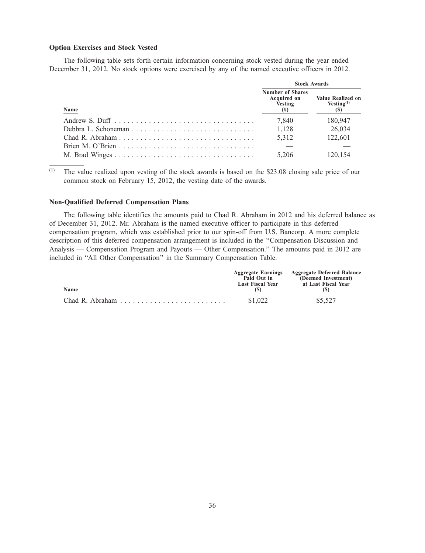## **Option Exercises and Stock Vested**

The following table sets forth certain information concerning stock vested during the year ended December 31, 2012. No stock options were exercised by any of the named executive officers in 2012.

|      | <b>Stock Awards</b>                                      |                                                  |  |
|------|----------------------------------------------------------|--------------------------------------------------|--|
| Name | <b>Number of Shares</b><br>Acquired on<br>Vesting<br>(#) | <b>Value Realized on</b><br>Vesting $(1)$<br>(S) |  |
|      | 7.840                                                    | 180,947                                          |  |
|      | 1.128                                                    | 26,034                                           |  |
|      | 5.312                                                    | 122,601                                          |  |
|      |                                                          |                                                  |  |
|      | 5.206                                                    | 120.154                                          |  |

(1) The value realized upon vesting of the stock awards is based on the \$23.08 closing sale price of our common stock on February 15, 2012, the vesting date of the awards.

## **Non-Qualified Deferred Compensation Plans**

The following table identifies the amounts paid to Chad R. Abraham in 2012 and his deferred balance as of December 31, 2012. Mr. Abraham is the named executive officer to participate in this deferred compensation program, which was established prior to our spin-off from U.S. Bancorp. A more complete description of this deferred compensation arrangement is included in the ''Compensation Discussion and Analysis — Compensation Program and Payouts — Other Compensation.'' The amounts paid in 2012 are included in ''All Other Compensation'' in the Summary Compensation Table.

|            | <b>Aggregate Earnings</b><br>Paid Out in<br>Last Fiscal Year | <b>Aggregate Deferred Balance</b><br>(Deemed Investment)<br>at Last Fiscal Year |
|------------|--------------------------------------------------------------|---------------------------------------------------------------------------------|
| Name<br>-- | $\sim$                                                       |                                                                                 |
|            | \$1,022                                                      | \$5,527                                                                         |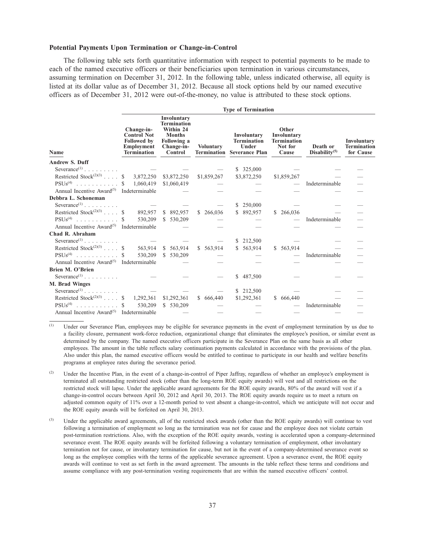## **Potential Payments Upon Termination or Change-in-Control**

The following table sets forth quantitative information with respect to potential payments to be made to each of the named executive officers or their beneficiaries upon termination in various circumstances, assuming termination on December 31, 2012. In the following table, unless indicated otherwise, all equity is listed at its dollar value as of December 31, 2012. Because all stock options held by our named executive officers as of December 31, 2012 were out-of-the-money, no value is attributed to these stock options.

|                                                        | <b>Type of Termination</b>                                                                        |                                                                                                         |             |                                                                                 |                                                                |                                       |                                                |
|--------------------------------------------------------|---------------------------------------------------------------------------------------------------|---------------------------------------------------------------------------------------------------------|-------------|---------------------------------------------------------------------------------|----------------------------------------------------------------|---------------------------------------|------------------------------------------------|
| Name                                                   | Change-in-<br><b>Control Not</b><br><b>Followed</b> by<br><b>Employment</b><br><b>Termination</b> | Involuntary<br><b>Termination</b><br>Within 24<br><b>Months</b><br>Following a<br>Change-in-<br>Control | Voluntary   | Involuntary<br><b>Termination</b><br>Under<br><b>Termination</b> Severance Plan | Other<br>Involuntary<br><b>Termination</b><br>Not for<br>Cause | Death or<br>Disability <sup>(5)</sup> | Involuntary<br><b>Termination</b><br>for Cause |
| <b>Andrew S. Duff</b>                                  |                                                                                                   |                                                                                                         |             |                                                                                 |                                                                |                                       |                                                |
| Severance <sup>(1)</sup> $\ldots$ $\ldots$ $\ldots$    |                                                                                                   |                                                                                                         |             | \$ 325,000                                                                      |                                                                |                                       |                                                |
| Restricted Stock <sup>(2)(3)</sup> \$ 3,872,250        |                                                                                                   | \$3,872,250                                                                                             | \$1,859,267 | \$3,872,250                                                                     | \$1,859,267                                                    |                                       |                                                |
| $PSUs^{(4)}$ \$ 1,060,419                              |                                                                                                   | \$1,060,419                                                                                             |             |                                                                                 |                                                                | Indeterminable                        |                                                |
| Annual Incentive Award <sup>(5)</sup> Indeterminable   |                                                                                                   |                                                                                                         |             |                                                                                 |                                                                |                                       |                                                |
| Debbra L. Schoneman                                    |                                                                                                   |                                                                                                         |             |                                                                                 |                                                                |                                       |                                                |
| Severance <sup>(1)</sup>                               |                                                                                                   |                                                                                                         |             | \$250,000                                                                       |                                                                |                                       |                                                |
| Restricted Stock <sup>(2)(3)</sup> \$                  |                                                                                                   | 892,957 \$ 892,957                                                                                      | \$266,036   | \$ 892,957                                                                      | \$266,036                                                      |                                       |                                                |
| $PSUs(4)$ \$                                           | 530,209                                                                                           | \$530,209                                                                                               |             |                                                                                 |                                                                | Indeterminable                        |                                                |
| Annual Incentive Award <sup>(5)</sup> Indeterminable   |                                                                                                   |                                                                                                         |             |                                                                                 |                                                                |                                       |                                                |
| Chad R. Abraham                                        |                                                                                                   |                                                                                                         |             |                                                                                 |                                                                |                                       |                                                |
| Severance <sup>(1)</sup> $\ldots$ $\ldots$ $\ldots$    |                                                                                                   |                                                                                                         |             | \$212,500                                                                       |                                                                |                                       |                                                |
| Restricted Stock <sup>(2)(3)</sup> $\ldots$ \$ 563,914 |                                                                                                   | \$563,914                                                                                               | \$563,914   | \$563,914                                                                       | \$ 563,914                                                     |                                       |                                                |
| $PSUs(4)$ \$                                           | 530,209                                                                                           | \$530,209                                                                                               |             |                                                                                 |                                                                | Indeterminable                        |                                                |
| Annual Incentive Award <sup>(5)</sup> Indeterminable   |                                                                                                   |                                                                                                         |             |                                                                                 |                                                                |                                       |                                                |
| Brien M. O'Brien                                       |                                                                                                   |                                                                                                         |             |                                                                                 |                                                                |                                       |                                                |
| Severance <sup>(1)</sup> $\ldots$ $\ldots$ $\ldots$    |                                                                                                   |                                                                                                         |             | \$487,500                                                                       |                                                                |                                       |                                                |
| M. Brad Winges                                         |                                                                                                   |                                                                                                         |             |                                                                                 |                                                                |                                       |                                                |
| Severance <sup>(1)</sup> $\ldots$ $\ldots$ $\ldots$    |                                                                                                   |                                                                                                         |             | \$ 212,500                                                                      |                                                                |                                       |                                                |
| Restricted Stock <sup>(2)(3)</sup> \$ 1,292,361        |                                                                                                   | \$1,292,361                                                                                             | \$ 666,440  | \$1,292,361                                                                     | \$ 666,440                                                     |                                       |                                                |
| $PSUs(4)$ \$ 530,209                                   |                                                                                                   | \$ 530,209                                                                                              |             |                                                                                 |                                                                | Indeterminable                        |                                                |
| Annual Incentive Award <sup>(5)</sup> Indeterminable   |                                                                                                   |                                                                                                         |             |                                                                                 |                                                                |                                       |                                                |

(1) Under our Severance Plan, employees may be eligible for severance payments in the event of employment termination by us due to a facility closure, permanent work-force reduction, organizational change that eliminates the employee's position, or similar event as determined by the company. The named executive officers participate in the Severance Plan on the same basis as all other employees. The amount in the table reflects salary continuation payments calculated in accordance with the provisions of the plan. Also under this plan, the named executive officers would be entitled to continue to participate in our health and welfare benefits programs at employee rates during the severance period.

<sup>(2)</sup> Under the Incentive Plan, in the event of a change-in-control of Piper Jaffray, regardless of whether an employee's employment is terminated all outstanding restricted stock (other than the long-term ROE equity awards) will vest and all restrictions on the restricted stock will lapse. Under the applicable award agreements for the ROE equity awards, 80% of the award will vest if a change-in-control occurs between April 30, 2012 and April 30, 2013. The ROE equity awards require us to meet a return on adjusted common equity of 11% over a 12-month period to vest absent a change-in-control, which we anticipate will not occur and the ROE equity awards will be forfeited on April 30, 2013.

<sup>(3)</sup> Under the applicable award agreements, all of the restricted stock awards (other than the ROE equity awards) will continue to vest following a termination of employment so long as the termination was not for cause and the employee does not violate certain post-termination restrictions. Also, with the exception of the ROE equity awards, vesting is accelerated upon a company-determined severance event. The ROE equity awards will be forfeited following a voluntary termination of employment, other involuntary termination not for cause, or involuntary termination for cause, but not in the event of a company-determined severance event so long as the employee complies with the terms of the applicable severance agreement. Upon a severance event, the ROE equity awards will continue to vest as set forth in the award agreement. The amounts in the table reflect these terms and conditions and assume compliance with any post-termination vesting requirements that are within the named executive officers' control.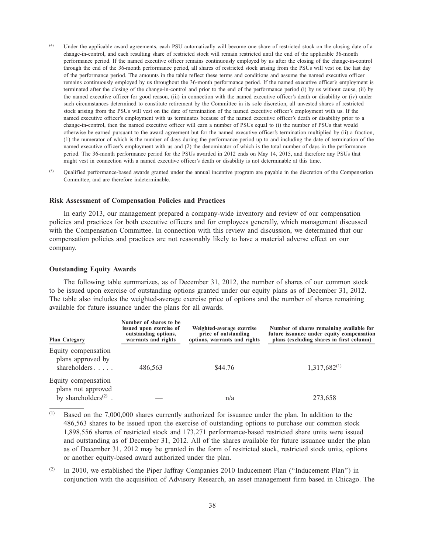- (4) Under the applicable award agreements, each PSU automatically will become one share of restricted stock on the closing date of a change-in-control, and each resulting share of restricted stock will remain restricted until the end of the applicable 36-month performance period. If the named executive officer remains continuously employed by us after the closing of the change-in-control through the end of the 36-month performance period, all shares of restricted stock arising from the PSUs will vest on the last day of the performance period. The amounts in the table reflect these terms and conditions and assume the named executive officer remains continuously employed by us throughout the 36-month performance period. If the named executive officer's employment is terminated after the closing of the change-in-control and prior to the end of the performance period (i) by us without cause, (ii) by the named executive officer for good reason, (iii) in connection with the named executive officer's death or disability or (iv) under such circumstances determined to constitute retirement by the Committee in its sole discretion, all unvested shares of restricted stock arising from the PSUs will vest on the date of termination of the named executive officer's employment with us. If the named executive officer's employment with us terminates because of the named executive officer's death or disability prior to a change-in-control, then the named executive officer will earn a number of PSUs equal to (i) the number of PSUs that would otherwise be earned pursuant to the award agreement but for the named executive officer's termination multiplied by (ii) a fraction, (1) the numerator of which is the number of days during the performance period up to and including the date of termination of the named executive officer's employment with us and (2) the denominator of which is the total number of days in the performance period. The 36-month performance period for the PSUs awarded in 2012 ends on May 14, 2015, and therefore any PSUs that might vest in connection with a named executive officer's death or disability is not determinable at this time.
- (5) Qualified performance-based awards granted under the annual incentive program are payable in the discretion of the Compensation Committee, and are therefore indeterminable.

## **Risk Assessment of Compensation Policies and Practices**

In early 2013, our management prepared a company-wide inventory and review of our compensation policies and practices for both executive officers and for employees generally, which management discussed with the Compensation Committee. In connection with this review and discussion, we determined that our compensation policies and practices are not reasonably likely to have a material adverse effect on our company.

### **Outstanding Equity Awards**

The following table summarizes, as of December 31, 2012, the number of shares of our common stock to be issued upon exercise of outstanding options granted under our equity plans as of December 31, 2012. The table also includes the weighted-average exercise price of options and the number of shares remaining available for future issuance under the plans for all awards.

| <b>Plan Category</b>                                                          | Number of shares to be<br>issued upon exercise of<br>outstanding options,<br>warrants and rights | Weighted-average exercise<br>price of outstanding<br>options, warrants and rights | Number of shares remaining available for<br>future issuance under equity compensation<br>plans (excluding shares in first column) |  |  |
|-------------------------------------------------------------------------------|--------------------------------------------------------------------------------------------------|-----------------------------------------------------------------------------------|-----------------------------------------------------------------------------------------------------------------------------------|--|--|
| Equity compensation<br>plans approved by<br>shareholders                      | 486,563                                                                                          | \$44.76                                                                           | $1,317,682^{(1)}$                                                                                                                 |  |  |
| Equity compensation<br>plans not approved<br>by shareholders <sup>(2)</sup> . |                                                                                                  | n/a                                                                               | 273,658                                                                                                                           |  |  |

<sup>(1)</sup> Based on the 7,000,000 shares currently authorized for issuance under the plan. In addition to the 486,563 shares to be issued upon the exercise of outstanding options to purchase our common stock 1,898,556 shares of restricted stock and 173,271 performance-based restricted share units were issued and outstanding as of December 31, 2012. All of the shares available for future issuance under the plan as of December 31, 2012 may be granted in the form of restricted stock, restricted stock units, options or another equity-based award authorized under the plan.

 $(2)$  In 2010, we established the Piper Jaffray Companies 2010 Inducement Plan ("Inducement Plan") in conjunction with the acquisition of Advisory Research, an asset management firm based in Chicago. The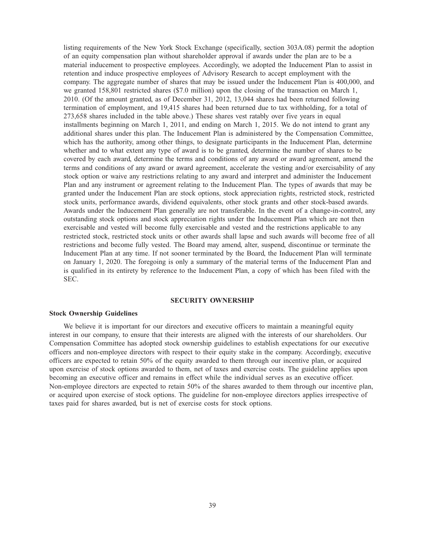listing requirements of the New York Stock Exchange (specifically, section 303A.08) permit the adoption of an equity compensation plan without shareholder approval if awards under the plan are to be a material inducement to prospective employees. Accordingly, we adopted the Inducement Plan to assist in retention and induce prospective employees of Advisory Research to accept employment with the company. The aggregate number of shares that may be issued under the Inducement Plan is 400,000, and we granted 158,801 restricted shares (\$7.0 million) upon the closing of the transaction on March 1, 2010. (Of the amount granted, as of December 31, 2012, 13,044 shares had been returned following termination of employment, and 19,415 shares had been returned due to tax withholding, for a total of 273,658 shares included in the table above.) These shares vest ratably over five years in equal installments beginning on March 1, 2011, and ending on March 1, 2015. We do not intend to grant any additional shares under this plan. The Inducement Plan is administered by the Compensation Committee, which has the authority, among other things, to designate participants in the Inducement Plan, determine whether and to what extent any type of award is to be granted, determine the number of shares to be covered by each award, determine the terms and conditions of any award or award agreement, amend the terms and conditions of any award or award agreement, accelerate the vesting and/or exercisability of any stock option or waive any restrictions relating to any award and interpret and administer the Inducement Plan and any instrument or agreement relating to the Inducement Plan. The types of awards that may be granted under the Inducement Plan are stock options, stock appreciation rights, restricted stock, restricted stock units, performance awards, dividend equivalents, other stock grants and other stock-based awards. Awards under the Inducement Plan generally are not transferable. In the event of a change-in-control, any outstanding stock options and stock appreciation rights under the Inducement Plan which are not then exercisable and vested will become fully exercisable and vested and the restrictions applicable to any restricted stock, restricted stock units or other awards shall lapse and such awards will become free of all restrictions and become fully vested. The Board may amend, alter, suspend, discontinue or terminate the Inducement Plan at any time. If not sooner terminated by the Board, the Inducement Plan will terminate on January 1, 2020. The foregoing is only a summary of the material terms of the Inducement Plan and is qualified in its entirety by reference to the Inducement Plan, a copy of which has been filed with the SEC.

## **SECURITY OWNERSHIP**

### **Stock Ownership Guidelines**

We believe it is important for our directors and executive officers to maintain a meaningful equity interest in our company, to ensure that their interests are aligned with the interests of our shareholders. Our Compensation Committee has adopted stock ownership guidelines to establish expectations for our executive officers and non-employee directors with respect to their equity stake in the company. Accordingly, executive officers are expected to retain 50% of the equity awarded to them through our incentive plan, or acquired upon exercise of stock options awarded to them, net of taxes and exercise costs. The guideline applies upon becoming an executive officer and remains in effect while the individual serves as an executive officer. Non-employee directors are expected to retain 50% of the shares awarded to them through our incentive plan, or acquired upon exercise of stock options. The guideline for non-employee directors applies irrespective of taxes paid for shares awarded, but is net of exercise costs for stock options.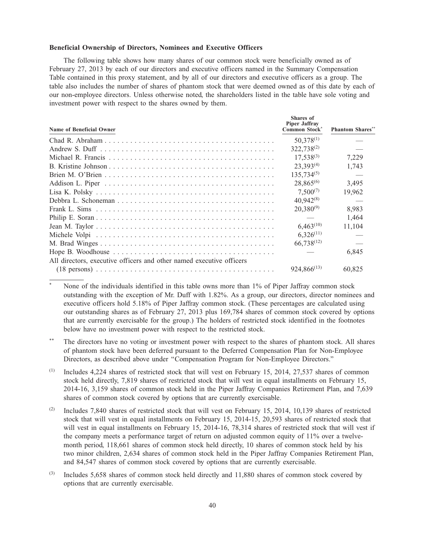## **Beneficial Ownership of Directors, Nominees and Executive Officers**

The following table shows how many shares of our common stock were beneficially owned as of February 27, 2013 by each of our directors and executive officers named in the Summary Compensation Table contained in this proxy statement, and by all of our directors and executive officers as a group. The table also includes the number of shares of phantom stock that were deemed owned as of this date by each of our non-employee directors. Unless otherwise noted, the shareholders listed in the table have sole voting and investment power with respect to the shares owned by them.

| Name of Beneficial Owner                                                                                         | Shares of<br><b>Piper Jaffray</b><br><b>Common Stock</b> | <b>Phantom Shares**</b> |
|------------------------------------------------------------------------------------------------------------------|----------------------------------------------------------|-------------------------|
|                                                                                                                  | $50,378^{(1)}$                                           |                         |
|                                                                                                                  | $322,738^{(2)}$                                          |                         |
|                                                                                                                  | $17,538^{(3)}$                                           | 7,229                   |
|                                                                                                                  | $23,393^{(4)}$                                           | 1,743                   |
|                                                                                                                  | $135,734^{(5)}$                                          |                         |
|                                                                                                                  | $28,865^{(6)}$                                           | 3,495                   |
|                                                                                                                  | $7,500^{(7)}$                                            | 19,962                  |
|                                                                                                                  | $40,942^{(8)}$                                           |                         |
|                                                                                                                  | $20,380^{(9)}$                                           | 8.983                   |
|                                                                                                                  |                                                          | 1.464                   |
|                                                                                                                  | $6,463^{(10)}$                                           | 11,104                  |
|                                                                                                                  | $6,326^{(11)}$                                           |                         |
|                                                                                                                  | $66,738^{(12)}$                                          |                         |
|                                                                                                                  |                                                          | 6,845                   |
| All directors, executive officers and other named executive officers                                             |                                                          |                         |
| $(18 \text{ persons}) \dots \dots \dots \dots \dots \dots \dots \dots \dots \dots \dots \dots \dots \dots \dots$ | $924,866^{(13)}$                                         | 60,825                  |

None of the individuals identified in this table owns more than 1% of Piper Jaffray common stock outstanding with the exception of Mr. Duff with 1.82%. As a group, our directors, director nominees and executive officers hold 5.18% of Piper Jaffray common stock. (These percentages are calculated using our outstanding shares as of February 27, 2013 plus 169,784 shares of common stock covered by options that are currently exercisable for the group.) The holders of restricted stock identified in the footnotes below have no investment power with respect to the restricted stock.

\*\* The directors have no voting or investment power with respect to the shares of phantom stock. All shares of phantom stock have been deferred pursuant to the Deferred Compensation Plan for Non-Employee Directors, as described above under ''Compensation Program for Non-Employee Directors.''

(1) Includes 4,224 shares of restricted stock that will vest on February 15, 2014, 27,537 shares of common stock held directly, 7,819 shares of restricted stock that will vest in equal installments on February 15, 2014-16, 3,159 shares of common stock held in the Piper Jaffray Companies Retirement Plan, and 7,639 shares of common stock covered by options that are currently exercisable.

- (2) Includes 7,840 shares of restricted stock that will vest on February 15, 2014, 10,139 shares of restricted stock that will vest in equal installments on February 15, 2014-15, 20,593 shares of restricted stock that will vest in equal installments on February 15, 2014-16, 78,314 shares of restricted stock that will vest if the company meets a performance target of return on adjusted common equity of 11% over a twelvemonth period, 118,661 shares of common stock held directly, 10 shares of common stock held by his two minor children, 2,634 shares of common stock held in the Piper Jaffray Companies Retirement Plan, and 84,547 shares of common stock covered by options that are currently exercisable.
- $^{(3)}$  Includes 5,658 shares of common stock held directly and 11,880 shares of common stock covered by options that are currently exercisable.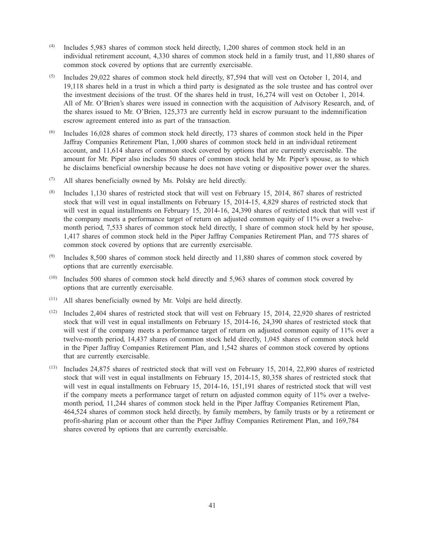- (4) Includes 5,983 shares of common stock held directly, 1,200 shares of common stock held in an individual retirement account, 4,330 shares of common stock held in a family trust, and 11,880 shares of common stock covered by options that are currently exercisable.
- $(5)$  Includes 29,022 shares of common stock held directly, 87,594 that will vest on October 1, 2014, and 19,118 shares held in a trust in which a third party is designated as the sole trustee and has control over the investment decisions of the trust. Of the shares held in trust, 16,274 will vest on October 1, 2014. All of Mr. O'Brien's shares were issued in connection with the acquisition of Advisory Research, and, of the shares issued to Mr. O'Brien, 125,373 are currently held in escrow pursuant to the indemnification escrow agreement entered into as part of the transaction.
- (6) Includes 16,028 shares of common stock held directly, 173 shares of common stock held in the Piper Jaffray Companies Retirement Plan, 1,000 shares of common stock held in an individual retirement account, and 11,614 shares of common stock covered by options that are currently exercisable. The amount for Mr. Piper also includes 50 shares of common stock held by Mr. Piper's spouse, as to which he disclaims beneficial ownership because he does not have voting or dispositive power over the shares.
- $(7)$  All shares beneficially owned by Ms. Polsky are held directly.
- (8) Includes 1,130 shares of restricted stock that will vest on February 15, 2014, 867 shares of restricted stock that will vest in equal installments on February 15, 2014-15, 4,829 shares of restricted stock that will vest in equal installments on February 15, 2014-16, 24,390 shares of restricted stock that will vest if the company meets a performance target of return on adjusted common equity of 11% over a twelvemonth period, 7,533 shares of common stock held directly, 1 share of common stock held by her spouse, 1,417 shares of common stock held in the Piper Jaffray Companies Retirement Plan, and 775 shares of common stock covered by options that are currently exercisable.
- $(9)$  Includes 8,500 shares of common stock held directly and 11,880 shares of common stock covered by options that are currently exercisable.
- (10) Includes 500 shares of common stock held directly and 5,963 shares of common stock covered by options that are currently exercisable.
- (11) All shares beneficially owned by Mr. Volpi are held directly.
- (12) Includes 2,404 shares of restricted stock that will vest on February 15, 2014, 22,920 shares of restricted stock that will vest in equal installments on February 15, 2014-16, 24,390 shares of restricted stock that will vest if the company meets a performance target of return on adjusted common equity of 11% over a twelve-month period, 14,437 shares of common stock held directly, 1,045 shares of common stock held in the Piper Jaffray Companies Retirement Plan, and 1,542 shares of common stock covered by options that are currently exercisable.
- $(13)$  Includes 24,875 shares of restricted stock that will vest on February 15, 2014, 22,890 shares of restricted stock that will vest in equal installments on February 15, 2014-15, 80,358 shares of restricted stock that will vest in equal installments on February 15, 2014-16, 151,191 shares of restricted stock that will vest if the company meets a performance target of return on adjusted common equity of 11% over a twelvemonth period, 11,244 shares of common stock held in the Piper Jaffray Companies Retirement Plan, 464,524 shares of common stock held directly, by family members, by family trusts or by a retirement or profit-sharing plan or account other than the Piper Jaffray Companies Retirement Plan, and 169,784 shares covered by options that are currently exercisable.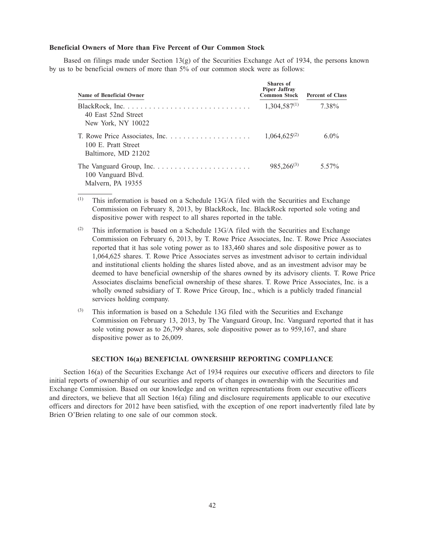## **Beneficial Owners of More than Five Percent of Our Common Stock**

Based on filings made under Section 13(g) of the Securities Exchange Act of 1934, the persons known by us to be beneficial owners of more than 5% of our common stock were as follows:

| Name of Beneficial Owner                   | Shares of<br><b>Piper Jaffray</b><br><b>Common Stock</b> | <b>Percent of Class</b> |
|--------------------------------------------|----------------------------------------------------------|-------------------------|
| 40 East 52nd Street<br>New York, NY 10022  | $1,304,587^{(1)}$                                        | 7.38%                   |
| 100 E. Pratt Street<br>Baltimore, MD 21202 | $1.064.625^{(2)}$                                        | $6.0\%$                 |
| 100 Vanguard Blvd.<br>Malvern, PA 19355    | $985,266^{(3)}$                                          | 5.57%                   |

 $(1)$  This information is based on a Schedule 13G/A filed with the Securities and Exchange Commission on February 8, 2013, by BlackRock, Inc. BlackRock reported sole voting and dispositive power with respect to all shares reported in the table.

- (2) This information is based on a Schedule  $13G/A$  filed with the Securities and Exchange Commission on February 6, 2013, by T. Rowe Price Associates, Inc. T. Rowe Price Associates reported that it has sole voting power as to 183,460 shares and sole dispositive power as to 1,064,625 shares. T. Rowe Price Associates serves as investment advisor to certain individual and institutional clients holding the shares listed above, and as an investment advisor may be deemed to have beneficial ownership of the shares owned by its advisory clients. T. Rowe Price Associates disclaims beneficial ownership of these shares. T. Rowe Price Associates, Inc. is a wholly owned subsidiary of T. Rowe Price Group, Inc., which is a publicly traded financial services holding company.
- (3) This information is based on a Schedule 13G filed with the Securities and Exchange Commission on February 13, 2013, by The Vanguard Group, Inc. Vanguard reported that it has sole voting power as to 26,799 shares, sole dispositive power as to 959,167, and share dispositive power as to 26,009.

### **SECTION 16(a) BENEFICIAL OWNERSHIP REPORTING COMPLIANCE**

Section 16(a) of the Securities Exchange Act of 1934 requires our executive officers and directors to file initial reports of ownership of our securities and reports of changes in ownership with the Securities and Exchange Commission. Based on our knowledge and on written representations from our executive officers and directors, we believe that all Section 16(a) filing and disclosure requirements applicable to our executive officers and directors for 2012 have been satisfied, with the exception of one report inadvertently filed late by Brien O'Brien relating to one sale of our common stock.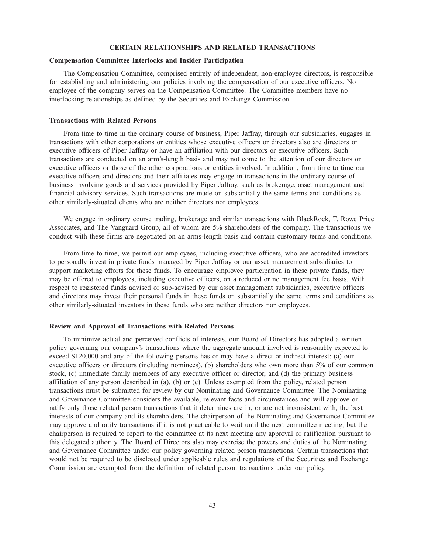## **CERTAIN RELATIONSHIPS AND RELATED TRANSACTIONS**

## **Compensation Committee Interlocks and Insider Participation**

The Compensation Committee, comprised entirely of independent, non-employee directors, is responsible for establishing and administering our policies involving the compensation of our executive officers. No employee of the company serves on the Compensation Committee. The Committee members have no interlocking relationships as defined by the Securities and Exchange Commission.

## **Transactions with Related Persons**

From time to time in the ordinary course of business, Piper Jaffray, through our subsidiaries, engages in transactions with other corporations or entities whose executive officers or directors also are directors or executive officers of Piper Jaffray or have an affiliation with our directors or executive officers. Such transactions are conducted on an arm's-length basis and may not come to the attention of our directors or executive officers or those of the other corporations or entities involved. In addition, from time to time our executive officers and directors and their affiliates may engage in transactions in the ordinary course of business involving goods and services provided by Piper Jaffray, such as brokerage, asset management and financial advisory services. Such transactions are made on substantially the same terms and conditions as other similarly-situated clients who are neither directors nor employees.

We engage in ordinary course trading, brokerage and similar transactions with BlackRock, T. Rowe Price Associates, and The Vanguard Group, all of whom are 5% shareholders of the company. The transactions we conduct with these firms are negotiated on an arms-length basis and contain customary terms and conditions.

From time to time, we permit our employees, including executive officers, who are accredited investors to personally invest in private funds managed by Piper Jaffray or our asset management subsidiaries to support marketing efforts for these funds. To encourage employee participation in these private funds, they may be offered to employees, including executive officers, on a reduced or no management fee basis. With respect to registered funds advised or sub-advised by our asset management subsidiaries, executive officers and directors may invest their personal funds in these funds on substantially the same terms and conditions as other similarly-situated investors in these funds who are neither directors nor employees.

## **Review and Approval of Transactions with Related Persons**

To minimize actual and perceived conflicts of interests, our Board of Directors has adopted a written policy governing our company's transactions where the aggregate amount involved is reasonably expected to exceed \$120,000 and any of the following persons has or may have a direct or indirect interest: (a) our executive officers or directors (including nominees), (b) shareholders who own more than 5% of our common stock, (c) immediate family members of any executive officer or director, and (d) the primary business affiliation of any person described in (a), (b) or (c). Unless exempted from the policy, related person transactions must be submitted for review by our Nominating and Governance Committee. The Nominating and Governance Committee considers the available, relevant facts and circumstances and will approve or ratify only those related person transactions that it determines are in, or are not inconsistent with, the best interests of our company and its shareholders. The chairperson of the Nominating and Governance Committee may approve and ratify transactions if it is not practicable to wait until the next committee meeting, but the chairperson is required to report to the committee at its next meeting any approval or ratification pursuant to this delegated authority. The Board of Directors also may exercise the powers and duties of the Nominating and Governance Committee under our policy governing related person transactions. Certain transactions that would not be required to be disclosed under applicable rules and regulations of the Securities and Exchange Commission are exempted from the definition of related person transactions under our policy.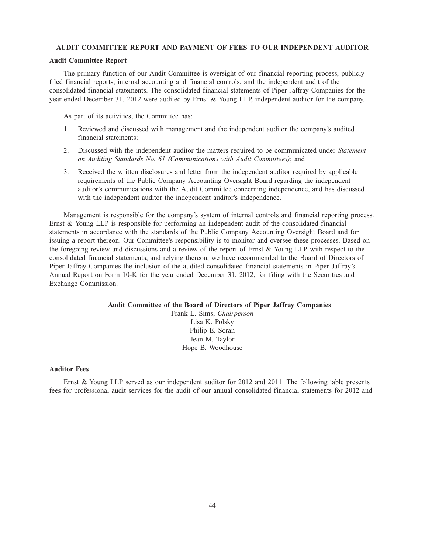## **AUDIT COMMITTEE REPORT AND PAYMENT OF FEES TO OUR INDEPENDENT AUDITOR**

#### **Audit Committee Report**

The primary function of our Audit Committee is oversight of our financial reporting process, publicly filed financial reports, internal accounting and financial controls, and the independent audit of the consolidated financial statements. The consolidated financial statements of Piper Jaffray Companies for the year ended December 31, 2012 were audited by Ernst & Young LLP, independent auditor for the company.

As part of its activities, the Committee has:

- 1. Reviewed and discussed with management and the independent auditor the company's audited financial statements;
- 2. Discussed with the independent auditor the matters required to be communicated under *Statement on Auditing Standards No. 61 (Communications with Audit Committees)*; and
- 3. Received the written disclosures and letter from the independent auditor required by applicable requirements of the Public Company Accounting Oversight Board regarding the independent auditor's communications with the Audit Committee concerning independence, and has discussed with the independent auditor the independent auditor's independence.

Management is responsible for the company's system of internal controls and financial reporting process. Ernst & Young LLP is responsible for performing an independent audit of the consolidated financial statements in accordance with the standards of the Public Company Accounting Oversight Board and for issuing a report thereon. Our Committee's responsibility is to monitor and oversee these processes. Based on the foregoing review and discussions and a review of the report of Ernst & Young LLP with respect to the consolidated financial statements, and relying thereon, we have recommended to the Board of Directors of Piper Jaffray Companies the inclusion of the audited consolidated financial statements in Piper Jaffray's Annual Report on Form 10-K for the year ended December 31, 2012, for filing with the Securities and Exchange Commission.

## **Audit Committee of the Board of Directors of Piper Jaffray Companies**

Frank L. Sims, *Chairperson* Lisa K. Polsky Philip E. Soran Jean M. Taylor Hope B. Woodhouse

## **Auditor Fees**

Ernst & Young LLP served as our independent auditor for 2012 and 2011. The following table presents fees for professional audit services for the audit of our annual consolidated financial statements for 2012 and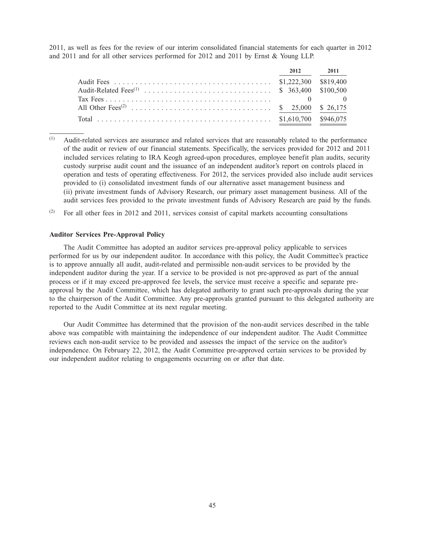2011, as well as fees for the review of our interim consolidated financial statements for each quarter in 2012 and 2011 and for all other services performed for 2012 and 2011 by Ernst & Young LLP.

| 2012 2011 |  |
|-----------|--|
|           |  |
|           |  |
|           |  |
|           |  |
|           |  |

- (1) Audit-related services are assurance and related services that are reasonably related to the performance of the audit or review of our financial statements. Specifically, the services provided for 2012 and 2011 included services relating to IRA Keogh agreed-upon procedures, employee benefit plan audits, security custody surprise audit count and the issuance of an independent auditor's report on controls placed in operation and tests of operating effectiveness. For 2012, the services provided also include audit services provided to (i) consolidated investment funds of our alternative asset management business and (ii) private investment funds of Advisory Research, our primary asset management business. All of the audit services fees provided to the private investment funds of Advisory Research are paid by the funds.
- (2) For all other fees in 2012 and 2011, services consist of capital markets accounting consultations

## **Auditor Services Pre-Approval Policy**

The Audit Committee has adopted an auditor services pre-approval policy applicable to services performed for us by our independent auditor. In accordance with this policy, the Audit Committee's practice is to approve annually all audit, audit-related and permissible non-audit services to be provided by the independent auditor during the year. If a service to be provided is not pre-approved as part of the annual process or if it may exceed pre-approved fee levels, the service must receive a specific and separate preapproval by the Audit Committee, which has delegated authority to grant such pre-approvals during the year to the chairperson of the Audit Committee. Any pre-approvals granted pursuant to this delegated authority are reported to the Audit Committee at its next regular meeting.

Our Audit Committee has determined that the provision of the non-audit services described in the table above was compatible with maintaining the independence of our independent auditor. The Audit Committee reviews each non-audit service to be provided and assesses the impact of the service on the auditor's independence. On February 22, 2012, the Audit Committee pre-approved certain services to be provided by our independent auditor relating to engagements occurring on or after that date.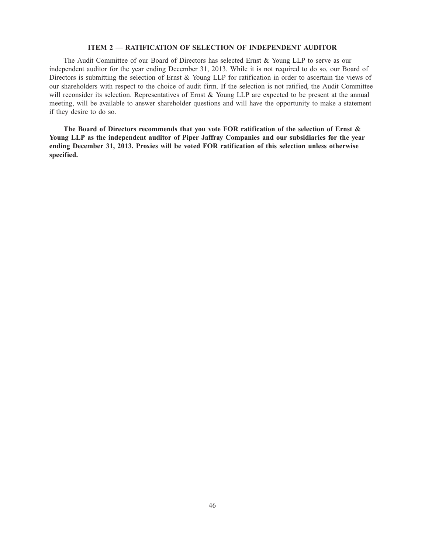## **ITEM 2 — RATIFICATION OF SELECTION OF INDEPENDENT AUDITOR**

The Audit Committee of our Board of Directors has selected Ernst & Young LLP to serve as our independent auditor for the year ending December 31, 2013. While it is not required to do so, our Board of Directors is submitting the selection of Ernst & Young LLP for ratification in order to ascertain the views of our shareholders with respect to the choice of audit firm. If the selection is not ratified, the Audit Committee will reconsider its selection. Representatives of Ernst & Young LLP are expected to be present at the annual meeting, will be available to answer shareholder questions and will have the opportunity to make a statement if they desire to do so.

**The Board of Directors recommends that you vote FOR ratification of the selection of Ernst & Young LLP as the independent auditor of Piper Jaffray Companies and our subsidiaries for the year ending December 31, 2013. Proxies will be voted FOR ratification of this selection unless otherwise specified.**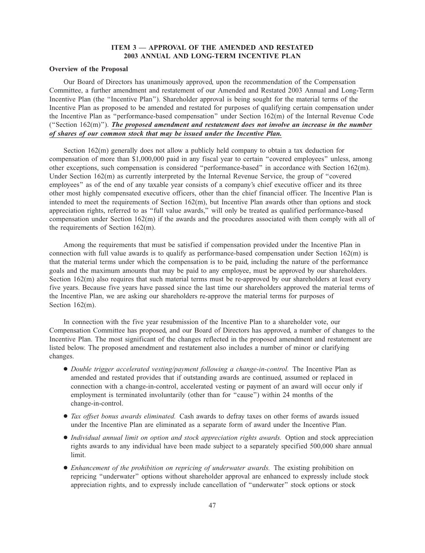# **ITEM 3 — APPROVAL OF THE AMENDED AND RESTATED 2003 ANNUAL AND LONG-TERM INCENTIVE PLAN**

## **Overview of the Proposal**

Our Board of Directors has unanimously approved, upon the recommendation of the Compensation Committee, a further amendment and restatement of our Amended and Restated 2003 Annual and Long-Term Incentive Plan (the ''Incentive Plan''). Shareholder approval is being sought for the material terms of the Incentive Plan as proposed to be amended and restated for purposes of qualifying certain compensation under the Incentive Plan as ''performance-based compensation'' under Section 162(m) of the Internal Revenue Code (''Section 162(m)''). *The proposed amendment and restatement does not involve an increase in the number of shares of our common stock that may be issued under the Incentive Plan.*

Section  $162(m)$  generally does not allow a publicly held company to obtain a tax deduction for compensation of more than \$1,000,000 paid in any fiscal year to certain ''covered employees'' unless, among other exceptions, such compensation is considered ''performance-based'' in accordance with Section 162(m). Under Section 162(m) as currently interpreted by the Internal Revenue Service, the group of ''covered employees'' as of the end of any taxable year consists of a company's chief executive officer and its three other most highly compensated executive officers, other than the chief financial officer. The Incentive Plan is intended to meet the requirements of Section 162(m), but Incentive Plan awards other than options and stock appreciation rights, referred to as ''full value awards,'' will only be treated as qualified performance-based compensation under Section 162(m) if the awards and the procedures associated with them comply with all of the requirements of Section 162(m).

Among the requirements that must be satisfied if compensation provided under the Incentive Plan in connection with full value awards is to qualify as performance-based compensation under Section 162(m) is that the material terms under which the compensation is to be paid, including the nature of the performance goals and the maximum amounts that may be paid to any employee, must be approved by our shareholders. Section 162(m) also requires that such material terms must be re-approved by our shareholders at least every five years. Because five years have passed since the last time our shareholders approved the material terms of the Incentive Plan, we are asking our shareholders re-approve the material terms for purposes of Section 162(m).

In connection with the five year resubmission of the Incentive Plan to a shareholder vote, our Compensation Committee has proposed, and our Board of Directors has approved, a number of changes to the Incentive Plan. The most significant of the changes reflected in the proposed amendment and restatement are listed below. The proposed amendment and restatement also includes a number of minor or clarifying changes.

- *Double trigger accelerated vesting/payment following a change-in-control.* The Incentive Plan as amended and restated provides that if outstanding awards are continued, assumed or replaced in connection with a change-in-control, accelerated vesting or payment of an award will occur only if employment is terminated involuntarily (other than for ''cause'') within 24 months of the change-in-control.
- *Tax offset bonus awards eliminated.* Cash awards to defray taxes on other forms of awards issued under the Incentive Plan are eliminated as a separate form of award under the Incentive Plan.
- *Individual annual limit on option and stock appreciation rights awards.* Option and stock appreciation rights awards to any individual have been made subject to a separately specified 500,000 share annual limit.
- *Enhancement of the prohibition on repricing of underwater awards.* The existing prohibition on repricing ''underwater'' options without shareholder approval are enhanced to expressly include stock appreciation rights, and to expressly include cancellation of ''underwater'' stock options or stock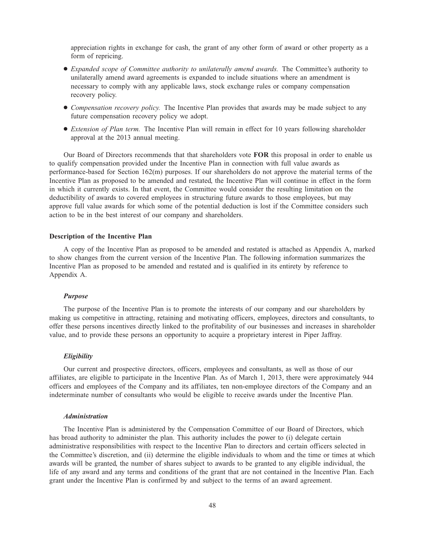appreciation rights in exchange for cash, the grant of any other form of award or other property as a form of repricing.

- *Expanded scope of Committee authority to unilaterally amend awards.* The Committee's authority to unilaterally amend award agreements is expanded to include situations where an amendment is necessary to comply with any applicable laws, stock exchange rules or company compensation recovery policy.
- *Compensation recovery policy*. The Incentive Plan provides that awards may be made subject to any future compensation recovery policy we adopt.
- *Extension of Plan term.* The Incentive Plan will remain in effect for 10 years following shareholder approval at the 2013 annual meeting.

Our Board of Directors recommends that that shareholders vote **FOR** this proposal in order to enable us to qualify compensation provided under the Incentive Plan in connection with full value awards as performance-based for Section 162(m) purposes. If our shareholders do not approve the material terms of the Incentive Plan as proposed to be amended and restated, the Incentive Plan will continue in effect in the form in which it currently exists. In that event, the Committee would consider the resulting limitation on the deductibility of awards to covered employees in structuring future awards to those employees, but may approve full value awards for which some of the potential deduction is lost if the Committee considers such action to be in the best interest of our company and shareholders.

## **Description of the Incentive Plan**

A copy of the Incentive Plan as proposed to be amended and restated is attached as Appendix A, marked to show changes from the current version of the Incentive Plan. The following information summarizes the Incentive Plan as proposed to be amended and restated and is qualified in its entirety by reference to Appendix A.

#### *Purpose*

The purpose of the Incentive Plan is to promote the interests of our company and our shareholders by making us competitive in attracting, retaining and motivating officers, employees, directors and consultants, to offer these persons incentives directly linked to the profitability of our businesses and increases in shareholder value, and to provide these persons an opportunity to acquire a proprietary interest in Piper Jaffray.

### *Eligibility*

Our current and prospective directors, officers, employees and consultants, as well as those of our affiliates, are eligible to participate in the Incentive Plan. As of March 1, 2013, there were approximately 944 officers and employees of the Company and its affiliates, ten non-employee directors of the Company and an indeterminate number of consultants who would be eligible to receive awards under the Incentive Plan.

#### *Administration*

The Incentive Plan is administered by the Compensation Committee of our Board of Directors, which has broad authority to administer the plan. This authority includes the power to (i) delegate certain administrative responsibilities with respect to the Incentive Plan to directors and certain officers selected in the Committee's discretion, and (ii) determine the eligible individuals to whom and the time or times at which awards will be granted, the number of shares subject to awards to be granted to any eligible individual, the life of any award and any terms and conditions of the grant that are not contained in the Incentive Plan. Each grant under the Incentive Plan is confirmed by and subject to the terms of an award agreement.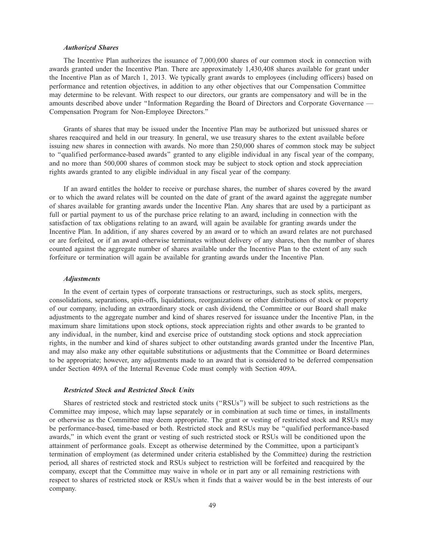### *Authorized Shares*

The Incentive Plan authorizes the issuance of 7,000,000 shares of our common stock in connection with awards granted under the Incentive Plan. There are approximately 1,430,408 shares available for grant under the Incentive Plan as of March 1, 2013. We typically grant awards to employees (including officers) based on performance and retention objectives, in addition to any other objectives that our Compensation Committee may determine to be relevant. With respect to our directors, our grants are compensatory and will be in the amounts described above under ''Information Regarding the Board of Directors and Corporate Governance — Compensation Program for Non-Employee Directors.''

Grants of shares that may be issued under the Incentive Plan may be authorized but unissued shares or shares reacquired and held in our treasury. In general, we use treasury shares to the extent available before issuing new shares in connection with awards. No more than 250,000 shares of common stock may be subject to ''qualified performance-based awards'' granted to any eligible individual in any fiscal year of the company, and no more than 500,000 shares of common stock may be subject to stock option and stock appreciation rights awards granted to any eligible individual in any fiscal year of the company.

If an award entitles the holder to receive or purchase shares, the number of shares covered by the award or to which the award relates will be counted on the date of grant of the award against the aggregate number of shares available for granting awards under the Incentive Plan. Any shares that are used by a participant as full or partial payment to us of the purchase price relating to an award, including in connection with the satisfaction of tax obligations relating to an award, will again be available for granting awards under the Incentive Plan. In addition, if any shares covered by an award or to which an award relates are not purchased or are forfeited, or if an award otherwise terminates without delivery of any shares, then the number of shares counted against the aggregate number of shares available under the Incentive Plan to the extent of any such forfeiture or termination will again be available for granting awards under the Incentive Plan.

#### *Adjustments*

In the event of certain types of corporate transactions or restructurings, such as stock splits, mergers, consolidations, separations, spin-offs, liquidations, reorganizations or other distributions of stock or property of our company, including an extraordinary stock or cash dividend, the Committee or our Board shall make adjustments to the aggregate number and kind of shares reserved for issuance under the Incentive Plan, in the maximum share limitations upon stock options, stock appreciation rights and other awards to be granted to any individual, in the number, kind and exercise price of outstanding stock options and stock appreciation rights, in the number and kind of shares subject to other outstanding awards granted under the Incentive Plan, and may also make any other equitable substitutions or adjustments that the Committee or Board determines to be appropriate; however, any adjustments made to an award that is considered to be deferred compensation under Section 409A of the Internal Revenue Code must comply with Section 409A.

### *Restricted Stock and Restricted Stock Units*

Shares of restricted stock and restricted stock units (''RSUs'') will be subject to such restrictions as the Committee may impose, which may lapse separately or in combination at such time or times, in installments or otherwise as the Committee may deem appropriate. The grant or vesting of restricted stock and RSUs may be performance-based, time-based or both. Restricted stock and RSUs may be ''qualified performance-based awards,'' in which event the grant or vesting of such restricted stock or RSUs will be conditioned upon the attainment of performance goals. Except as otherwise determined by the Committee, upon a participant's termination of employment (as determined under criteria established by the Committee) during the restriction period, all shares of restricted stock and RSUs subject to restriction will be forfeited and reacquired by the company, except that the Committee may waive in whole or in part any or all remaining restrictions with respect to shares of restricted stock or RSUs when it finds that a waiver would be in the best interests of our company.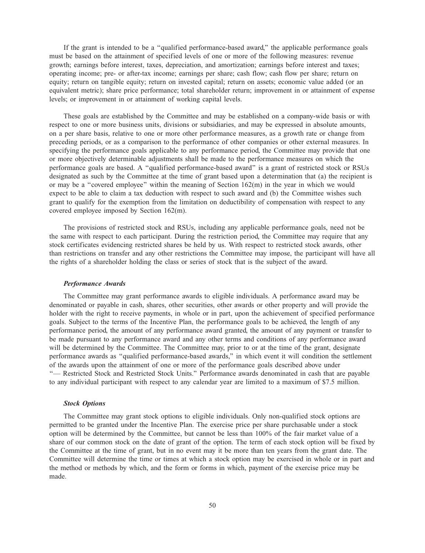If the grant is intended to be a ''qualified performance-based award,'' the applicable performance goals must be based on the attainment of specified levels of one or more of the following measures: revenue growth; earnings before interest, taxes, depreciation, and amortization; earnings before interest and taxes; operating income; pre- or after-tax income; earnings per share; cash flow; cash flow per share; return on equity; return on tangible equity; return on invested capital; return on assets; economic value added (or an equivalent metric); share price performance; total shareholder return; improvement in or attainment of expense levels; or improvement in or attainment of working capital levels.

These goals are established by the Committee and may be established on a company-wide basis or with respect to one or more business units, divisions or subsidiaries, and may be expressed in absolute amounts, on a per share basis, relative to one or more other performance measures, as a growth rate or change from preceding periods, or as a comparison to the performance of other companies or other external measures. In specifying the performance goals applicable to any performance period, the Committee may provide that one or more objectively determinable adjustments shall be made to the performance measures on which the performance goals are based. A ''qualified performance-based award'' is a grant of restricted stock or RSUs designated as such by the Committee at the time of grant based upon a determination that (a) the recipient is or may be a "covered employee" within the meaning of Section  $162(m)$  in the year in which we would expect to be able to claim a tax deduction with respect to such award and (b) the Committee wishes such grant to qualify for the exemption from the limitation on deductibility of compensation with respect to any covered employee imposed by Section 162(m).

The provisions of restricted stock and RSUs, including any applicable performance goals, need not be the same with respect to each participant. During the restriction period, the Committee may require that any stock certificates evidencing restricted shares be held by us. With respect to restricted stock awards, other than restrictions on transfer and any other restrictions the Committee may impose, the participant will have all the rights of a shareholder holding the class or series of stock that is the subject of the award.

### *Performance Awards*

The Committee may grant performance awards to eligible individuals. A performance award may be denominated or payable in cash, shares, other securities, other awards or other property and will provide the holder with the right to receive payments, in whole or in part, upon the achievement of specified performance goals. Subject to the terms of the Incentive Plan, the performance goals to be achieved, the length of any performance period, the amount of any performance award granted, the amount of any payment or transfer to be made pursuant to any performance award and any other terms and conditions of any performance award will be determined by the Committee. The Committee may, prior to or at the time of the grant, designate performance awards as ''qualified performance-based awards,'' in which event it will condition the settlement of the awards upon the attainment of one or more of the performance goals described above under ''— Restricted Stock and Restricted Stock Units.'' Performance awards denominated in cash that are payable to any individual participant with respect to any calendar year are limited to a maximum of \$7.5 million.

#### *Stock Options*

The Committee may grant stock options to eligible individuals. Only non-qualified stock options are permitted to be granted under the Incentive Plan. The exercise price per share purchasable under a stock option will be determined by the Committee, but cannot be less than 100% of the fair market value of a share of our common stock on the date of grant of the option. The term of each stock option will be fixed by the Committee at the time of grant, but in no event may it be more than ten years from the grant date. The Committee will determine the time or times at which a stock option may be exercised in whole or in part and the method or methods by which, and the form or forms in which, payment of the exercise price may be made.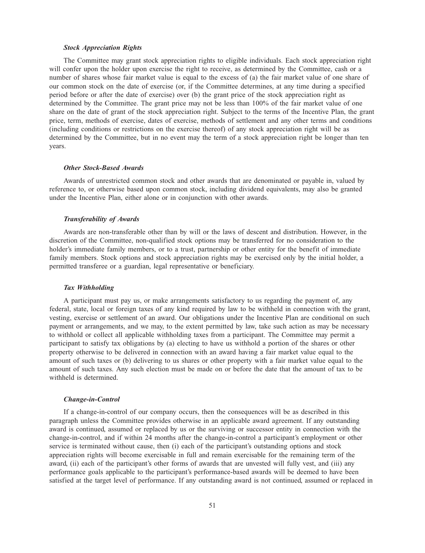#### *Stock Appreciation Rights*

The Committee may grant stock appreciation rights to eligible individuals. Each stock appreciation right will confer upon the holder upon exercise the right to receive, as determined by the Committee, cash or a number of shares whose fair market value is equal to the excess of (a) the fair market value of one share of our common stock on the date of exercise (or, if the Committee determines, at any time during a specified period before or after the date of exercise) over (b) the grant price of the stock appreciation right as determined by the Committee. The grant price may not be less than 100% of the fair market value of one share on the date of grant of the stock appreciation right. Subject to the terms of the Incentive Plan, the grant price, term, methods of exercise, dates of exercise, methods of settlement and any other terms and conditions (including conditions or restrictions on the exercise thereof) of any stock appreciation right will be as determined by the Committee, but in no event may the term of a stock appreciation right be longer than ten years.

## *Other Stock-Based Awards*

Awards of unrestricted common stock and other awards that are denominated or payable in, valued by reference to, or otherwise based upon common stock, including dividend equivalents, may also be granted under the Incentive Plan, either alone or in conjunction with other awards.

## *Transferability of Awards*

Awards are non-transferable other than by will or the laws of descent and distribution. However, in the discretion of the Committee, non-qualified stock options may be transferred for no consideration to the holder's immediate family members, or to a trust, partnership or other entity for the benefit of immediate family members. Stock options and stock appreciation rights may be exercised only by the initial holder, a permitted transferee or a guardian, legal representative or beneficiary.

### *Tax Withholding*

A participant must pay us, or make arrangements satisfactory to us regarding the payment of, any federal, state, local or foreign taxes of any kind required by law to be withheld in connection with the grant, vesting, exercise or settlement of an award. Our obligations under the Incentive Plan are conditional on such payment or arrangements, and we may, to the extent permitted by law, take such action as may be necessary to withhold or collect all applicable withholding taxes from a participant. The Committee may permit a participant to satisfy tax obligations by (a) electing to have us withhold a portion of the shares or other property otherwise to be delivered in connection with an award having a fair market value equal to the amount of such taxes or (b) delivering to us shares or other property with a fair market value equal to the amount of such taxes. Any such election must be made on or before the date that the amount of tax to be withheld is determined.

#### *Change-in-Control*

If a change-in-control of our company occurs, then the consequences will be as described in this paragraph unless the Committee provides otherwise in an applicable award agreement. If any outstanding award is continued, assumed or replaced by us or the surviving or successor entity in connection with the change-in-control, and if within 24 months after the change-in-control a participant's employment or other service is terminated without cause, then (i) each of the participant's outstanding options and stock appreciation rights will become exercisable in full and remain exercisable for the remaining term of the award, (ii) each of the participant's other forms of awards that are unvested will fully vest, and (iii) any performance goals applicable to the participant's performance-based awards will be deemed to have been satisfied at the target level of performance. If any outstanding award is not continued, assumed or replaced in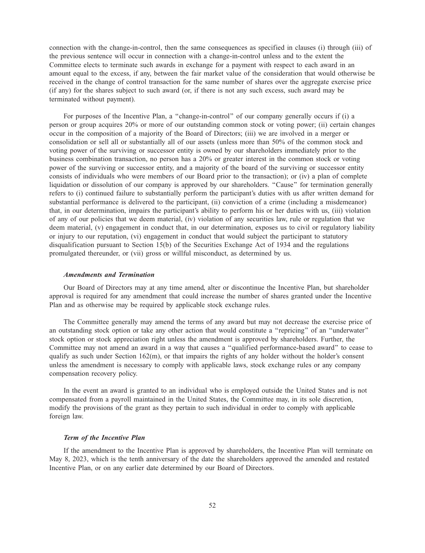connection with the change-in-control, then the same consequences as specified in clauses (i) through (iii) of the previous sentence will occur in connection with a change-in-control unless and to the extent the Committee elects to terminate such awards in exchange for a payment with respect to each award in an amount equal to the excess, if any, between the fair market value of the consideration that would otherwise be received in the change of control transaction for the same number of shares over the aggregate exercise price (if any) for the shares subject to such award (or, if there is not any such excess, such award may be terminated without payment).

For purposes of the Incentive Plan, a ''change-in-control'' of our company generally occurs if (i) a person or group acquires 20% or more of our outstanding common stock or voting power; (ii) certain changes occur in the composition of a majority of the Board of Directors; (iii) we are involved in a merger or consolidation or sell all or substantially all of our assets (unless more than 50% of the common stock and voting power of the surviving or successor entity is owned by our shareholders immediately prior to the business combination transaction, no person has a 20% or greater interest in the common stock or voting power of the surviving or successor entity, and a majority of the board of the surviving or successor entity consists of individuals who were members of our Board prior to the transaction); or (iv) a plan of complete liquidation or dissolution of our company is approved by our shareholders. "Cause" for termination generally refers to (i) continued failure to substantially perform the participant's duties with us after written demand for substantial performance is delivered to the participant, (ii) conviction of a crime (including a misdemeanor) that, in our determination, impairs the participant's ability to perform his or her duties with us, (iii) violation of any of our policies that we deem material, (iv) violation of any securities law, rule or regulation that we deem material, (v) engagement in conduct that, in our determination, exposes us to civil or regulatory liability or injury to our reputation, (vi) engagement in conduct that would subject the participant to statutory disqualification pursuant to Section 15(b) of the Securities Exchange Act of 1934 and the regulations promulgated thereunder, or (vii) gross or willful misconduct, as determined by us.

## *Amendments and Termination*

Our Board of Directors may at any time amend, alter or discontinue the Incentive Plan, but shareholder approval is required for any amendment that could increase the number of shares granted under the Incentive Plan and as otherwise may be required by applicable stock exchange rules.

The Committee generally may amend the terms of any award but may not decrease the exercise price of an outstanding stock option or take any other action that would constitute a ''repricing'' of an ''underwater'' stock option or stock appreciation right unless the amendment is approved by shareholders. Further, the Committee may not amend an award in a way that causes a ''qualified performance-based award'' to cease to qualify as such under Section 162(m), or that impairs the rights of any holder without the holder's consent unless the amendment is necessary to comply with applicable laws, stock exchange rules or any company compensation recovery policy.

In the event an award is granted to an individual who is employed outside the United States and is not compensated from a payroll maintained in the United States, the Committee may, in its sole discretion, modify the provisions of the grant as they pertain to such individual in order to comply with applicable foreign law.

# *Term of the Incentive Plan*

If the amendment to the Incentive Plan is approved by shareholders, the Incentive Plan will terminate on May 8, 2023, which is the tenth anniversary of the date the shareholders approved the amended and restated Incentive Plan, or on any earlier date determined by our Board of Directors.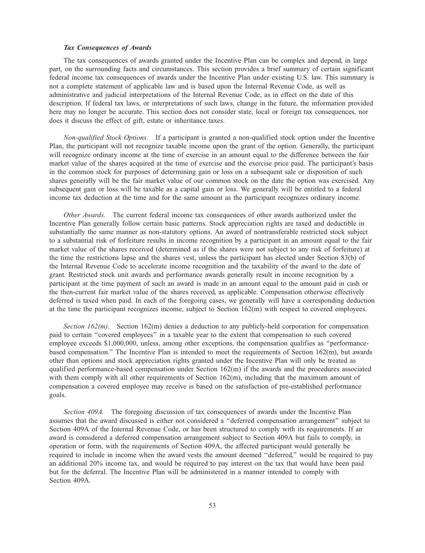### *Tax Consequences of Awards*

The tax consequences of awards granted under the Incentive Plan can be complex and depend, in large part, on the surrounding facts and circumstances. This section provides a brief summary of certain significant federal income tax consequences of awards under the Incentive Plan under existing U.S. law. This summary is not a complete statement of applicable law and is based upon the Internal Revenue Code, as well as administrative and judicial interpretations of the Internal Revenue Code, as in effect on the date of this description. If federal tax laws, or interpretations of such laws, change in the future, the information provided here may no longer be accurate. This section does not consider state, local or foreign tax consequences, nor does it discuss the effect of gift, estate or inheritance taxes.

*Non-qualified Stock Options.* If a participant is granted a non-qualified stock option under the Incentive Plan, the participant will not recognize taxable income upon the grant of the option. Generally, the participant will recognize ordinary income at the time of exercise in an amount equal to the difference between the fair market value of the shares acquired at the time of exercise and the exercise price paid. The participant's basis in the common stock for purposes of determining gain or loss on a subsequent sale or disposition of such shares generally will be the fair market value of our common stock on the date the option was exercised. Any subsequent gain or loss will be taxable as a capital gain or loss. We generally will be entitled to a federal income tax deduction at the time and for the same amount as the participant recognizes ordinary income.

*Other Awards.* The current federal income tax consequences of other awards authorized under the Incentive Plan generally follow certain basic patterns. Stock appreciation rights are taxed and deductible in substantially the same manner as non-statutory options. An award of nontransferable restricted stock subject to a substantial risk of forfeiture results in income recognition by a participant in an amount equal to the fair market value of the shares received (determined as if the shares were not subject to any risk of forfeiture) at the time the restrictions lapse and the shares vest, unless the participant has elected under Section 83(b) of the Internal Revenue Code to accelerate income recognition and the taxability of the award to the date of grant. Restricted stock unit awards and performance awards generally result in income recognition by a participant at the time payment of such an award is made in an amount equal to the amount paid in cash or the then-current fair market value of the shares received, as applicable. Compensation otherwise effectively deferred is taxed when paid. In each of the foregoing cases, we generally will have a corresponding deduction at the time the participant recognizes income, subject to Section 162(m) with respect to covered employees.

*Section 162(m).* Section 162(m) denies a deduction to any publicly-held corporation for compensation paid to certain ''covered employees'' in a taxable year to the extent that compensation to such covered employee exceeds \$1,000,000, unless, among other exceptions, the compensation qualifies as ''performancebased compensation.'' The Incentive Plan is intended to meet the requirements of Section 162(m), but awards other than options and stock appreciation rights granted under the Incentive Plan will only be treated as qualified performance-based compensation under Section 162(m) if the awards and the procedures associated with them comply with all other requirements of Section 162(m), including that the maximum amount of compensation a covered employee may receive is based on the satisfaction of pre-established performance goals.

*Section 409A.* The foregoing discussion of tax consequences of awards under the Incentive Plan assumes that the award discussed is either not considered a ''deferred compensation arrangement'' subject to Section 409A of the Internal Revenue Code, or has been structured to comply with its requirements. If an award is considered a deferred compensation arrangement subject to Section 409A but fails to comply, in operation or form, with the requirements of Section 409A, the affected participant would generally be required to include in income when the award vests the amount deemed ''deferred,'' would be required to pay an additional 20% income tax, and would be required to pay interest on the tax that would have been paid but for the deferral. The Incentive Plan will be administered in a manner intended to comply with Section 409A.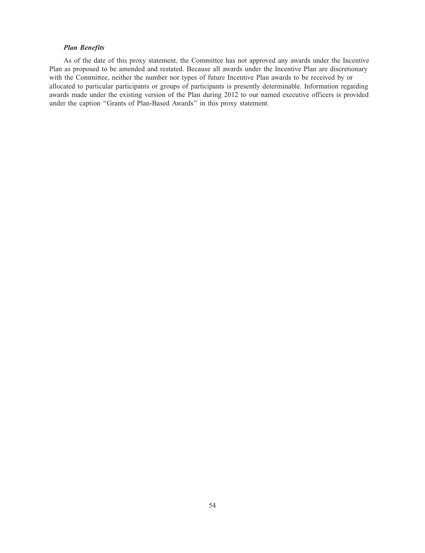# *Plan Benefits*

As of the date of this proxy statement, the Committee has not approved any awards under the Incentive Plan as proposed to be amended and restated. Because all awards under the Incentive Plan are discretionary with the Committee, neither the number nor types of future Incentive Plan awards to be received by or allocated to particular participants or groups of participants is presently determinable. Information regarding awards made under the existing version of the Plan during 2012 to our named executive officers is provided under the caption ''Grants of Plan-Based Awards'' in this proxy statement.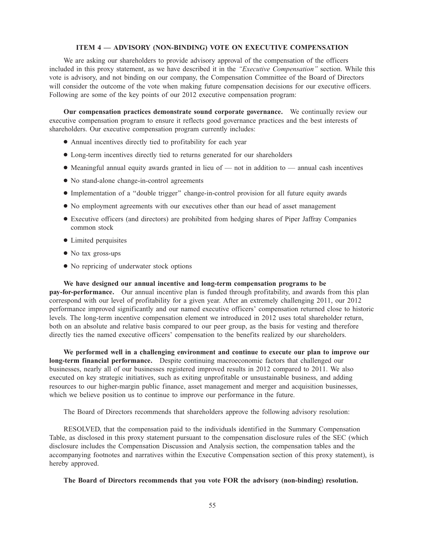## **ITEM 4 — ADVISORY (NON-BINDING) VOTE ON EXECUTIVE COMPENSATION**

We are asking our shareholders to provide advisory approval of the compensation of the officers included in this proxy statement, as we have described it in the *''Executive Compensation''* section. While this vote is advisory, and not binding on our company, the Compensation Committee of the Board of Directors will consider the outcome of the vote when making future compensation decisions for our executive officers. Following are some of the key points of our 2012 executive compensation program:

**Our compensation practices demonstrate sound corporate governance.** We continually review our executive compensation program to ensure it reflects good governance practices and the best interests of shareholders. Our executive compensation program currently includes:

- Annual incentives directly tied to profitability for each year
- Long-term incentives directly tied to returns generated for our shareholders
- Meaningful annual equity awards granted in lieu of not in addition to annual cash incentives
- No stand-alone change-in-control agreements
- Implementation of a ''double trigger'' change-in-control provision for all future equity awards
- No employment agreements with our executives other than our head of asset management
- Executive officers (and directors) are prohibited from hedging shares of Piper Jaffray Companies common stock
- Limited perquisites
- No tax gross-ups
- No repricing of underwater stock options

**We have designed our annual incentive and long-term compensation programs to be pay-for-performance.** Our annual incentive plan is funded through profitability, and awards from this plan correspond with our level of profitability for a given year. After an extremely challenging 2011, our 2012 performance improved significantly and our named executive officers' compensation returned close to historic levels. The long-term incentive compensation element we introduced in 2012 uses total shareholder return, both on an absolute and relative basis compared to our peer group, as the basis for vesting and therefore directly ties the named executive officers' compensation to the benefits realized by our shareholders.

**We performed well in a challenging environment and continue to execute our plan to improve our long-term financial performance.** Despite continuing macroeconomic factors that challenged our businesses, nearly all of our businesses registered improved results in 2012 compared to 2011. We also executed on key strategic initiatives, such as exiting unprofitable or unsustainable business, and adding resources to our higher-margin public finance, asset management and merger and acquisition businesses, which we believe position us to continue to improve our performance in the future.

The Board of Directors recommends that shareholders approve the following advisory resolution:

RESOLVED, that the compensation paid to the individuals identified in the Summary Compensation Table, as disclosed in this proxy statement pursuant to the compensation disclosure rules of the SEC (which disclosure includes the Compensation Discussion and Analysis section, the compensation tables and the accompanying footnotes and narratives within the Executive Compensation section of this proxy statement), is hereby approved.

**The Board of Directors recommends that you vote FOR the advisory (non-binding) resolution.**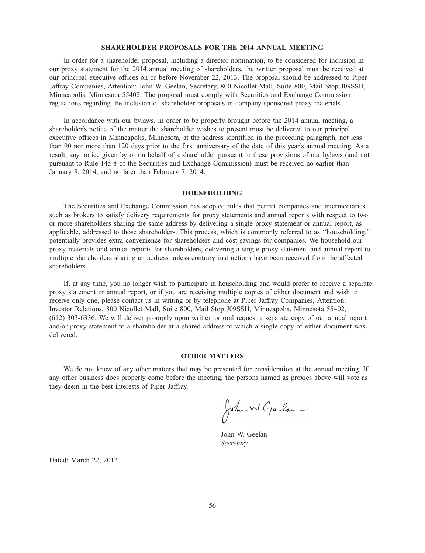## **SHAREHOLDER PROPOSALS FOR THE 2014 ANNUAL MEETING**

In order for a shareholder proposal, including a director nomination, to be considered for inclusion in our proxy statement for the 2014 annual meeting of shareholders, the written proposal must be received at our principal executive offices on or before November 22, 2013. The proposal should be addressed to Piper Jaffray Companies, Attention: John W. Geelan, Secretary, 800 Nicollet Mall, Suite 800, Mail Stop J09SSH, Minneapolis, Minnesota 55402. The proposal must comply with Securities and Exchange Commission regulations regarding the inclusion of shareholder proposals in company-sponsored proxy materials.

In accordance with our bylaws, in order to be properly brought before the 2014 annual meeting, a shareholder's notice of the matter the shareholder wishes to present must be delivered to our principal executive offices in Minneapolis, Minnesota, at the address identified in the preceding paragraph, not less than 90 nor more than 120 days prior to the first anniversary of the date of this year's annual meeting. As a result, any notice given by or on behalf of a shareholder pursuant to these provisions of our bylaws (and not pursuant to Rule 14a-8 of the Securities and Exchange Commission) must be received no earlier than January 8, 2014, and no later than February 7, 2014.

#### **HOUSEHOLDING**

The Securities and Exchange Commission has adopted rules that permit companies and intermediaries such as brokers to satisfy delivery requirements for proxy statements and annual reports with respect to two or more shareholders sharing the same address by delivering a single proxy statement or annual report, as applicable, addressed to those shareholders. This process, which is commonly referred to as ''householding,'' potentially provides extra convenience for shareholders and cost savings for companies. We household our proxy materials and annual reports for shareholders, delivering a single proxy statement and annual report to multiple shareholders sharing an address unless contrary instructions have been received from the affected shareholders.

If, at any time, you no longer wish to participate in householding and would prefer to receive a separate proxy statement or annual report, or if you are receiving multiple copies of either document and wish to receive only one, please contact us in writing or by telephone at Piper Jaffray Companies, Attention: Investor Relations, 800 Nicollet Mall, Suite 800, Mail Stop J09SSH, Minneapolis, Minnesota 55402, (612) 303-6336. We will deliver promptly upon written or oral request a separate copy of our annual report and/or proxy statement to a shareholder at a shared address to which a single copy of either document was delivered.

# **OTHER MATTERS**

We do not know of any other matters that may be presented for consideration at the annual meeting. If any other business does properly come before the meeting, the persons named as proxies above will vote as they deem in the best interests of Piper Jaffray.

John W Gulan

John W. Geelan *Secretary*

Dated: March 22, 2013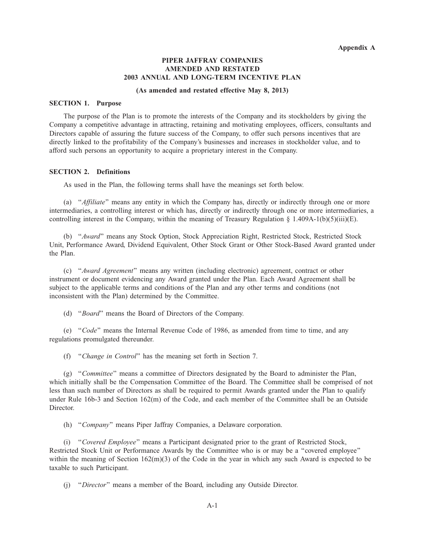# **PIPER JAFFRAY COMPANIES AMENDED AND RESTATED 2003 ANNUAL AND LONG-TERM INCENTIVE PLAN**

## **(As amended and restated effective May 8, 2013)**

# **SECTION 1. Purpose**

The purpose of the Plan is to promote the interests of the Company and its stockholders by giving the Company a competitive advantage in attracting, retaining and motivating employees, officers, consultants and Directors capable of assuring the future success of the Company, to offer such persons incentives that are directly linked to the profitability of the Company's businesses and increases in stockholder value, and to afford such persons an opportunity to acquire a proprietary interest in the Company.

## **SECTION 2. Definitions**

As used in the Plan, the following terms shall have the meanings set forth below.

(a) ''*Affiliate*'' means any entity in which the Company has, directly or indirectly through one or more intermediaries, a controlling interest or which has, directly or indirectly through one or more intermediaries, a controlling interest in the Company, within the meaning of Treasury Regulation  $\S 1.409A-1(b)(5)(iii)(E)$ .

(b) ''*Award*'' means any Stock Option, Stock Appreciation Right, Restricted Stock, Restricted Stock Unit, Performance Award, Dividend Equivalent, Other Stock Grant or Other Stock-Based Award granted under the Plan.

(c) ''*Award Agreement*'' means any written (including electronic) agreement, contract or other instrument or document evidencing any Award granted under the Plan. Each Award Agreement shall be subject to the applicable terms and conditions of the Plan and any other terms and conditions (not inconsistent with the Plan) determined by the Committee.

(d) ''*Board*'' means the Board of Directors of the Company.

(e) ''*Code*'' means the Internal Revenue Code of 1986, as amended from time to time, and any regulations promulgated thereunder.

(f) ''*Change in Control*'' has the meaning set forth in Section 7.

(g) ''*Committee*'' means a committee of Directors designated by the Board to administer the Plan, which initially shall be the Compensation Committee of the Board. The Committee shall be comprised of not less than such number of Directors as shall be required to permit Awards granted under the Plan to qualify under Rule 16b-3 and Section 162(m) of the Code, and each member of the Committee shall be an Outside Director.

(h) ''*Company*'' means Piper Jaffray Companies, a Delaware corporation.

(i) ''*Covered Employee*'' means a Participant designated prior to the grant of Restricted Stock, Restricted Stock Unit or Performance Awards by the Committee who is or may be a ''covered employee'' within the meaning of Section  $162(m)(3)$  of the Code in the year in which any such Award is expected to be taxable to such Participant.

(j) ''*Director*'' means a member of the Board, including any Outside Director.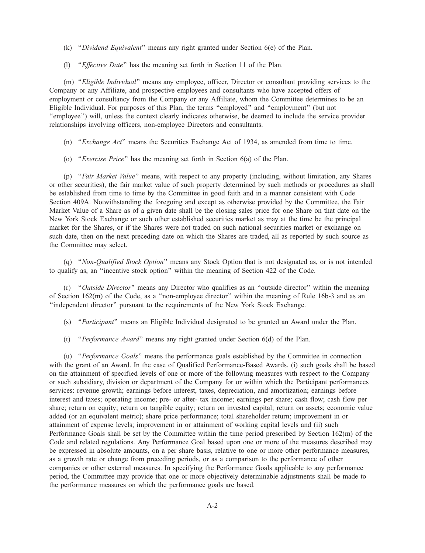- (k) ''*Dividend Equivalent*'' means any right granted under Section 6(e) of the Plan.
- (l) ''*Effective Date*'' has the meaning set forth in Section 11 of the Plan.

(m) ''*Eligible Individual*'' means any employee, officer, Director or consultant providing services to the Company or any Affiliate, and prospective employees and consultants who have accepted offers of employment or consultancy from the Company or any Affiliate, whom the Committee determines to be an Eligible Individual. For purposes of this Plan, the terms ''employed'' and ''employment'' (but not ''employee'') will, unless the context clearly indicates otherwise, be deemed to include the service provider relationships involving officers, non-employee Directors and consultants.

- (n) ''*Exchange Act*'' means the Securities Exchange Act of 1934, as amended from time to time.
- (o) ''*Exercise Price*'' has the meaning set forth in Section 6(a) of the Plan.

(p) ''*Fair Market Value*'' means, with respect to any property (including, without limitation, any Shares or other securities), the fair market value of such property determined by such methods or procedures as shall be established from time to time by the Committee in good faith and in a manner consistent with Code Section 409A. Notwithstanding the foregoing and except as otherwise provided by the Committee, the Fair Market Value of a Share as of a given date shall be the closing sales price for one Share on that date on the New York Stock Exchange or such other established securities market as may at the time be the principal market for the Shares, or if the Shares were not traded on such national securities market or exchange on such date, then on the next preceding date on which the Shares are traded, all as reported by such source as the Committee may select.

(q) ''*Non-Qualified Stock Option*'' means any Stock Option that is not designated as, or is not intended to qualify as, an ''incentive stock option'' within the meaning of Section 422 of the Code.

(r) ''*Outside Director*'' means any Director who qualifies as an ''outside director'' within the meaning of Section 162(m) of the Code, as a ''non-employee director'' within the meaning of Rule 16b-3 and as an ''independent director'' pursuant to the requirements of the New York Stock Exchange.

- (s) ''*Participant*'' means an Eligible Individual designated to be granted an Award under the Plan.
- (t) ''*Performance Award*'' means any right granted under Section 6(d) of the Plan.

(u) ''*Performance Goals*'' means the performance goals established by the Committee in connection with the grant of an Award. In the case of Qualified Performance-Based Awards, (i) such goals shall be based on the attainment of specified levels of one or more of the following measures with respect to the Company or such subsidiary, division or department of the Company for or within which the Participant performances services: revenue growth; earnings before interest, taxes, depreciation, and amortization; earnings before interest and taxes; operating income; pre- or after- tax income; earnings per share; cash flow; cash flow per share; return on equity; return on tangible equity; return on invested capital; return on assets; economic value added (or an equivalent metric); share price performance; total shareholder return; improvement in or attainment of expense levels; improvement in or attainment of working capital levels and (ii) such Performance Goals shall be set by the Committee within the time period prescribed by Section 162(m) of the Code and related regulations. Any Performance Goal based upon one or more of the measures described may be expressed in absolute amounts, on a per share basis, relative to one or more other performance measures, as a growth rate or change from preceding periods, or as a comparison to the performance of other companies or other external measures. In specifying the Performance Goals applicable to any performance period, the Committee may provide that one or more objectively determinable adjustments shall be made to the performance measures on which the performance goals are based.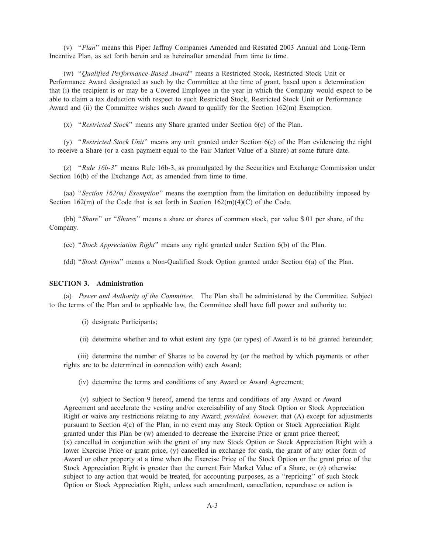(v) ''*Plan*'' means this Piper Jaffray Companies Amended and Restated 2003 Annual and Long-Term Incentive Plan, as set forth herein and as hereinafter amended from time to time.

(w) ''*Qualified Performance-Based Award*'' means a Restricted Stock, Restricted Stock Unit or Performance Award designated as such by the Committee at the time of grant, based upon a determination that (i) the recipient is or may be a Covered Employee in the year in which the Company would expect to be able to claim a tax deduction with respect to such Restricted Stock, Restricted Stock Unit or Performance Award and (ii) the Committee wishes such Award to qualify for the Section 162(m) Exemption.

(x) ''*Restricted Stock*'' means any Share granted under Section 6(c) of the Plan.

(y) ''*Restricted Stock Unit*'' means any unit granted under Section 6(c) of the Plan evidencing the right to receive a Share (or a cash payment equal to the Fair Market Value of a Share) at some future date.

(z) ''*Rule 16b-3*'' means Rule 16b-3, as promulgated by the Securities and Exchange Commission under Section 16(b) of the Exchange Act, as amended from time to time.

(aa) ''*Section 162(m) Exemption*'' means the exemption from the limitation on deductibility imposed by Section  $162(m)$  of the Code that is set forth in Section  $162(m)(4)(C)$  of the Code.

(bb) ''*Share*'' or ''*Shares*'' means a share or shares of common stock, par value \$.01 per share, of the Company.

(cc) ''*Stock Appreciation Right*'' means any right granted under Section 6(b) of the Plan.

(dd) ''*Stock Option*'' means a Non-Qualified Stock Option granted under Section 6(a) of the Plan.

## **SECTION 3. Administration**

(a) *Power and Authority of the Committee.* The Plan shall be administered by the Committee. Subject to the terms of the Plan and to applicable law, the Committee shall have full power and authority to:

(i) designate Participants;

(ii) determine whether and to what extent any type (or types) of Award is to be granted hereunder;

(iii) determine the number of Shares to be covered by (or the method by which payments or other rights are to be determined in connection with) each Award;

(iv) determine the terms and conditions of any Award or Award Agreement;

(v) subject to Section 9 hereof, amend the terms and conditions of any Award or Award Agreement and accelerate the vesting and/or exercisability of any Stock Option or Stock Appreciation Right or waive any restrictions relating to any Award; *provided, however,* that (A) except for adjustments pursuant to Section 4(c) of the Plan, in no event may any Stock Option or Stock Appreciation Right granted under this Plan be (w) amended to decrease the Exercise Price or grant price thereof, (x) cancelled in conjunction with the grant of any new Stock Option or Stock Appreciation Right with a lower Exercise Price or grant price, (y) cancelled in exchange for cash, the grant of any other form of Award or other property at a time when the Exercise Price of the Stock Option or the grant price of the Stock Appreciation Right is greater than the current Fair Market Value of a Share, or (z) otherwise subject to any action that would be treated, for accounting purposes, as a "repricing" of such Stock Option or Stock Appreciation Right, unless such amendment, cancellation, repurchase or action is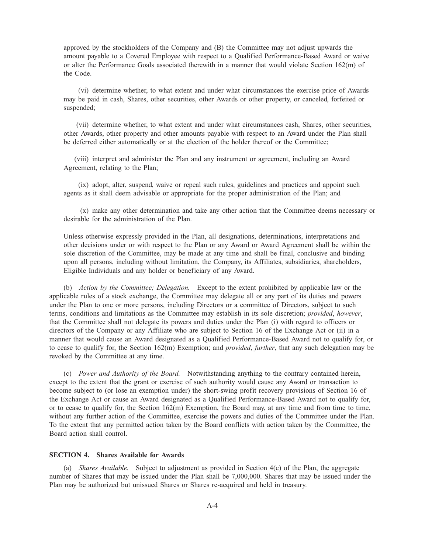approved by the stockholders of the Company and (B) the Committee may not adjust upwards the amount payable to a Covered Employee with respect to a Qualified Performance-Based Award or waive or alter the Performance Goals associated therewith in a manner that would violate Section 162(m) of the Code.

(vi) determine whether, to what extent and under what circumstances the exercise price of Awards may be paid in cash, Shares, other securities, other Awards or other property, or canceled, forfeited or suspended;

(vii) determine whether, to what extent and under what circumstances cash, Shares, other securities, other Awards, other property and other amounts payable with respect to an Award under the Plan shall be deferred either automatically or at the election of the holder thereof or the Committee;

(viii) interpret and administer the Plan and any instrument or agreement, including an Award Agreement, relating to the Plan;

(ix) adopt, alter, suspend, waive or repeal such rules, guidelines and practices and appoint such agents as it shall deem advisable or appropriate for the proper administration of the Plan; and

(x) make any other determination and take any other action that the Committee deems necessary or desirable for the administration of the Plan.

Unless otherwise expressly provided in the Plan, all designations, determinations, interpretations and other decisions under or with respect to the Plan or any Award or Award Agreement shall be within the sole discretion of the Committee, may be made at any time and shall be final, conclusive and binding upon all persons, including without limitation, the Company, its Affiliates, subsidiaries, shareholders, Eligible Individuals and any holder or beneficiary of any Award.

(b) *Action by the Committee; Delegation.* Except to the extent prohibited by applicable law or the applicable rules of a stock exchange, the Committee may delegate all or any part of its duties and powers under the Plan to one or more persons, including Directors or a committee of Directors, subject to such terms, conditions and limitations as the Committee may establish in its sole discretion; *provided*, *however*, that the Committee shall not delegate its powers and duties under the Plan (i) with regard to officers or directors of the Company or any Affiliate who are subject to Section 16 of the Exchange Act or (ii) in a manner that would cause an Award designated as a Qualified Performance-Based Award not to qualify for, or to cease to qualify for, the Section 162(m) Exemption; and *provided*, *further*, that any such delegation may be revoked by the Committee at any time.

(c) *Power and Authority of the Board.* Notwithstanding anything to the contrary contained herein, except to the extent that the grant or exercise of such authority would cause any Award or transaction to become subject to (or lose an exemption under) the short-swing profit recovery provisions of Section 16 of the Exchange Act or cause an Award designated as a Qualified Performance-Based Award not to qualify for, or to cease to qualify for, the Section  $162(m)$  Exemption, the Board may, at any time and from time to time, without any further action of the Committee, exercise the powers and duties of the Committee under the Plan. To the extent that any permitted action taken by the Board conflicts with action taken by the Committee, the Board action shall control.

# **SECTION 4. Shares Available for Awards**

(a) *Shares Available.* Subject to adjustment as provided in Section 4(c) of the Plan, the aggregate number of Shares that may be issued under the Plan shall be 7,000,000. Shares that may be issued under the Plan may be authorized but unissued Shares or Shares re-acquired and held in treasury.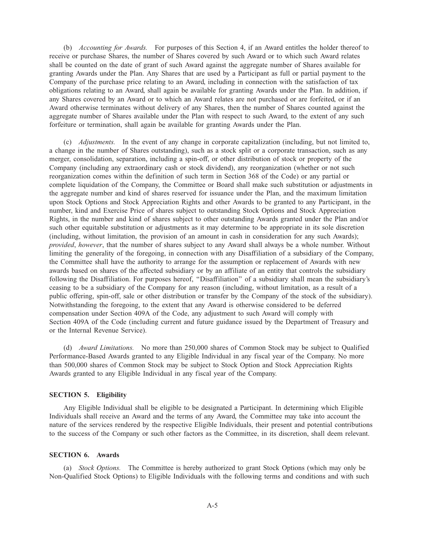(b) *Accounting for Awards.* For purposes of this Section 4, if an Award entitles the holder thereof to receive or purchase Shares, the number of Shares covered by such Award or to which such Award relates shall be counted on the date of grant of such Award against the aggregate number of Shares available for granting Awards under the Plan. Any Shares that are used by a Participant as full or partial payment to the Company of the purchase price relating to an Award, including in connection with the satisfaction of tax obligations relating to an Award, shall again be available for granting Awards under the Plan. In addition, if any Shares covered by an Award or to which an Award relates are not purchased or are forfeited, or if an Award otherwise terminates without delivery of any Shares, then the number of Shares counted against the aggregate number of Shares available under the Plan with respect to such Award, to the extent of any such forfeiture or termination, shall again be available for granting Awards under the Plan.

(c) *Adjustments.* In the event of any change in corporate capitalization (including, but not limited to, a change in the number of Shares outstanding), such as a stock split or a corporate transaction, such as any merger, consolidation, separation, including a spin-off, or other distribution of stock or property of the Company (including any extraordinary cash or stock dividend), any reorganization (whether or not such reorganization comes within the definition of such term in Section 368 of the Code) or any partial or complete liquidation of the Company, the Committee or Board shall make such substitution or adjustments in the aggregate number and kind of shares reserved for issuance under the Plan, and the maximum limitation upon Stock Options and Stock Appreciation Rights and other Awards to be granted to any Participant, in the number, kind and Exercise Price of shares subject to outstanding Stock Options and Stock Appreciation Rights, in the number and kind of shares subject to other outstanding Awards granted under the Plan and/or such other equitable substitution or adjustments as it may determine to be appropriate in its sole discretion (including, without limitation, the provision of an amount in cash in consideration for any such Awards); *provided*, *however*, that the number of shares subject to any Award shall always be a whole number. Without limiting the generality of the foregoing, in connection with any Disaffiliation of a subsidiary of the Company, the Committee shall have the authority to arrange for the assumption or replacement of Awards with new awards based on shares of the affected subsidiary or by an affiliate of an entity that controls the subsidiary following the Disaffiliation. For purposes hereof, ''Disaffiliation'' of a subsidiary shall mean the subsidiary's ceasing to be a subsidiary of the Company for any reason (including, without limitation, as a result of a public offering, spin-off, sale or other distribution or transfer by the Company of the stock of the subsidiary). Notwithstanding the foregoing, to the extent that any Award is otherwise considered to be deferred compensation under Section 409A of the Code, any adjustment to such Award will comply with Section 409A of the Code (including current and future guidance issued by the Department of Treasury and or the Internal Revenue Service).

(d) *Award Limitations.* No more than 250,000 shares of Common Stock may be subject to Qualified Performance-Based Awards granted to any Eligible Individual in any fiscal year of the Company. No more than 500,000 shares of Common Stock may be subject to Stock Option and Stock Appreciation Rights Awards granted to any Eligible Individual in any fiscal year of the Company.

## **SECTION 5. Eligibility**

Any Eligible Individual shall be eligible to be designated a Participant. In determining which Eligible Individuals shall receive an Award and the terms of any Award, the Committee may take into account the nature of the services rendered by the respective Eligible Individuals, their present and potential contributions to the success of the Company or such other factors as the Committee, in its discretion, shall deem relevant.

# **SECTION 6. Awards**

(a) *Stock Options.* The Committee is hereby authorized to grant Stock Options (which may only be Non-Qualified Stock Options) to Eligible Individuals with the following terms and conditions and with such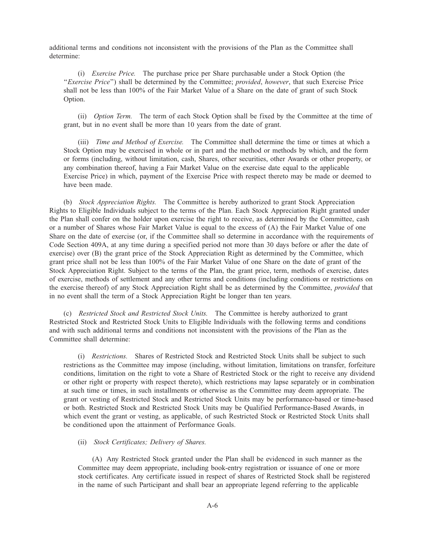additional terms and conditions not inconsistent with the provisions of the Plan as the Committee shall determine:

(i) *Exercise Price.* The purchase price per Share purchasable under a Stock Option (the ''*Exercise Price*'') shall be determined by the Committee; *provided*, *however*, that such Exercise Price shall not be less than 100% of the Fair Market Value of a Share on the date of grant of such Stock Option.

(ii) *Option Term.* The term of each Stock Option shall be fixed by the Committee at the time of grant, but in no event shall be more than 10 years from the date of grant.

(iii) *Time and Method of Exercise.* The Committee shall determine the time or times at which a Stock Option may be exercised in whole or in part and the method or methods by which, and the form or forms (including, without limitation, cash, Shares, other securities, other Awards or other property, or any combination thereof, having a Fair Market Value on the exercise date equal to the applicable Exercise Price) in which, payment of the Exercise Price with respect thereto may be made or deemed to have been made.

(b) *Stock Appreciation Rights.* The Committee is hereby authorized to grant Stock Appreciation Rights to Eligible Individuals subject to the terms of the Plan. Each Stock Appreciation Right granted under the Plan shall confer on the holder upon exercise the right to receive, as determined by the Committee, cash or a number of Shares whose Fair Market Value is equal to the excess of (A) the Fair Market Value of one Share on the date of exercise (or, if the Committee shall so determine in accordance with the requirements of Code Section 409A, at any time during a specified period not more than 30 days before or after the date of exercise) over (B) the grant price of the Stock Appreciation Right as determined by the Committee, which grant price shall not be less than 100% of the Fair Market Value of one Share on the date of grant of the Stock Appreciation Right. Subject to the terms of the Plan, the grant price, term, methods of exercise, dates of exercise, methods of settlement and any other terms and conditions (including conditions or restrictions on the exercise thereof) of any Stock Appreciation Right shall be as determined by the Committee, *provided* that in no event shall the term of a Stock Appreciation Right be longer than ten years.

(c) *Restricted Stock and Restricted Stock Units.* The Committee is hereby authorized to grant Restricted Stock and Restricted Stock Units to Eligible Individuals with the following terms and conditions and with such additional terms and conditions not inconsistent with the provisions of the Plan as the Committee shall determine:

(i) *Restrictions.* Shares of Restricted Stock and Restricted Stock Units shall be subject to such restrictions as the Committee may impose (including, without limitation, limitations on transfer, forfeiture conditions, limitation on the right to vote a Share of Restricted Stock or the right to receive any dividend or other right or property with respect thereto), which restrictions may lapse separately or in combination at such time or times, in such installments or otherwise as the Committee may deem appropriate. The grant or vesting of Restricted Stock and Restricted Stock Units may be performance-based or time-based or both. Restricted Stock and Restricted Stock Units may be Qualified Performance-Based Awards, in which event the grant or vesting, as applicable, of such Restricted Stock or Restricted Stock Units shall be conditioned upon the attainment of Performance Goals.

## (ii) *Stock Certificates; Delivery of Shares.*

(A) Any Restricted Stock granted under the Plan shall be evidenced in such manner as the Committee may deem appropriate, including book-entry registration or issuance of one or more stock certificates. Any certificate issued in respect of shares of Restricted Stock shall be registered in the name of such Participant and shall bear an appropriate legend referring to the applicable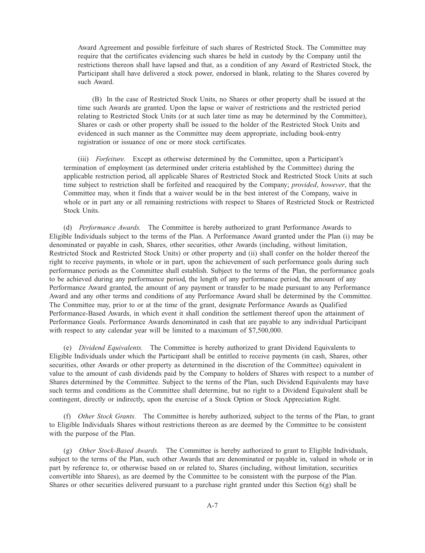Award Agreement and possible forfeiture of such shares of Restricted Stock. The Committee may require that the certificates evidencing such shares be held in custody by the Company until the restrictions thereon shall have lapsed and that, as a condition of any Award of Restricted Stock, the Participant shall have delivered a stock power, endorsed in blank, relating to the Shares covered by such Award.

(B) In the case of Restricted Stock Units, no Shares or other property shall be issued at the time such Awards are granted. Upon the lapse or waiver of restrictions and the restricted period relating to Restricted Stock Units (or at such later time as may be determined by the Committee), Shares or cash or other property shall be issued to the holder of the Restricted Stock Units and evidenced in such manner as the Committee may deem appropriate, including book-entry registration or issuance of one or more stock certificates.

(iii) *Forfeiture.* Except as otherwise determined by the Committee, upon a Participant's termination of employment (as determined under criteria established by the Committee) during the applicable restriction period, all applicable Shares of Restricted Stock and Restricted Stock Units at such time subject to restriction shall be forfeited and reacquired by the Company; *provided*, *however*, that the Committee may, when it finds that a waiver would be in the best interest of the Company, waive in whole or in part any or all remaining restrictions with respect to Shares of Restricted Stock or Restricted Stock Units.

(d) *Performance Awards.* The Committee is hereby authorized to grant Performance Awards to Eligible Individuals subject to the terms of the Plan. A Performance Award granted under the Plan (i) may be denominated or payable in cash, Shares, other securities, other Awards (including, without limitation, Restricted Stock and Restricted Stock Units) or other property and (ii) shall confer on the holder thereof the right to receive payments, in whole or in part, upon the achievement of such performance goals during such performance periods as the Committee shall establish. Subject to the terms of the Plan, the performance goals to be achieved during any performance period, the length of any performance period, the amount of any Performance Award granted, the amount of any payment or transfer to be made pursuant to any Performance Award and any other terms and conditions of any Performance Award shall be determined by the Committee. The Committee may, prior to or at the time of the grant, designate Performance Awards as Qualified Performance-Based Awards, in which event it shall condition the settlement thereof upon the attainment of Performance Goals. Performance Awards denominated in cash that are payable to any individual Participant with respect to any calendar year will be limited to a maximum of \$7,500,000.

(e) *Dividend Equivalents.* The Committee is hereby authorized to grant Dividend Equivalents to Eligible Individuals under which the Participant shall be entitled to receive payments (in cash, Shares, other securities, other Awards or other property as determined in the discretion of the Committee) equivalent in value to the amount of cash dividends paid by the Company to holders of Shares with respect to a number of Shares determined by the Committee. Subject to the terms of the Plan, such Dividend Equivalents may have such terms and conditions as the Committee shall determine, but no right to a Dividend Equivalent shall be contingent, directly or indirectly, upon the exercise of a Stock Option or Stock Appreciation Right.

(f) *Other Stock Grants.* The Committee is hereby authorized, subject to the terms of the Plan, to grant to Eligible Individuals Shares without restrictions thereon as are deemed by the Committee to be consistent with the purpose of the Plan.

(g) *Other Stock-Based Awards.* The Committee is hereby authorized to grant to Eligible Individuals, subject to the terms of the Plan, such other Awards that are denominated or payable in, valued in whole or in part by reference to, or otherwise based on or related to, Shares (including, without limitation, securities convertible into Shares), as are deemed by the Committee to be consistent with the purpose of the Plan. Shares or other securities delivered pursuant to a purchase right granted under this Section  $6(g)$  shall be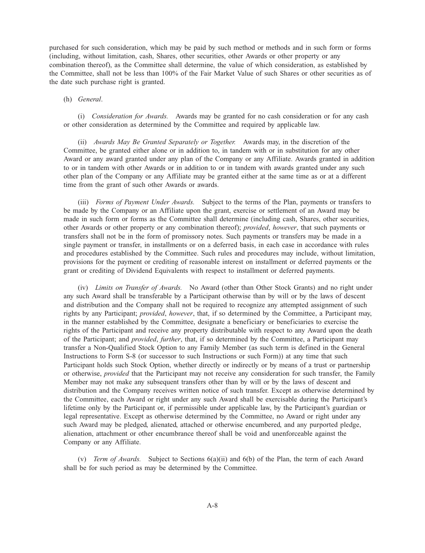purchased for such consideration, which may be paid by such method or methods and in such form or forms (including, without limitation, cash, Shares, other securities, other Awards or other property or any combination thereof), as the Committee shall determine, the value of which consideration, as established by the Committee, shall not be less than 100% of the Fair Market Value of such Shares or other securities as of the date such purchase right is granted.

## (h) *General*.

(i) *Consideration for Awards.* Awards may be granted for no cash consideration or for any cash or other consideration as determined by the Committee and required by applicable law.

(ii) *Awards May Be Granted Separately or Together.* Awards may, in the discretion of the Committee, be granted either alone or in addition to, in tandem with or in substitution for any other Award or any award granted under any plan of the Company or any Affiliate. Awards granted in addition to or in tandem with other Awards or in addition to or in tandem with awards granted under any such other plan of the Company or any Affiliate may be granted either at the same time as or at a different time from the grant of such other Awards or awards.

(iii) *Forms of Payment Under Awards.* Subject to the terms of the Plan, payments or transfers to be made by the Company or an Affiliate upon the grant, exercise or settlement of an Award may be made in such form or forms as the Committee shall determine (including cash, Shares, other securities, other Awards or other property or any combination thereof); *provided*, *however*, that such payments or transfers shall not be in the form of promissory notes. Such payments or transfers may be made in a single payment or transfer, in installments or on a deferred basis, in each case in accordance with rules and procedures established by the Committee. Such rules and procedures may include, without limitation, provisions for the payment or crediting of reasonable interest on installment or deferred payments or the grant or crediting of Dividend Equivalents with respect to installment or deferred payments.

(iv) *Limits on Transfer of Awards.* No Award (other than Other Stock Grants) and no right under any such Award shall be transferable by a Participant otherwise than by will or by the laws of descent and distribution and the Company shall not be required to recognize any attempted assignment of such rights by any Participant; *provided*, *however*, that, if so determined by the Committee, a Participant may, in the manner established by the Committee, designate a beneficiary or beneficiaries to exercise the rights of the Participant and receive any property distributable with respect to any Award upon the death of the Participant; and *provided*, *further*, that, if so determined by the Committee, a Participant may transfer a Non-Qualified Stock Option to any Family Member (as such term is defined in the General Instructions to Form S-8 (or successor to such Instructions or such Form)) at any time that such Participant holds such Stock Option, whether directly or indirectly or by means of a trust or partnership or otherwise, *provided* that the Participant may not receive any consideration for such transfer, the Family Member may not make any subsequent transfers other than by will or by the laws of descent and distribution and the Company receives written notice of such transfer. Except as otherwise determined by the Committee, each Award or right under any such Award shall be exercisable during the Participant's lifetime only by the Participant or, if permissible under applicable law, by the Participant's guardian or legal representative. Except as otherwise determined by the Committee, no Award or right under any such Award may be pledged, alienated, attached or otherwise encumbered, and any purported pledge, alienation, attachment or other encumbrance thereof shall be void and unenforceable against the Company or any Affiliate.

(v) *Term of Awards.* Subject to Sections 6(a)(ii) and 6(b) of the Plan, the term of each Award shall be for such period as may be determined by the Committee.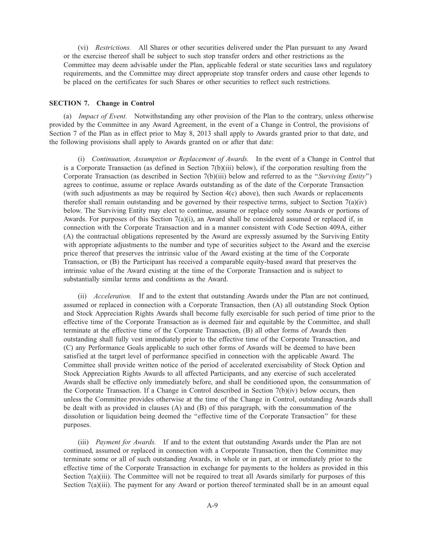(vi) *Restrictions.* All Shares or other securities delivered under the Plan pursuant to any Award or the exercise thereof shall be subject to such stop transfer orders and other restrictions as the Committee may deem advisable under the Plan, applicable federal or state securities laws and regulatory requirements, and the Committee may direct appropriate stop transfer orders and cause other legends to be placed on the certificates for such Shares or other securities to reflect such restrictions.

## **SECTION 7. Change in Control**

(a) *Impact of Event.* Notwithstanding any other provision of the Plan to the contrary, unless otherwise provided by the Committee in any Award Agreement, in the event of a Change in Control, the provisions of Section 7 of the Plan as in effect prior to May 8, 2013 shall apply to Awards granted prior to that date, and the following provisions shall apply to Awards granted on or after that date:

(i) *Continuation, Assumption or Replacement of Awards.* In the event of a Change in Control that is a Corporate Transaction (as defined in Section 7(b)(iii) below), if the corporation resulting from the Corporate Transaction (as described in Section 7(b)(iii) below and referred to as the ''*Surviving Entity*'') agrees to continue, assume or replace Awards outstanding as of the date of the Corporate Transaction (with such adjustments as may be required by Section 4(c) above), then such Awards or replacements therefor shall remain outstanding and be governed by their respective terms, subject to Section  $7(a)(iv)$ below. The Surviving Entity may elect to continue, assume or replace only some Awards or portions of Awards. For purposes of this Section  $7(a)(i)$ , an Award shall be considered assumed or replaced if, in connection with the Corporate Transaction and in a manner consistent with Code Section 409A, either (A) the contractual obligations represented by the Award are expressly assumed by the Surviving Entity with appropriate adjustments to the number and type of securities subject to the Award and the exercise price thereof that preserves the intrinsic value of the Award existing at the time of the Corporate Transaction, or (B) the Participant has received a comparable equity-based award that preserves the intrinsic value of the Award existing at the time of the Corporate Transaction and is subject to substantially similar terms and conditions as the Award.

(ii) *Acceleration.* If and to the extent that outstanding Awards under the Plan are not continued, assumed or replaced in connection with a Corporate Transaction, then (A) all outstanding Stock Option and Stock Appreciation Rights Awards shall become fully exercisable for such period of time prior to the effective time of the Corporate Transaction as is deemed fair and equitable by the Committee, and shall terminate at the effective time of the Corporate Transaction, (B) all other forms of Awards then outstanding shall fully vest immediately prior to the effective time of the Corporate Transaction, and (C) any Performance Goals applicable to such other forms of Awards will be deemed to have been satisfied at the target level of performance specified in connection with the applicable Award. The Committee shall provide written notice of the period of accelerated exercisability of Stock Option and Stock Appreciation Rights Awards to all affected Participants, and any exercise of such accelerated Awards shall be effective only immediately before, and shall be conditioned upon, the consummation of the Corporate Transaction. If a Change in Control described in Section 7(b)(iv) below occurs, then unless the Committee provides otherwise at the time of the Change in Control, outstanding Awards shall be dealt with as provided in clauses (A) and (B) of this paragraph, with the consummation of the dissolution or liquidation being deemed the ''effective time of the Corporate Transaction'' for these purposes.

(iii) *Payment for Awards.* If and to the extent that outstanding Awards under the Plan are not continued, assumed or replaced in connection with a Corporate Transaction, then the Committee may terminate some or all of such outstanding Awards, in whole or in part, at or immediately prior to the effective time of the Corporate Transaction in exchange for payments to the holders as provided in this Section 7(a)(iii). The Committee will not be required to treat all Awards similarly for purposes of this Section 7(a)(iii). The payment for any Award or portion thereof terminated shall be in an amount equal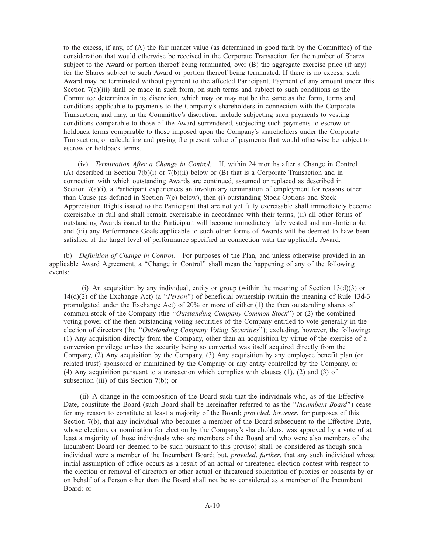to the excess, if any, of (A) the fair market value (as determined in good faith by the Committee) of the consideration that would otherwise be received in the Corporate Transaction for the number of Shares subject to the Award or portion thereof being terminated, over (B) the aggregate exercise price (if any) for the Shares subject to such Award or portion thereof being terminated. If there is no excess, such Award may be terminated without payment to the affected Participant. Payment of any amount under this Section 7(a)(iii) shall be made in such form, on such terms and subject to such conditions as the Committee determines in its discretion, which may or may not be the same as the form, terms and conditions applicable to payments to the Company's shareholders in connection with the Corporate Transaction, and may, in the Committee's discretion, include subjecting such payments to vesting conditions comparable to those of the Award surrendered, subjecting such payments to escrow or holdback terms comparable to those imposed upon the Company's shareholders under the Corporate Transaction, or calculating and paying the present value of payments that would otherwise be subject to escrow or holdback terms.

(iv) *Termination After a Change in Control.* If, within 24 months after a Change in Control (A) described in Section 7(b)(i) or 7(b)(ii) below or (B) that is a Corporate Transaction and in connection with which outstanding Awards are continued, assumed or replaced as described in Section 7(a)(i), a Participant experiences an involuntary termination of employment for reasons other than Cause (as defined in Section 7(c) below), then (i) outstanding Stock Options and Stock Appreciation Rights issued to the Participant that are not yet fully exercisable shall immediately become exercisable in full and shall remain exercisable in accordance with their terms, (ii) all other forms of outstanding Awards issued to the Participant will become immediately fully vested and non-forfeitable; and (iii) any Performance Goals applicable to such other forms of Awards will be deemed to have been satisfied at the target level of performance specified in connection with the applicable Award.

(b) *Definition of Change in Control.* For purposes of the Plan, and unless otherwise provided in an applicable Award Agreement, a ''Change in Control'' shall mean the happening of any of the following events:

(i) An acquisition by any individual, entity or group (within the meaning of Section  $13(d)(3)$  or 14(d)(2) of the Exchange Act) (a ''*Person*'') of beneficial ownership (within the meaning of Rule 13d-3 promulgated under the Exchange Act) of 20% or more of either (1) the then outstanding shares of common stock of the Company (the ''*Outstanding Company Common Stock*'') or (2) the combined voting power of the then outstanding voting securities of the Company entitled to vote generally in the election of directors (the ''*Outstanding Company Voting Securities*''); excluding, however, the following: (1) Any acquisition directly from the Company, other than an acquisition by virtue of the exercise of a conversion privilege unless the security being so converted was itself acquired directly from the Company, (2) Any acquisition by the Company, (3) Any acquisition by any employee benefit plan (or related trust) sponsored or maintained by the Company or any entity controlled by the Company, or (4) Any acquisition pursuant to a transaction which complies with clauses (1), (2) and (3) of subsection (iii) of this Section 7(b); or

(ii) A change in the composition of the Board such that the individuals who, as of the Effective Date, constitute the Board (such Board shall be hereinafter referred to as the ''*Incumbent Board*'') cease for any reason to constitute at least a majority of the Board; *provided*, *however*, for purposes of this Section 7(b), that any individual who becomes a member of the Board subsequent to the Effective Date, whose election, or nomination for election by the Company's shareholders, was approved by a vote of at least a majority of those individuals who are members of the Board and who were also members of the Incumbent Board (or deemed to be such pursuant to this proviso) shall be considered as though such individual were a member of the Incumbent Board; but, *provided*, *further*, that any such individual whose initial assumption of office occurs as a result of an actual or threatened election contest with respect to the election or removal of directors or other actual or threatened solicitation of proxies or consents by or on behalf of a Person other than the Board shall not be so considered as a member of the Incumbent Board; or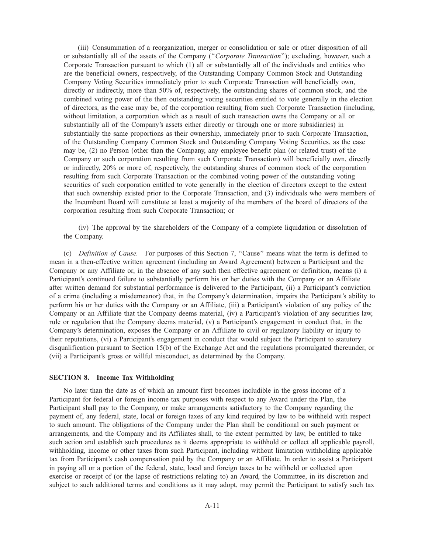(iii) Consummation of a reorganization, merger or consolidation or sale or other disposition of all or substantially all of the assets of the Company (''*Corporate Transaction*''); excluding, however, such a Corporate Transaction pursuant to which (1) all or substantially all of the individuals and entities who are the beneficial owners, respectively, of the Outstanding Company Common Stock and Outstanding Company Voting Securities immediately prior to such Corporate Transaction will beneficially own, directly or indirectly, more than 50% of, respectively, the outstanding shares of common stock, and the combined voting power of the then outstanding voting securities entitled to vote generally in the election of directors, as the case may be, of the corporation resulting from such Corporate Transaction (including, without limitation, a corporation which as a result of such transaction owns the Company or all or substantially all of the Company's assets either directly or through one or more subsidiaries) in substantially the same proportions as their ownership, immediately prior to such Corporate Transaction, of the Outstanding Company Common Stock and Outstanding Company Voting Securities, as the case may be, (2) no Person (other than the Company, any employee benefit plan (or related trust) of the Company or such corporation resulting from such Corporate Transaction) will beneficially own, directly or indirectly, 20% or more of, respectively, the outstanding shares of common stock of the corporation resulting from such Corporate Transaction or the combined voting power of the outstanding voting securities of such corporation entitled to vote generally in the election of directors except to the extent that such ownership existed prior to the Corporate Transaction, and (3) individuals who were members of the Incumbent Board will constitute at least a majority of the members of the board of directors of the corporation resulting from such Corporate Transaction; or

(iv) The approval by the shareholders of the Company of a complete liquidation or dissolution of the Company.

(c) *Definition of Cause.* For purposes of this Section 7, ''Cause'' means what the term is defined to mean in a then-effective written agreement (including an Award Agreement) between a Participant and the Company or any Affiliate or, in the absence of any such then effective agreement or definition, means (i) a Participant's continued failure to substantially perform his or her duties with the Company or an Affiliate after written demand for substantial performance is delivered to the Participant, (ii) a Participant's conviction of a crime (including a misdemeanor) that, in the Company's determination, impairs the Participant's ability to perform his or her duties with the Company or an Affiliate, (iii) a Participant's violation of any policy of the Company or an Affiliate that the Company deems material, (iv) a Participant's violation of any securities law, rule or regulation that the Company deems material, (v) a Participant's engagement in conduct that, in the Company's determination, exposes the Company or an Affiliate to civil or regulatory liability or injury to their reputations, (vi) a Participant's engagement in conduct that would subject the Participant to statutory disqualification pursuant to Section 15(b) of the Exchange Act and the regulations promulgated thereunder, or (vii) a Participant's gross or willful misconduct, as determined by the Company.

### **SECTION 8. Income Tax Withholding**

No later than the date as of which an amount first becomes includible in the gross income of a Participant for federal or foreign income tax purposes with respect to any Award under the Plan, the Participant shall pay to the Company, or make arrangements satisfactory to the Company regarding the payment of, any federal, state, local or foreign taxes of any kind required by law to be withheld with respect to such amount. The obligations of the Company under the Plan shall be conditional on such payment or arrangements, and the Company and its Affiliates shall, to the extent permitted by law, be entitled to take such action and establish such procedures as it deems appropriate to withhold or collect all applicable payroll, withholding, income or other taxes from such Participant, including without limitation withholding applicable tax from Participant's cash compensation paid by the Company or an Affiliate. In order to assist a Participant in paying all or a portion of the federal, state, local and foreign taxes to be withheld or collected upon exercise or receipt of (or the lapse of restrictions relating to) an Award, the Committee, in its discretion and subject to such additional terms and conditions as it may adopt, may permit the Participant to satisfy such tax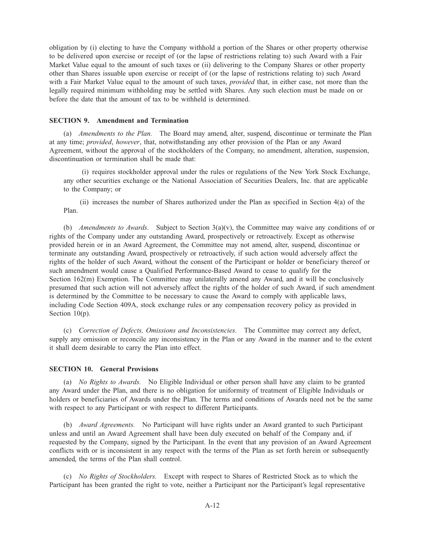obligation by (i) electing to have the Company withhold a portion of the Shares or other property otherwise to be delivered upon exercise or receipt of (or the lapse of restrictions relating to) such Award with a Fair Market Value equal to the amount of such taxes or (ii) delivering to the Company Shares or other property other than Shares issuable upon exercise or receipt of (or the lapse of restrictions relating to) such Award with a Fair Market Value equal to the amount of such taxes, *provided* that, in either case, not more than the legally required minimum withholding may be settled with Shares. Any such election must be made on or before the date that the amount of tax to be withheld is determined.

## **SECTION 9. Amendment and Termination**

(a) *Amendments to the Plan.* The Board may amend, alter, suspend, discontinue or terminate the Plan at any time; *provided*, *however*, that, notwithstanding any other provision of the Plan or any Award Agreement, without the approval of the stockholders of the Company, no amendment, alteration, suspension, discontinuation or termination shall be made that:

(i) requires stockholder approval under the rules or regulations of the New York Stock Exchange, any other securities exchange or the National Association of Securities Dealers, Inc. that are applicable to the Company; or

(ii) increases the number of Shares authorized under the Plan as specified in Section 4(a) of the Plan.

(b) *Amendments to Awards.* Subject to Section 3(a)(v), the Committee may waive any conditions of or rights of the Company under any outstanding Award, prospectively or retroactively. Except as otherwise provided herein or in an Award Agreement, the Committee may not amend, alter, suspend, discontinue or terminate any outstanding Award, prospectively or retroactively, if such action would adversely affect the rights of the holder of such Award, without the consent of the Participant or holder or beneficiary thereof or such amendment would cause a Qualified Performance-Based Award to cease to qualify for the Section 162(m) Exemption. The Committee may unilaterally amend any Award, and it will be conclusively presumed that such action will not adversely affect the rights of the holder of such Award, if such amendment is determined by the Committee to be necessary to cause the Award to comply with applicable laws, including Code Section 409A, stock exchange rules or any compensation recovery policy as provided in Section 10(p).

(c) *Correction of Defects, Omissions and Inconsistencies.* The Committee may correct any defect, supply any omission or reconcile any inconsistency in the Plan or any Award in the manner and to the extent it shall deem desirable to carry the Plan into effect.

## **SECTION 10. General Provisions**

(a) *No Rights to Awards.* No Eligible Individual or other person shall have any claim to be granted any Award under the Plan, and there is no obligation for uniformity of treatment of Eligible Individuals or holders or beneficiaries of Awards under the Plan. The terms and conditions of Awards need not be the same with respect to any Participant or with respect to different Participants.

(b) *Award Agreements.* No Participant will have rights under an Award granted to such Participant unless and until an Award Agreement shall have been duly executed on behalf of the Company and, if requested by the Company, signed by the Participant. In the event that any provision of an Award Agreement conflicts with or is inconsistent in any respect with the terms of the Plan as set forth herein or subsequently amended, the terms of the Plan shall control.

(c) *No Rights of Stockholders.* Except with respect to Shares of Restricted Stock as to which the Participant has been granted the right to vote, neither a Participant nor the Participant's legal representative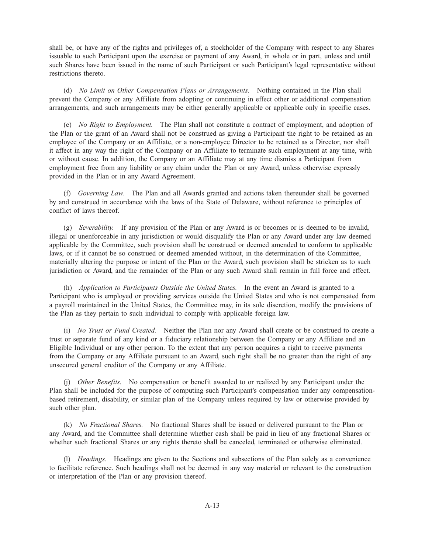shall be, or have any of the rights and privileges of, a stockholder of the Company with respect to any Shares issuable to such Participant upon the exercise or payment of any Award, in whole or in part, unless and until such Shares have been issued in the name of such Participant or such Participant's legal representative without restrictions thereto.

(d) *No Limit on Other Compensation Plans or Arrangements.* Nothing contained in the Plan shall prevent the Company or any Affiliate from adopting or continuing in effect other or additional compensation arrangements, and such arrangements may be either generally applicable or applicable only in specific cases.

(e) *No Right to Employment.* The Plan shall not constitute a contract of employment, and adoption of the Plan or the grant of an Award shall not be construed as giving a Participant the right to be retained as an employee of the Company or an Affiliate, or a non-employee Director to be retained as a Director, nor shall it affect in any way the right of the Company or an Affiliate to terminate such employment at any time, with or without cause. In addition, the Company or an Affiliate may at any time dismiss a Participant from employment free from any liability or any claim under the Plan or any Award, unless otherwise expressly provided in the Plan or in any Award Agreement.

(f) *Governing Law.* The Plan and all Awards granted and actions taken thereunder shall be governed by and construed in accordance with the laws of the State of Delaware, without reference to principles of conflict of laws thereof.

(g) *Severability.* If any provision of the Plan or any Award is or becomes or is deemed to be invalid, illegal or unenforceable in any jurisdiction or would disqualify the Plan or any Award under any law deemed applicable by the Committee, such provision shall be construed or deemed amended to conform to applicable laws, or if it cannot be so construed or deemed amended without, in the determination of the Committee, materially altering the purpose or intent of the Plan or the Award, such provision shall be stricken as to such jurisdiction or Award, and the remainder of the Plan or any such Award shall remain in full force and effect.

(h) *Application to Participants Outside the United States.* In the event an Award is granted to a Participant who is employed or providing services outside the United States and who is not compensated from a payroll maintained in the United States, the Committee may, in its sole discretion, modify the provisions of the Plan as they pertain to such individual to comply with applicable foreign law.

(i) *No Trust or Fund Created.* Neither the Plan nor any Award shall create or be construed to create a trust or separate fund of any kind or a fiduciary relationship between the Company or any Affiliate and an Eligible Individual or any other person. To the extent that any person acquires a right to receive payments from the Company or any Affiliate pursuant to an Award, such right shall be no greater than the right of any unsecured general creditor of the Company or any Affiliate.

(j) *Other Benefits.* No compensation or benefit awarded to or realized by any Participant under the Plan shall be included for the purpose of computing such Participant's compensation under any compensationbased retirement, disability, or similar plan of the Company unless required by law or otherwise provided by such other plan.

(k) *No Fractional Shares.* No fractional Shares shall be issued or delivered pursuant to the Plan or any Award, and the Committee shall determine whether cash shall be paid in lieu of any fractional Shares or whether such fractional Shares or any rights thereto shall be canceled, terminated or otherwise eliminated.

(l) *Headings.* Headings are given to the Sections and subsections of the Plan solely as a convenience to facilitate reference. Such headings shall not be deemed in any way material or relevant to the construction or interpretation of the Plan or any provision thereof.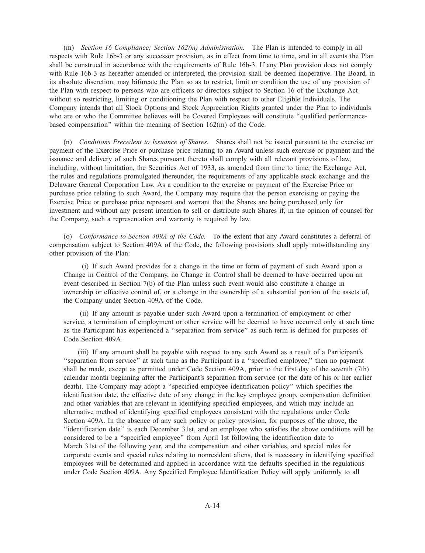(m) *Section 16 Compliance; Section 162(m) Administration.* The Plan is intended to comply in all respects with Rule 16b-3 or any successor provision, as in effect from time to time, and in all events the Plan shall be construed in accordance with the requirements of Rule 16b-3. If any Plan provision does not comply with Rule 16b-3 as hereafter amended or interpreted, the provision shall be deemed inoperative. The Board, in its absolute discretion, may bifurcate the Plan so as to restrict, limit or condition the use of any provision of the Plan with respect to persons who are officers or directors subject to Section 16 of the Exchange Act without so restricting, limiting or conditioning the Plan with respect to other Eligible Individuals. The Company intends that all Stock Options and Stock Appreciation Rights granted under the Plan to individuals who are or who the Committee believes will be Covered Employees will constitute "qualified performancebased compensation'' within the meaning of Section 162(m) of the Code.

(n) *Conditions Precedent to Issuance of Shares.* Shares shall not be issued pursuant to the exercise or payment of the Exercise Price or purchase price relating to an Award unless such exercise or payment and the issuance and delivery of such Shares pursuant thereto shall comply with all relevant provisions of law, including, without limitation, the Securities Act of 1933, as amended from time to time, the Exchange Act, the rules and regulations promulgated thereunder, the requirements of any applicable stock exchange and the Delaware General Corporation Law. As a condition to the exercise or payment of the Exercise Price or purchase price relating to such Award, the Company may require that the person exercising or paying the Exercise Price or purchase price represent and warrant that the Shares are being purchased only for investment and without any present intention to sell or distribute such Shares if, in the opinion of counsel for the Company, such a representation and warranty is required by law.

(o) *Conformance to Section 409A of the Code.* To the extent that any Award constitutes a deferral of compensation subject to Section 409A of the Code, the following provisions shall apply notwithstanding any other provision of the Plan:

(i) If such Award provides for a change in the time or form of payment of such Award upon a Change in Control of the Company, no Change in Control shall be deemed to have occurred upon an event described in Section 7(b) of the Plan unless such event would also constitute a change in ownership or effective control of, or a change in the ownership of a substantial portion of the assets of, the Company under Section 409A of the Code.

(ii) If any amount is payable under such Award upon a termination of employment or other service, a termination of employment or other service will be deemed to have occurred only at such time as the Participant has experienced a ''separation from service'' as such term is defined for purposes of Code Section 409A.

(iii) If any amount shall be payable with respect to any such Award as a result of a Participant's ''separation from service'' at such time as the Participant is a ''specified employee,'' then no payment shall be made, except as permitted under Code Section 409A, prior to the first day of the seventh (7th) calendar month beginning after the Participant's separation from service (or the date of his or her earlier death). The Company may adopt a ''specified employee identification policy'' which specifies the identification date, the effective date of any change in the key employee group, compensation definition and other variables that are relevant in identifying specified employees, and which may include an alternative method of identifying specified employees consistent with the regulations under Code Section 409A. In the absence of any such policy or policy provision, for purposes of the above, the ''identification date'' is each December 31st, and an employee who satisfies the above conditions will be considered to be a ''specified employee'' from April 1st following the identification date to March 31st of the following year, and the compensation and other variables, and special rules for corporate events and special rules relating to nonresident aliens, that is necessary in identifying specified employees will be determined and applied in accordance with the defaults specified in the regulations under Code Section 409A. Any Specified Employee Identification Policy will apply uniformly to all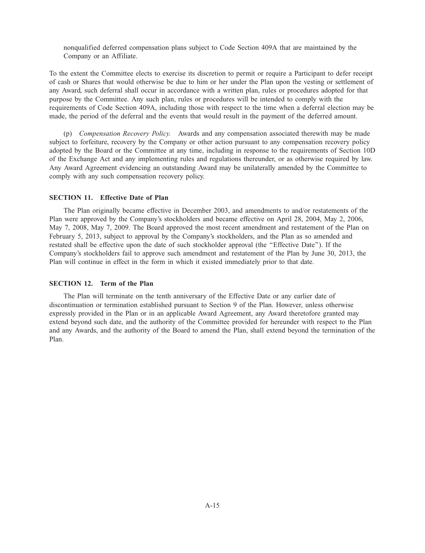nonqualified deferred compensation plans subject to Code Section 409A that are maintained by the Company or an Affiliate.

To the extent the Committee elects to exercise its discretion to permit or require a Participant to defer receipt of cash or Shares that would otherwise be due to him or her under the Plan upon the vesting or settlement of any Award, such deferral shall occur in accordance with a written plan, rules or procedures adopted for that purpose by the Committee. Any such plan, rules or procedures will be intended to comply with the requirements of Code Section 409A, including those with respect to the time when a deferral election may be made, the period of the deferral and the events that would result in the payment of the deferred amount.

(p) *Compensation Recovery Policy.* Awards and any compensation associated therewith may be made subject to forfeiture, recovery by the Company or other action pursuant to any compensation recovery policy adopted by the Board or the Committee at any time, including in response to the requirements of Section 10D of the Exchange Act and any implementing rules and regulations thereunder, or as otherwise required by law. Any Award Agreement evidencing an outstanding Award may be unilaterally amended by the Committee to comply with any such compensation recovery policy.

# **SECTION 11. Effective Date of Plan**

The Plan originally became effective in December 2003, and amendments to and/or restatements of the Plan were approved by the Company's stockholders and became effective on April 28, 2004, May 2, 2006, May 7, 2008, May 7, 2009. The Board approved the most recent amendment and restatement of the Plan on February 5, 2013, subject to approval by the Company's stockholders, and the Plan as so amended and restated shall be effective upon the date of such stockholder approval (the ''Effective Date''). If the Company's stockholders fail to approve such amendment and restatement of the Plan by June 30, 2013, the Plan will continue in effect in the form in which it existed immediately prior to that date.

# **SECTION 12. Term of the Plan**

The Plan will terminate on the tenth anniversary of the Effective Date or any earlier date of discontinuation or termination established pursuant to Section 9 of the Plan. However, unless otherwise expressly provided in the Plan or in an applicable Award Agreement, any Award theretofore granted may extend beyond such date, and the authority of the Committee provided for hereunder with respect to the Plan and any Awards, and the authority of the Board to amend the Plan, shall extend beyond the termination of the Plan.